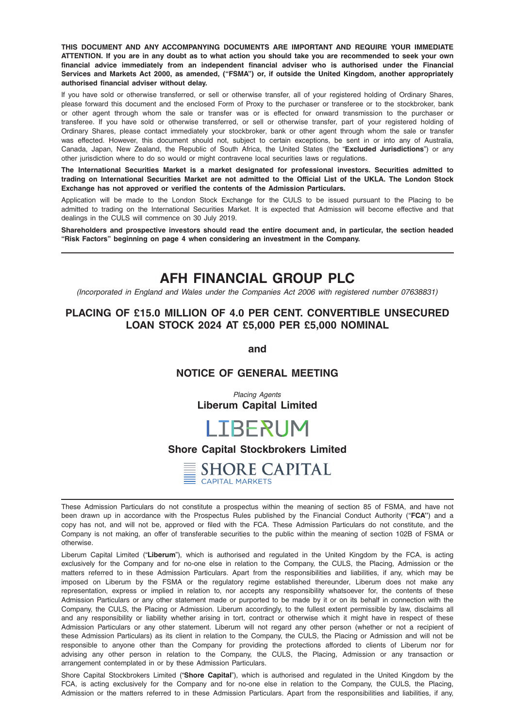THIS DOCUMENT AND ANY ACCOMPANYING DOCUMENTS ARE IMPORTANT AND REQUIRE YOUR IMMEDIATE ATTENTION. If you are in any doubt as to what action you should take you are recommended to seek your own financial advice immediately from an independent financial adviser who is authorised under the Financial Services and Markets Act 2000, as amended, ("FSMA") or, if outside the United Kingdom, another appropriately authorised financial adviser without delay.

If you have sold or otherwise transferred, or sell or otherwise transfer, all of your registered holding of Ordinary Shares, please forward this document and the enclosed Form of Proxy to the purchaser or transferee or to the stockbroker, bank or other agent through whom the sale or transfer was or is effected for onward transmission to the purchaser or transferee. If you have sold or otherwise transferred, or sell or otherwise transfer, part of your registered holding of Ordinary Shares, please contact immediately your stockbroker, bank or other agent through whom the sale or transfer was effected. However, this document should not, subject to certain exceptions, be sent in or into any of Australia, Canada, Japan, New Zealand, the Republic of South Africa, the United States (the "Excluded Jurisdictions") or any other jurisdiction where to do so would or might contravene local securities laws or regulations.

The International Securities Market is a market designated for professional investors. Securities admitted to trading on International Securities Market are not admitted to the Official List of the UKLA. The London Stock Exchange has not approved or verified the contents of the Admission Particulars.

Application will be made to the London Stock Exchange for the CULS to be issued pursuant to the Placing to be admitted to trading on the International Securities Market. It is expected that Admission will become effective and that dealings in the CULS will commence on 30 July 2019.

Shareholders and prospective investors should read the entire document and, in particular, the section headed "Risk Factors" beginning on page 4 when considering an investment in the Company.

# AFH FINANCIAL GROUP PLC

(Incorporated in England and Wales under the Companies Act 2006 with registered number 07638831)

# PLACING OF £15.0 MILLION OF 4.0 PER CENT. CONVERTIBLE UNSECURED LOAN STOCK 2024 AT £5,000 PER £5,000 NOMINAL

and

# NOTICE OF GENERAL MEETING

Placing Agents Liberum Capital Limited

# **LIBERUM**

# Shore Capital Stockbrokers Limited



These Admission Particulars do not constitute a prospectus within the meaning of section 85 of FSMA, and have not been drawn up in accordance with the Prospectus Rules published by the Financial Conduct Authority ("FCA") and a copy has not, and will not be, approved or filed with the FCA. These Admission Particulars do not constitute, and the Company is not making, an offer of transferable securities to the public within the meaning of section 102B of FSMA or otherwise.

Liberum Capital Limited ("Liberum"), which is authorised and regulated in the United Kingdom by the FCA, is acting exclusively for the Company and for no-one else in relation to the Company, the CULS, the Placing, Admission or the matters referred to in these Admission Particulars. Apart from the responsibilities and liabilities, if any, which may be imposed on Liberum by the FSMA or the regulatory regime established thereunder, Liberum does not make any representation, express or implied in relation to, nor accepts any responsibility whatsoever for, the contents of these Admission Particulars or any other statement made or purported to be made by it or on its behalf in connection with the Company, the CULS, the Placing or Admission. Liberum accordingly, to the fullest extent permissible by law, disclaims all and any responsibility or liability whether arising in tort, contract or otherwise which it might have in respect of these Admission Particulars or any other statement. Liberum will not regard any other person (whether or not a recipient of these Admission Particulars) as its client in relation to the Company, the CULS, the Placing or Admission and will not be responsible to anyone other than the Company for providing the protections afforded to clients of Liberum nor for advising any other person in relation to the Company, the CULS, the Placing, Admission or any transaction or arrangement contemplated in or by these Admission Particulars.

Shore Capital Stockbrokers Limited ("Shore Capital"), which is authorised and regulated in the United Kingdom by the FCA, is acting exclusively for the Company and for no-one else in relation to the Company, the CULS, the Placing, Admission or the matters referred to in these Admission Particulars. Apart from the responsibilities and liabilities, if any,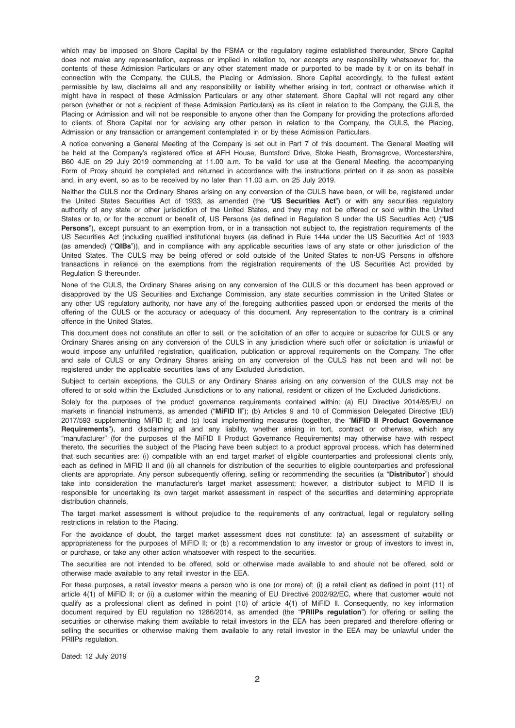which may be imposed on Shore Capital by the FSMA or the regulatory regime established thereunder, Shore Capital does not make any representation, express or implied in relation to, nor accepts any responsibility whatsoever for, the contents of these Admission Particulars or any other statement made or purported to be made by it or on its behalf in connection with the Company, the CULS, the Placing or Admission. Shore Capital accordingly, to the fullest extent permissible by law, disclaims all and any responsibility or liability whether arising in tort, contract or otherwise which it might have in respect of these Admission Particulars or any other statement. Shore Capital will not regard any other person (whether or not a recipient of these Admission Particulars) as its client in relation to the Company, the CULS, the Placing or Admission and will not be responsible to anyone other than the Company for providing the protections afforded to clients of Shore Capital nor for advising any other person in relation to the Company, the CULS, the Placing, Admission or any transaction or arrangement contemplated in or by these Admission Particulars.

A notice convening a General Meeting of the Company is set out in Part 7 of this document. The General Meeting will be held at the Company's registered office at AFH House, Buntsford Drive, Stoke Heath, Bromsgrove, Worcestershire, B60 4JE on 29 July 2019 commencing at 11.00 a.m. To be valid for use at the General Meeting, the accompanying Form of Proxy should be completed and returned in accordance with the instructions printed on it as soon as possible and, in any event, so as to be received by no later than 11.00 a.m. on 25 July 2019.

Neither the CULS nor the Ordinary Shares arising on any conversion of the CULS have been, or will be, registered under the United States Securities Act of 1933, as amended (the "US Securities Act") or with any securities regulatory authority of any state or other jurisdiction of the United States, and they may not be offered or sold within the United States or to, or for the account or benefit of, US Persons (as defined in Regulation S under the US Securities Act) ("US Persons"), except pursuant to an exemption from, or in a transaction not subject to, the registration requirements of the US Securities Act (including qualified institutional buyers (as defined in Rule 144a under the US Securities Act of 1933 (as amended) ("QIBs")), and in compliance with any applicable securities laws of any state or other jurisdiction of the United States. The CULS may be being offered or sold outside of the United States to non-US Persons in offshore transactions in reliance on the exemptions from the registration requirements of the US Securities Act provided by Regulation S thereunder.

None of the CULS, the Ordinary Shares arising on any conversion of the CULS or this document has been approved or disapproved by the US Securities and Exchange Commission, any state securities commission in the United States or any other US regulatory authority, nor have any of the foregoing authorities passed upon or endorsed the merits of the offering of the CULS or the accuracy or adequacy of this document. Any representation to the contrary is a criminal offence in the United States.

This document does not constitute an offer to sell, or the solicitation of an offer to acquire or subscribe for CULS or any Ordinary Shares arising on any conversion of the CULS in any jurisdiction where such offer or solicitation is unlawful or would impose any unfulfilled registration, qualification, publication or approval requirements on the Company. The offer and sale of CULS or any Ordinary Shares arising on any conversion of the CULS has not been and will not be registered under the applicable securities laws of any Excluded Jurisdiction.

Subject to certain exceptions, the CULS or any Ordinary Shares arising on any conversion of the CULS may not be offered to or sold within the Excluded Jurisdictions or to any national, resident or citizen of the Excluded Jurisdictions.

Solely for the purposes of the product governance requirements contained within: (a) EU Directive 2014/65/EU on markets in financial instruments, as amended ("MiFID II"); (b) Articles 9 and 10 of Commission Delegated Directive (EU) 2017/593 supplementing MiFID II; and (c) local implementing measures (together, the "MiFID II Product Governance Requirements"), and disclaiming all and any liability, whether arising in tort, contract or otherwise, which any "manufacturer" (for the purposes of the MiFID II Product Governance Requirements) may otherwise have with respect thereto, the securities the subject of the Placing have been subject to a product approval process, which has determined that such securities are: (i) compatible with an end target market of eligible counterparties and professional clients only, each as defined in MiFID II and (ii) all channels for distribution of the securities to eligible counterparties and professional clients are appropriate. Any person subsequently offering, selling or recommending the securities (a "Distributor") should take into consideration the manufacturer's target market assessment; however, a distributor subject to MiFID II is responsible for undertaking its own target market assessment in respect of the securities and determining appropriate distribution channels.

The target market assessment is without prejudice to the requirements of any contractual, legal or regulatory selling restrictions in relation to the Placing.

For the avoidance of doubt, the target market assessment does not constitute: (a) an assessment of suitability or appropriateness for the purposes of MiFID II; or (b) a recommendation to any investor or group of investors to invest in, or purchase, or take any other action whatsoever with respect to the securities.

The securities are not intended to be offered, sold or otherwise made available to and should not be offered, sold or otherwise made available to any retail investor in the EEA.

For these purposes, a retail investor means a person who is one (or more) of: (i) a retail client as defined in point (11) of article 4(1) of MiFID II; or (ii) a customer within the meaning of EU Directive 2002/92/EC, where that customer would not qualify as a professional client as defined in point (10) of article 4(1) of MiFID II. Consequently, no key information document required by EU regulation no 1286/2014, as amended (the "PRIIPs regulation") for offering or selling the securities or otherwise making them available to retail investors in the EEA has been prepared and therefore offering or selling the securities or otherwise making them available to any retail investor in the EEA may be unlawful under the PRIIPs regulation.

Dated: 12 July 2019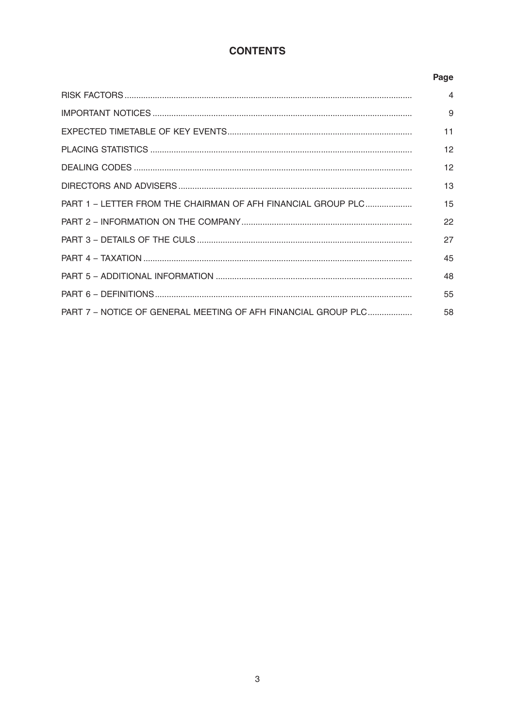# **CONTENTS**

# Page

|                                                               | 4  |
|---------------------------------------------------------------|----|
|                                                               | 9  |
|                                                               | 11 |
|                                                               | 12 |
|                                                               | 12 |
|                                                               | 13 |
| PART 1 – LETTER FROM THE CHAIRMAN OF AFH FINANCIAL GROUP PLC  | 15 |
|                                                               | 22 |
|                                                               | 27 |
|                                                               | 45 |
|                                                               | 48 |
|                                                               | 55 |
| PART 7 - NOTICE OF GENERAL MEETING OF AFH FINANCIAL GROUP PLC | 58 |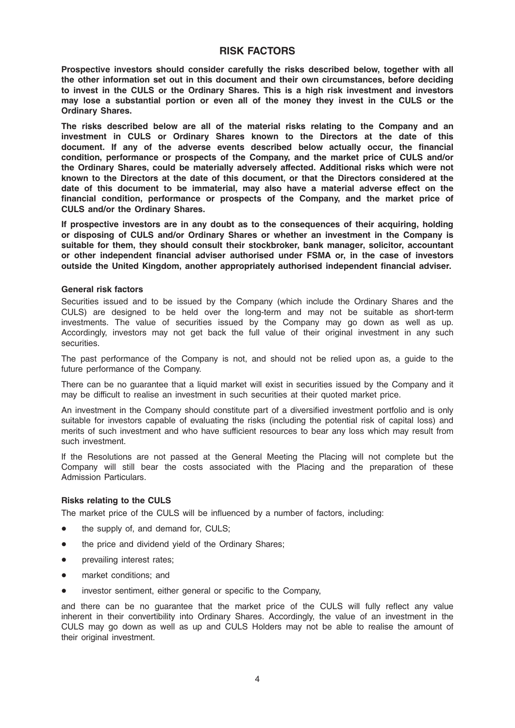# RISK FACTORS

Prospective investors should consider carefully the risks described below, together with all the other information set out in this document and their own circumstances, before deciding to invest in the CULS or the Ordinary Shares. This is a high risk investment and investors may lose a substantial portion or even all of the money they invest in the CULS or the Ordinary Shares.

The risks described below are all of the material risks relating to the Company and an investment in CULS or Ordinary Shares known to the Directors at the date of this document. If any of the adverse events described below actually occur, the financial condition, performance or prospects of the Company, and the market price of CULS and/or the Ordinary Shares, could be materially adversely affected. Additional risks which were not known to the Directors at the date of this document, or that the Directors considered at the date of this document to be immaterial, may also have a material adverse effect on the financial condition, performance or prospects of the Company, and the market price of CULS and/or the Ordinary Shares.

If prospective investors are in any doubt as to the consequences of their acquiring, holding or disposing of CULS and/or Ordinary Shares or whether an investment in the Company is suitable for them, they should consult their stockbroker, bank manager, solicitor, accountant or other independent financial adviser authorised under FSMA or, in the case of investors outside the United Kingdom, another appropriately authorised independent financial adviser.

#### General risk factors

Securities issued and to be issued by the Company (which include the Ordinary Shares and the CULS) are designed to be held over the long-term and may not be suitable as short-term investments. The value of securities issued by the Company may go down as well as up. Accordingly, investors may not get back the full value of their original investment in any such securities.

The past performance of the Company is not, and should not be relied upon as, a guide to the future performance of the Company.

There can be no guarantee that a liquid market will exist in securities issued by the Company and it may be difficult to realise an investment in such securities at their quoted market price.

An investment in the Company should constitute part of a diversified investment portfolio and is only suitable for investors capable of evaluating the risks (including the potential risk of capital loss) and merits of such investment and who have sufficient resources to bear any loss which may result from such investment.

If the Resolutions are not passed at the General Meeting the Placing will not complete but the Company will still bear the costs associated with the Placing and the preparation of these Admission Particulars.

# Risks relating to the CULS

The market price of the CULS will be influenced by a number of factors, including:

- the supply of, and demand for, CULS;
- the price and dividend yield of the Ordinary Shares;
- prevailing interest rates;
- market conditions: and
- \* investor sentiment, either general or specific to the Company,

and there can be no guarantee that the market price of the CULS will fully reflect any value inherent in their convertibility into Ordinary Shares. Accordingly, the value of an investment in the CULS may go down as well as up and CULS Holders may not be able to realise the amount of their original investment.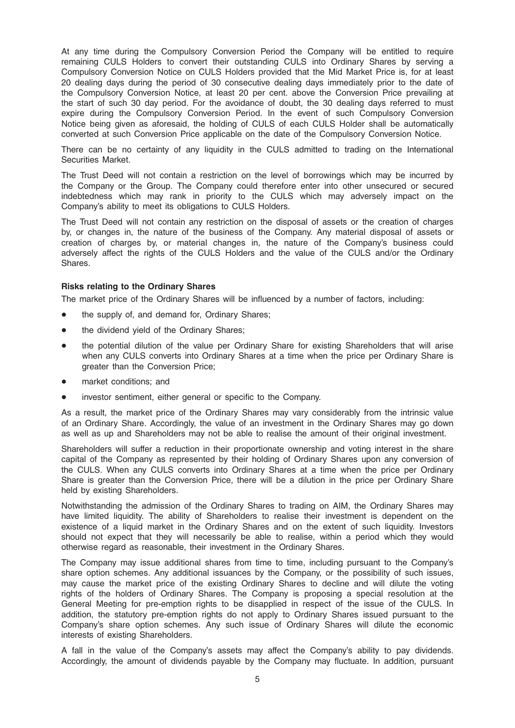At any time during the Compulsory Conversion Period the Company will be entitled to require remaining CULS Holders to convert their outstanding CULS into Ordinary Shares by serving a Compulsory Conversion Notice on CULS Holders provided that the Mid Market Price is, for at least 20 dealing days during the period of 30 consecutive dealing days immediately prior to the date of the Compulsory Conversion Notice, at least 20 per cent. above the Conversion Price prevailing at the start of such 30 day period. For the avoidance of doubt, the 30 dealing days referred to must expire during the Compulsory Conversion Period. In the event of such Compulsory Conversion Notice being given as aforesaid, the holding of CULS of each CULS Holder shall be automatically converted at such Conversion Price applicable on the date of the Compulsory Conversion Notice.

There can be no certainty of any liquidity in the CULS admitted to trading on the International Securities Market.

The Trust Deed will not contain a restriction on the level of borrowings which may be incurred by the Company or the Group. The Company could therefore enter into other unsecured or secured indebtedness which may rank in priority to the CULS which may adversely impact on the Company's ability to meet its obligations to CULS Holders.

The Trust Deed will not contain any restriction on the disposal of assets or the creation of charges by, or changes in, the nature of the business of the Company. Any material disposal of assets or creation of charges by, or material changes in, the nature of the Company's business could adversely affect the rights of the CULS Holders and the value of the CULS and/or the Ordinary Shares.

#### Risks relating to the Ordinary Shares

The market price of the Ordinary Shares will be influenced by a number of factors, including:

- the supply of, and demand for, Ordinary Shares;
- the dividend yield of the Ordinary Shares;
- the potential dilution of the value per Ordinary Share for existing Shareholders that will arise when any CULS converts into Ordinary Shares at a time when the price per Ordinary Share is greater than the Conversion Price;
- market conditions; and
- investor sentiment, either general or specific to the Company.

As a result, the market price of the Ordinary Shares may vary considerably from the intrinsic value of an Ordinary Share. Accordingly, the value of an investment in the Ordinary Shares may go down as well as up and Shareholders may not be able to realise the amount of their original investment.

Shareholders will suffer a reduction in their proportionate ownership and voting interest in the share capital of the Company as represented by their holding of Ordinary Shares upon any conversion of the CULS. When any CULS converts into Ordinary Shares at a time when the price per Ordinary Share is greater than the Conversion Price, there will be a dilution in the price per Ordinary Share held by existing Shareholders.

Notwithstanding the admission of the Ordinary Shares to trading on AIM, the Ordinary Shares may have limited liquidity. The ability of Shareholders to realise their investment is dependent on the existence of a liquid market in the Ordinary Shares and on the extent of such liquidity. Investors should not expect that they will necessarily be able to realise, within a period which they would otherwise regard as reasonable, their investment in the Ordinary Shares.

The Company may issue additional shares from time to time, including pursuant to the Company's share option schemes. Any additional issuances by the Company, or the possibility of such issues, may cause the market price of the existing Ordinary Shares to decline and will dilute the voting rights of the holders of Ordinary Shares. The Company is proposing a special resolution at the General Meeting for pre-emption rights to be disapplied in respect of the issue of the CULS. In addition, the statutory pre-emption rights do not apply to Ordinary Shares issued pursuant to the Company's share option schemes. Any such issue of Ordinary Shares will dilute the economic interests of existing Shareholders.

A fall in the value of the Company's assets may affect the Company's ability to pay dividends. Accordingly, the amount of dividends payable by the Company may fluctuate. In addition, pursuant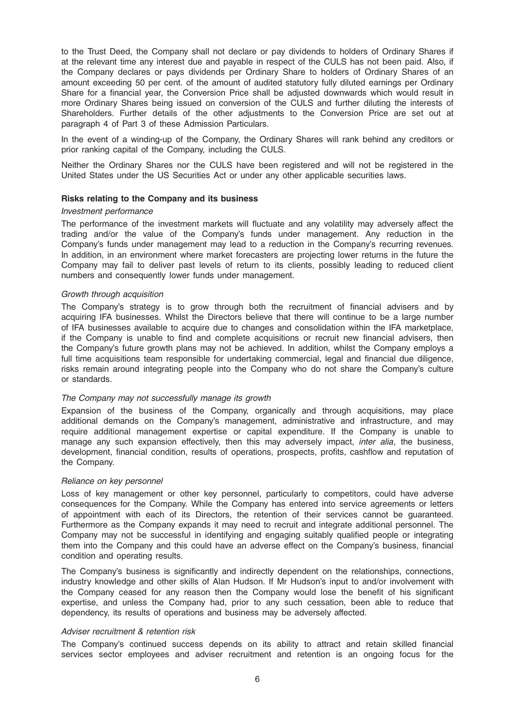to the Trust Deed, the Company shall not declare or pay dividends to holders of Ordinary Shares if at the relevant time any interest due and payable in respect of the CULS has not been paid. Also, if the Company declares or pays dividends per Ordinary Share to holders of Ordinary Shares of an amount exceeding 50 per cent. of the amount of audited statutory fully diluted earnings per Ordinary Share for a financial year, the Conversion Price shall be adjusted downwards which would result in more Ordinary Shares being issued on conversion of the CULS and further diluting the interests of Shareholders. Further details of the other adjustments to the Conversion Price are set out at paragraph 4 of Part 3 of these Admission Particulars.

In the event of a winding-up of the Company, the Ordinary Shares will rank behind any creditors or prior ranking capital of the Company, including the CULS.

Neither the Ordinary Shares nor the CULS have been registered and will not be registered in the United States under the US Securities Act or under any other applicable securities laws.

#### Risks relating to the Company and its business

#### Investment performance

The performance of the investment markets will fluctuate and any volatility may adversely affect the trading and/or the value of the Company's funds under management. Any reduction in the Company's funds under management may lead to a reduction in the Company's recurring revenues. In addition, in an environment where market forecasters are projecting lower returns in the future the Company may fail to deliver past levels of return to its clients, possibly leading to reduced client numbers and consequently lower funds under management.

#### Growth through acquisition

The Company's strategy is to grow through both the recruitment of financial advisers and by acquiring IFA businesses. Whilst the Directors believe that there will continue to be a large number of IFA businesses available to acquire due to changes and consolidation within the IFA marketplace, if the Company is unable to find and complete acquisitions or recruit new financial advisers, then the Company's future growth plans may not be achieved. In addition, whilst the Company employs a full time acquisitions team responsible for undertaking commercial, legal and financial due diligence, risks remain around integrating people into the Company who do not share the Company's culture or standards.

#### The Company may not successfully manage its growth

Expansion of the business of the Company, organically and through acquisitions, may place additional demands on the Company's management, administrative and infrastructure, and may require additional management expertise or capital expenditure. If the Company is unable to manage any such expansion effectively, then this may adversely impact, *inter alia*, the business, development, financial condition, results of operations, prospects, profits, cashflow and reputation of the Company.

#### Reliance on key personnel

Loss of key management or other key personnel, particularly to competitors, could have adverse consequences for the Company. While the Company has entered into service agreements or letters of appointment with each of its Directors, the retention of their services cannot be guaranteed. Furthermore as the Company expands it may need to recruit and integrate additional personnel. The Company may not be successful in identifying and engaging suitably qualified people or integrating them into the Company and this could have an adverse effect on the Company's business, financial condition and operating results.

The Company's business is significantly and indirectly dependent on the relationships, connections, industry knowledge and other skills of Alan Hudson. If Mr Hudson's input to and/or involvement with the Company ceased for any reason then the Company would lose the benefit of his significant expertise, and unless the Company had, prior to any such cessation, been able to reduce that dependency, its results of operations and business may be adversely affected.

#### Adviser recruitment & retention risk

The Company's continued success depends on its ability to attract and retain skilled financial services sector employees and adviser recruitment and retention is an ongoing focus for the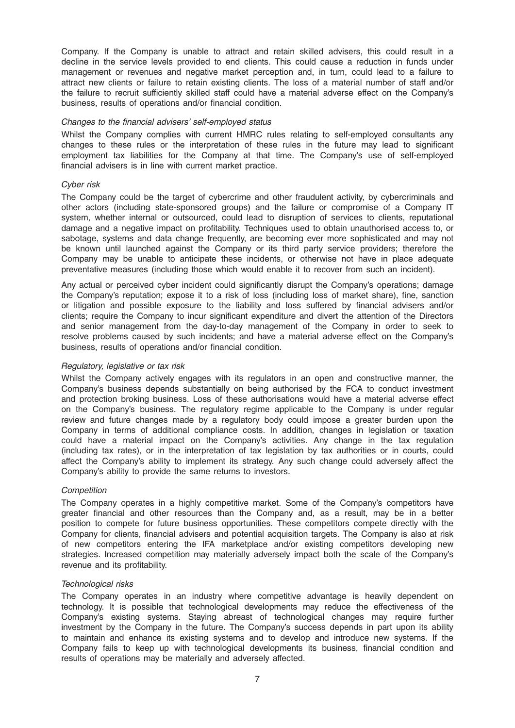Company. If the Company is unable to attract and retain skilled advisers, this could result in a decline in the service levels provided to end clients. This could cause a reduction in funds under management or revenues and negative market perception and, in turn, could lead to a failure to attract new clients or failure to retain existing clients. The loss of a material number of staff and/or the failure to recruit sufficiently skilled staff could have a material adverse effect on the Company's business, results of operations and/or financial condition.

#### Changes to the financial advisers' self-employed status

Whilst the Company complies with current HMRC rules relating to self-employed consultants any changes to these rules or the interpretation of these rules in the future may lead to significant employment tax liabilities for the Company at that time. The Company's use of self-employed financial advisers is in line with current market practice.

#### Cyber risk

The Company could be the target of cybercrime and other fraudulent activity, by cybercriminals and other actors (including state-sponsored groups) and the failure or compromise of a Company IT system, whether internal or outsourced, could lead to disruption of services to clients, reputational damage and a negative impact on profitability. Techniques used to obtain unauthorised access to, or sabotage, systems and data change frequently, are becoming ever more sophisticated and may not be known until launched against the Company or its third party service providers; therefore the Company may be unable to anticipate these incidents, or otherwise not have in place adequate preventative measures (including those which would enable it to recover from such an incident).

Any actual or perceived cyber incident could significantly disrupt the Company's operations; damage the Company's reputation; expose it to a risk of loss (including loss of market share), fine, sanction or litigation and possible exposure to the liability and loss suffered by financial advisers and/or clients; require the Company to incur significant expenditure and divert the attention of the Directors and senior management from the day-to-day management of the Company in order to seek to resolve problems caused by such incidents; and have a material adverse effect on the Company's business, results of operations and/or financial condition.

#### Regulatory, legislative or tax risk

Whilst the Company actively engages with its regulators in an open and constructive manner, the Company's business depends substantially on being authorised by the FCA to conduct investment and protection broking business. Loss of these authorisations would have a material adverse effect on the Company's business. The regulatory regime applicable to the Company is under regular review and future changes made by a regulatory body could impose a greater burden upon the Company in terms of additional compliance costs. In addition, changes in legislation or taxation could have a material impact on the Company's activities. Any change in the tax regulation (including tax rates), or in the interpretation of tax legislation by tax authorities or in courts, could affect the Company's ability to implement its strategy. Any such change could adversely affect the Company's ability to provide the same returns to investors.

#### **Competition**

The Company operates in a highly competitive market. Some of the Company's competitors have greater financial and other resources than the Company and, as a result, may be in a better position to compete for future business opportunities. These competitors compete directly with the Company for clients, financial advisers and potential acquisition targets. The Company is also at risk of new competitors entering the IFA marketplace and/or existing competitors developing new strategies. Increased competition may materially adversely impact both the scale of the Company's revenue and its profitability.

#### Technological risks

The Company operates in an industry where competitive advantage is heavily dependent on technology. It is possible that technological developments may reduce the effectiveness of the Company's existing systems. Staying abreast of technological changes may require further investment by the Company in the future. The Company's success depends in part upon its ability to maintain and enhance its existing systems and to develop and introduce new systems. If the Company fails to keep up with technological developments its business, financial condition and results of operations may be materially and adversely affected.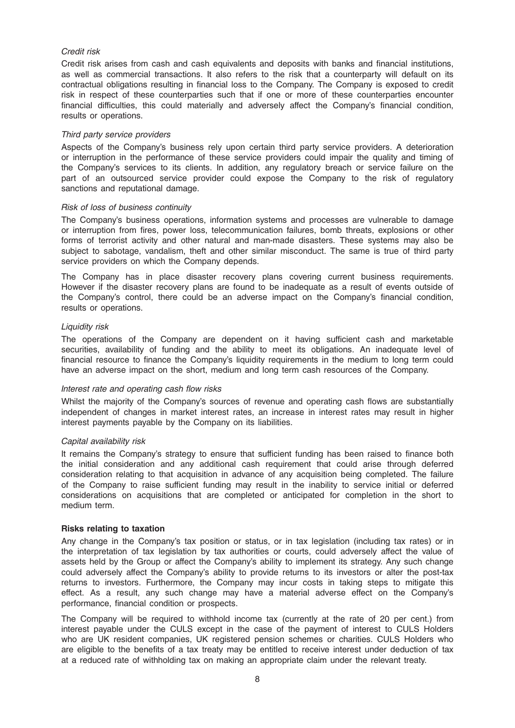### Credit risk

Credit risk arises from cash and cash equivalents and deposits with banks and financial institutions, as well as commercial transactions. It also refers to the risk that a counterparty will default on its contractual obligations resulting in financial loss to the Company. The Company is exposed to credit risk in respect of these counterparties such that if one or more of these counterparties encounter financial difficulties, this could materially and adversely affect the Company's financial condition, results or operations.

#### Third party service providers

Aspects of the Company's business rely upon certain third party service providers. A deterioration or interruption in the performance of these service providers could impair the quality and timing of the Company's services to its clients. In addition, any regulatory breach or service failure on the part of an outsourced service provider could expose the Company to the risk of regulatory sanctions and reputational damage.

#### Risk of loss of business continuity

The Company's business operations, information systems and processes are vulnerable to damage or interruption from fires, power loss, telecommunication failures, bomb threats, explosions or other forms of terrorist activity and other natural and man-made disasters. These systems may also be subject to sabotage, vandalism, theft and other similar misconduct. The same is true of third party service providers on which the Company depends.

The Company has in place disaster recovery plans covering current business requirements. However if the disaster recovery plans are found to be inadequate as a result of events outside of the Company's control, there could be an adverse impact on the Company's financial condition, results or operations.

#### Liquidity risk

The operations of the Company are dependent on it having sufficient cash and marketable securities, availability of funding and the ability to meet its obligations. An inadequate level of financial resource to finance the Company's liquidity requirements in the medium to long term could have an adverse impact on the short, medium and long term cash resources of the Company.

#### Interest rate and operating cash flow risks

Whilst the majority of the Company's sources of revenue and operating cash flows are substantially independent of changes in market interest rates, an increase in interest rates may result in higher interest payments payable by the Company on its liabilities.

#### Capital availability risk

It remains the Company's strategy to ensure that sufficient funding has been raised to finance both the initial consideration and any additional cash requirement that could arise through deferred consideration relating to that acquisition in advance of any acquisition being completed. The failure of the Company to raise sufficient funding may result in the inability to service initial or deferred considerations on acquisitions that are completed or anticipated for completion in the short to medium term.

#### Risks relating to taxation

Any change in the Company's tax position or status, or in tax legislation (including tax rates) or in the interpretation of tax legislation by tax authorities or courts, could adversely affect the value of assets held by the Group or affect the Company's ability to implement its strategy. Any such change could adversely affect the Company's ability to provide returns to its investors or alter the post-tax returns to investors. Furthermore, the Company may incur costs in taking steps to mitigate this effect. As a result, any such change may have a material adverse effect on the Company's performance, financial condition or prospects.

The Company will be required to withhold income tax (currently at the rate of 20 per cent.) from interest payable under the CULS except in the case of the payment of interest to CULS Holders who are UK resident companies, UK registered pension schemes or charities. CULS Holders who are eligible to the benefits of a tax treaty may be entitled to receive interest under deduction of tax at a reduced rate of withholding tax on making an appropriate claim under the relevant treaty.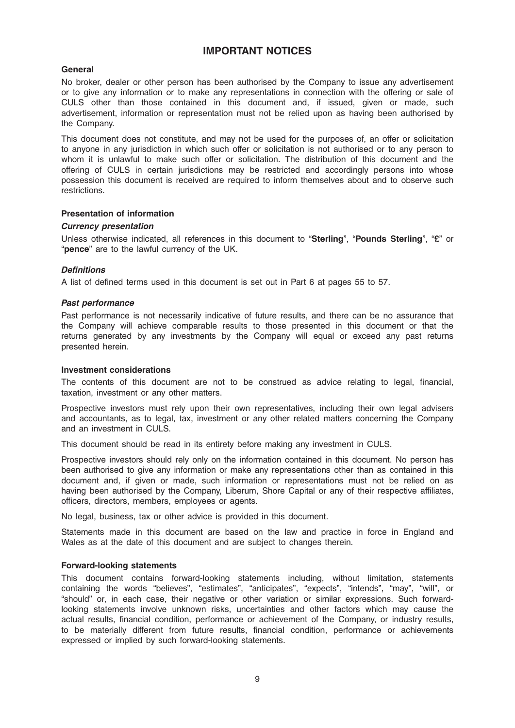# IMPORTANT NOTICES

# General

No broker, dealer or other person has been authorised by the Company to issue any advertisement or to give any information or to make any representations in connection with the offering or sale of CULS other than those contained in this document and, if issued, given or made, such advertisement, information or representation must not be relied upon as having been authorised by the Company.

This document does not constitute, and may not be used for the purposes of, an offer or solicitation to anyone in any jurisdiction in which such offer or solicitation is not authorised or to any person to whom it is unlawful to make such offer or solicitation. The distribution of this document and the offering of CULS in certain jurisdictions may be restricted and accordingly persons into whose possession this document is received are required to inform themselves about and to observe such restrictions.

#### Presentation of information

#### Currency presentation

Unless otherwise indicated, all references in this document to "Sterling", "Pounds Sterling", "£" or "pence" are to the lawful currency of the UK.

#### **Definitions**

A list of defined terms used in this document is set out in Part 6 at pages 55 to 57.

#### Past performance

Past performance is not necessarily indicative of future results, and there can be no assurance that the Company will achieve comparable results to those presented in this document or that the returns generated by any investments by the Company will equal or exceed any past returns presented herein.

#### Investment considerations

The contents of this document are not to be construed as advice relating to legal, financial, taxation, investment or any other matters.

Prospective investors must rely upon their own representatives, including their own legal advisers and accountants, as to legal, tax, investment or any other related matters concerning the Company and an investment in CULS.

This document should be read in its entirety before making any investment in CULS.

Prospective investors should rely only on the information contained in this document. No person has been authorised to give any information or make any representations other than as contained in this document and, if given or made, such information or representations must not be relied on as having been authorised by the Company, Liberum, Shore Capital or any of their respective affiliates, officers, directors, members, employees or agents.

No legal, business, tax or other advice is provided in this document.

Statements made in this document are based on the law and practice in force in England and Wales as at the date of this document and are subject to changes therein.

#### Forward-looking statements

This document contains forward-looking statements including, without limitation, statements containing the words "believes", "estimates", "anticipates", "expects", "intends", "may", "will", or "should" or, in each case, their negative or other variation or similar expressions. Such forwardlooking statements involve unknown risks, uncertainties and other factors which may cause the actual results, financial condition, performance or achievement of the Company, or industry results, to be materially different from future results, financial condition, performance or achievements expressed or implied by such forward-looking statements.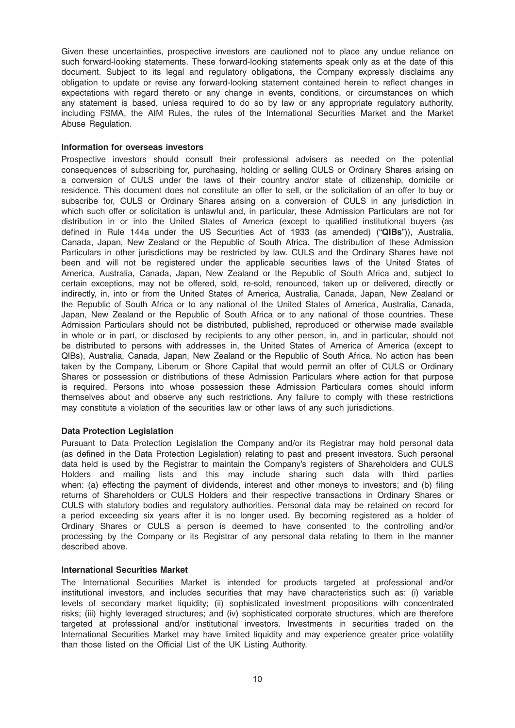Given these uncertainties, prospective investors are cautioned not to place any undue reliance on such forward-looking statements. These forward-looking statements speak only as at the date of this document. Subject to its legal and regulatory obligations, the Company expressly disclaims any obligation to update or revise any forward-looking statement contained herein to reflect changes in expectations with regard thereto or any change in events, conditions, or circumstances on which any statement is based, unless required to do so by law or any appropriate regulatory authority, including FSMA, the AIM Rules, the rules of the International Securities Market and the Market Abuse Regulation.

#### Information for overseas investors

Prospective investors should consult their professional advisers as needed on the potential consequences of subscribing for, purchasing, holding or selling CULS or Ordinary Shares arising on a conversion of CULS under the laws of their country and/or state of citizenship, domicile or residence. This document does not constitute an offer to sell, or the solicitation of an offer to buy or subscribe for, CULS or Ordinary Shares arising on a conversion of CULS in any jurisdiction in which such offer or solicitation is unlawful and, in particular, these Admission Particulars are not for distribution in or into the United States of America (except to qualified institutional buyers (as defined in Rule 144a under the US Securities Act of 1933 (as amended) ("QIBs")), Australia, Canada, Japan, New Zealand or the Republic of South Africa. The distribution of these Admission Particulars in other jurisdictions may be restricted by law. CULS and the Ordinary Shares have not been and will not be registered under the applicable securities laws of the United States of America, Australia, Canada, Japan, New Zealand or the Republic of South Africa and, subject to certain exceptions, may not be offered, sold, re-sold, renounced, taken up or delivered, directly or indirectly, in, into or from the United States of America, Australia, Canada, Japan, New Zealand or the Republic of South Africa or to any national of the United States of America, Australia, Canada, Japan, New Zealand or the Republic of South Africa or to any national of those countries. These Admission Particulars should not be distributed, published, reproduced or otherwise made available in whole or in part, or disclosed by recipients to any other person, in, and in particular, should not be distributed to persons with addresses in, the United States of America of America (except to QIBs), Australia, Canada, Japan, New Zealand or the Republic of South Africa. No action has been taken by the Company, Liberum or Shore Capital that would permit an offer of CULS or Ordinary Shares or possession or distributions of these Admission Particulars where action for that purpose is required. Persons into whose possession these Admission Particulars comes should inform themselves about and observe any such restrictions. Any failure to comply with these restrictions may constitute a violation of the securities law or other laws of any such jurisdictions.

# Data Protection Legislation

Pursuant to Data Protection Legislation the Company and/or its Registrar may hold personal data (as defined in the Data Protection Legislation) relating to past and present investors. Such personal data held is used by the Registrar to maintain the Company's registers of Shareholders and CULS Holders and mailing lists and this may include sharing such data with third parties when: (a) effecting the payment of dividends, interest and other moneys to investors; and (b) filing returns of Shareholders or CULS Holders and their respective transactions in Ordinary Shares or CULS with statutory bodies and regulatory authorities. Personal data may be retained on record for a period exceeding six years after it is no longer used. By becoming registered as a holder of Ordinary Shares or CULS a person is deemed to have consented to the controlling and/or processing by the Company or its Registrar of any personal data relating to them in the manner described above.

#### International Securities Market

The International Securities Market is intended for products targeted at professional and/or institutional investors, and includes securities that may have characteristics such as: (i) variable levels of secondary market liquidity; (ii) sophisticated investment propositions with concentrated risks; (iii) highly leveraged structures; and (iv) sophisticated corporate structures, which are therefore targeted at professional and/or institutional investors. Investments in securities traded on the International Securities Market may have limited liquidity and may experience greater price volatility than those listed on the Official List of the UK Listing Authority.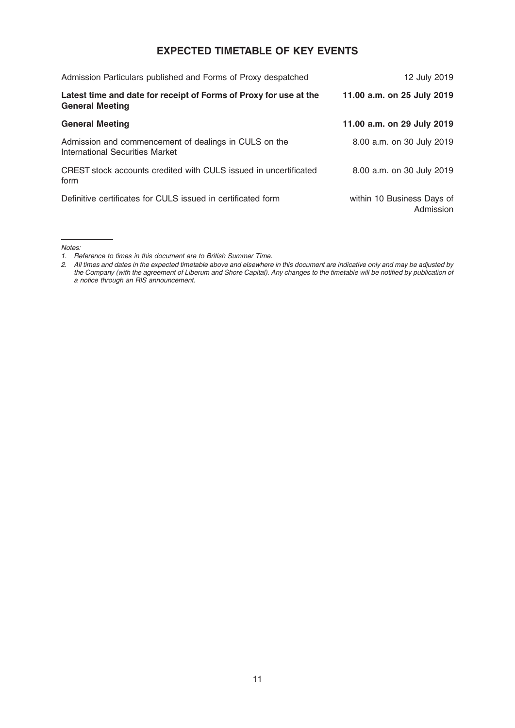# EXPECTED TIMETABLE OF KEY EVENTS

| Admission Particulars published and Forms of Proxy despatched                               | 12 July 2019                            |
|---------------------------------------------------------------------------------------------|-----------------------------------------|
| Latest time and date for receipt of Forms of Proxy for use at the<br><b>General Meeting</b> | 11.00 a.m. on 25 July 2019              |
| <b>General Meeting</b>                                                                      | 11.00 a.m. on 29 July 2019              |
| Admission and commencement of dealings in CULS on the<br>International Securities Market    | 8.00 a.m. on 30 July 2019               |
| CREST stock accounts credited with CULS issued in uncertificated<br>form                    | 8.00 a.m. on 30 July 2019               |
| Definitive certificates for CULS issued in certificated form                                | within 10 Business Days of<br>Admission |

Notes:

<sup>1.</sup> Reference to times in this document are to British Summer Time.

<sup>2.</sup> All times and dates in the expected timetable above and elsewhere in this document are indicative only and may be adjusted by the Company (with the agreement of Liberum and Shore Capital). Any changes to the timetable will be notified by publication of a notice through an RIS announcement.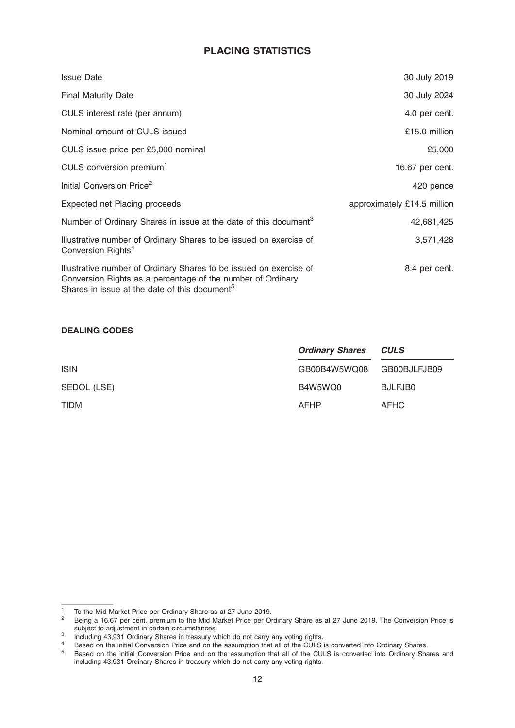# PLACING STATISTICS

| <b>Issue Date</b>                                                                                                                                                                              | 30 July 2019                |
|------------------------------------------------------------------------------------------------------------------------------------------------------------------------------------------------|-----------------------------|
| <b>Final Maturity Date</b>                                                                                                                                                                     | 30 July 2024                |
| CULS interest rate (per annum)                                                                                                                                                                 | 4.0 per cent.               |
| Nominal amount of CULS issued                                                                                                                                                                  | £15.0 million               |
| CULS issue price per £5,000 nominal                                                                                                                                                            | £5,000                      |
| CULS conversion premium <sup>1</sup>                                                                                                                                                           | 16.67 per cent.             |
| Initial Conversion Price <sup>2</sup>                                                                                                                                                          | 420 pence                   |
| Expected net Placing proceeds                                                                                                                                                                  | approximately £14.5 million |
| Number of Ordinary Shares in issue at the date of this document <sup>3</sup>                                                                                                                   | 42,681,425                  |
| Illustrative number of Ordinary Shares to be issued on exercise of<br>Conversion Rights <sup>4</sup>                                                                                           | 3,571,428                   |
| Illustrative number of Ordinary Shares to be issued on exercise of<br>Conversion Rights as a percentage of the number of Ordinary<br>Shares in issue at the date of this document <sup>5</sup> | 8.4 per cent.               |

# DEALING CODES

|             | <b>Ordinary Shares</b> | <b>CULS</b>  |
|-------------|------------------------|--------------|
| <b>ISIN</b> | GB00B4W5WQ08           | GB00BJLFJB09 |
| SEDOL (LSE) | B4W5WQ0                | BJLFJB0      |
| <b>TIDM</b> | AFHP                   | <b>AFHC</b>  |

<sup>1</sup> To the Mid Market Price per Ordinary Share as at 27 June 2019.<br>
2 Being a 16.67 per cent. premium to the Mid Market Price per Ordinary Share as at 27 June 2019. The Conversion Price is<br>
subject to adjustment in certain c

subject to adjustment in certain circumstances.<br>3 Including 43,931 Ordinary Shares in treasury which do not carry any voting rights.<br>4 Based on the initial Conversion Price and on the assumption that all of the CULS is con

<sup>&</sup>lt;sup>5</sup> Based on the initial Conversion Price and on the assumption that all of the CULS is converted into Ordinary Shares and including 43,931 Ordinary Shares in treasury which do not carry any voting rights.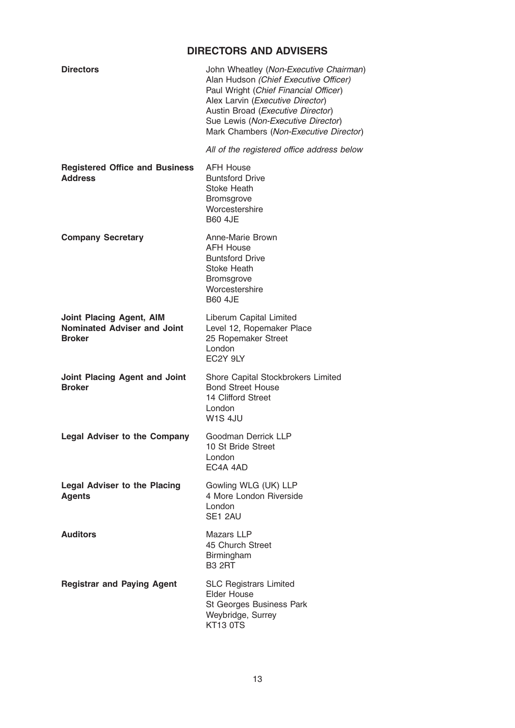# DIRECTORS AND ADVISERS

| <b>Directors</b>                                                                       | John Wheatley (Non-Executive Chairman)<br>Alan Hudson (Chief Executive Officer)<br>Paul Wright (Chief Financial Officer)<br>Alex Larvin (Executive Director)<br>Austin Broad (Executive Director)<br>Sue Lewis (Non-Executive Director)<br>Mark Chambers (Non-Executive Director) |
|----------------------------------------------------------------------------------------|-----------------------------------------------------------------------------------------------------------------------------------------------------------------------------------------------------------------------------------------------------------------------------------|
|                                                                                        | All of the registered office address below                                                                                                                                                                                                                                        |
| <b>Registered Office and Business</b><br><b>Address</b>                                | <b>AFH House</b><br><b>Buntsford Drive</b><br><b>Stoke Heath</b><br><b>Bromsgrove</b><br>Worcestershire<br><b>B60 4JE</b>                                                                                                                                                         |
| <b>Company Secretary</b>                                                               | Anne-Marie Brown<br><b>AFH House</b><br><b>Buntsford Drive</b><br>Stoke Heath<br>Bromsgrove<br>Worcestershire<br><b>B60 4JE</b>                                                                                                                                                   |
| <b>Joint Placing Agent, AIM</b><br><b>Nominated Adviser and Joint</b><br><b>Broker</b> | Liberum Capital Limited<br>Level 12, Ropemaker Place<br>25 Ropemaker Street<br>London<br>EC2Y 9LY                                                                                                                                                                                 |
| Joint Placing Agent and Joint<br><b>Broker</b>                                         | Shore Capital Stockbrokers Limited<br><b>Bond Street House</b><br>14 Clifford Street<br>London<br>W1S 4JU                                                                                                                                                                         |
| <b>Legal Adviser to the Company</b>                                                    | Goodman Derrick LLP<br>10 St Bride Street<br>London<br>EC4A 4AD                                                                                                                                                                                                                   |
| <b>Legal Adviser to the Placing</b><br><b>Agents</b>                                   | Gowling WLG (UK) LLP<br>4 More London Riverside<br>London<br>SE1 2AU                                                                                                                                                                                                              |
| <b>Auditors</b>                                                                        | Mazars LLP<br>45 Church Street<br>Birmingham<br><b>B3 2RT</b>                                                                                                                                                                                                                     |
| <b>Registrar and Paying Agent</b>                                                      | <b>SLC Registrars Limited</b><br><b>Elder House</b><br>St Georges Business Park<br>Weybridge, Surrey<br>KT13 0TS                                                                                                                                                                  |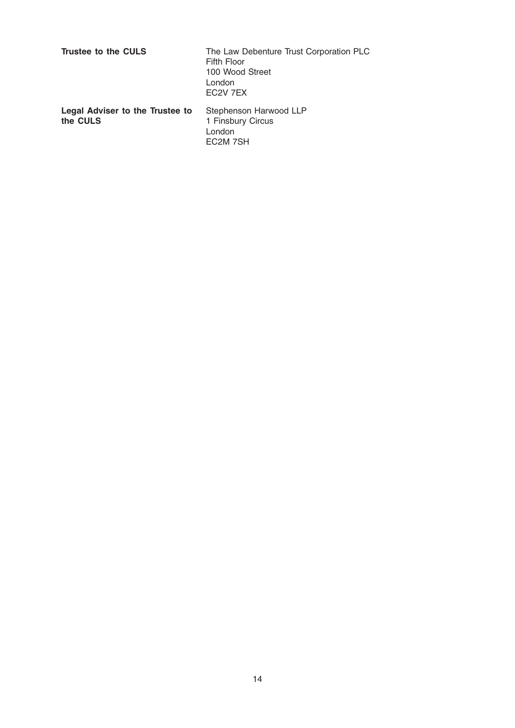| Trustee to the CULS                         | The Law Debenture Trust Corporation PLC<br>Fifth Floor<br>100 Wood Street<br>London<br>EC <sub>2</sub> V 7EX |
|---------------------------------------------|--------------------------------------------------------------------------------------------------------------|
| Legal Adviser to the Trustee to<br>the CULS | Stephenson Harwood LLP<br>1 Finsbury Circus<br>London<br>EC <sub>2</sub> M 7SH                               |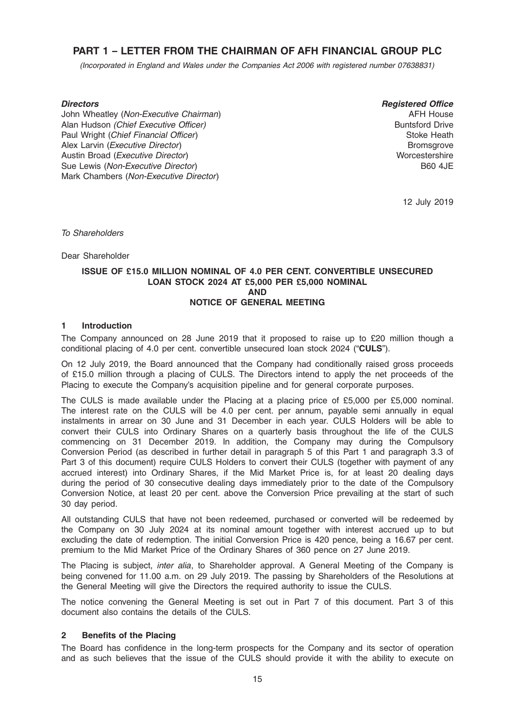# PART 1 – LETTER FROM THE CHAIRMAN OF AFH FINANCIAL GROUP PLC

(Incorporated in England and Wales under the Companies Act 2006 with registered number 07638831)

#### **Directors**

John Wheatley (Non-Executive Chairman) Alan Hudson (Chief Executive Officer) Paul Wright (Chief Financial Officer) Alex Larvin (Executive Director) Austin Broad (Executive Director) Sue Lewis (Non-Executive Director) Mark Chambers (Non-Executive Director)

Registered Office AFH House Buntsford Drive Stoke Heath Bromsgrove **Worcestershire** B60 4JE

12 July 2019

To Shareholders

Dear Shareholder

#### ISSUE OF £15.0 MILLION NOMINAL OF 4.0 PER CENT. CONVERTIBLE UNSECURED LOAN STOCK 2024 AT £5,000 PER £5,000 NOMINAL AND NOTICE OF GENERAL MEETING

#### 1 Introduction

The Company announced on 28 June 2019 that it proposed to raise up to £20 million though a conditional placing of 4.0 per cent. convertible unsecured loan stock 2024 ("CULS").

On 12 July 2019, the Board announced that the Company had conditionally raised gross proceeds of £15.0 million through a placing of CULS. The Directors intend to apply the net proceeds of the Placing to execute the Company's acquisition pipeline and for general corporate purposes.

The CULS is made available under the Placing at a placing price of £5,000 per £5,000 nominal. The interest rate on the CULS will be 4.0 per cent. per annum, payable semi annually in equal instalments in arrear on 30 June and 31 December in each year. CULS Holders will be able to convert their CULS into Ordinary Shares on a quarterly basis throughout the life of the CULS commencing on 31 December 2019. In addition, the Company may during the Compulsory Conversion Period (as described in further detail in paragraph 5 of this Part 1 and paragraph 3.3 of Part 3 of this document) require CULS Holders to convert their CULS (together with payment of any accrued interest) into Ordinary Shares, if the Mid Market Price is, for at least 20 dealing days during the period of 30 consecutive dealing days immediately prior to the date of the Compulsory Conversion Notice, at least 20 per cent. above the Conversion Price prevailing at the start of such 30 day period.

All outstanding CULS that have not been redeemed, purchased or converted will be redeemed by the Company on 30 July 2024 at its nominal amount together with interest accrued up to but excluding the date of redemption. The initial Conversion Price is 420 pence, being a 16.67 per cent. premium to the Mid Market Price of the Ordinary Shares of 360 pence on 27 June 2019.

The Placing is subject, *inter alia*, to Shareholder approval. A General Meeting of the Company is being convened for 11.00 a.m. on 29 July 2019. The passing by Shareholders of the Resolutions at the General Meeting will give the Directors the required authority to issue the CULS.

The notice convening the General Meeting is set out in Part 7 of this document. Part 3 of this document also contains the details of the CULS.

#### 2 Benefits of the Placing

The Board has confidence in the long-term prospects for the Company and its sector of operation and as such believes that the issue of the CULS should provide it with the ability to execute on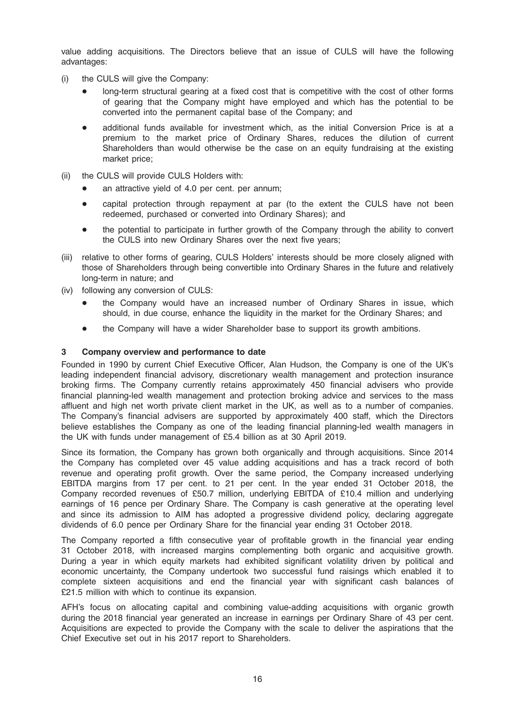value adding acquisitions. The Directors believe that an issue of CULS will have the following advantages:

- (i) the CULS will give the Company:
	- long-term structural gearing at a fixed cost that is competitive with the cost of other forms of gearing that the Company might have employed and which has the potential to be converted into the permanent capital base of the Company; and
	- additional funds available for investment which, as the initial Conversion Price is at a premium to the market price of Ordinary Shares, reduces the dilution of current Shareholders than would otherwise be the case on an equity fundraising at the existing market price;
- (ii) the CULS will provide CULS Holders with:
	- an attractive vield of 4.0 per cent. per annum:
	- capital protection through repayment at par (to the extent the CULS have not been redeemed, purchased or converted into Ordinary Shares); and
	- the potential to participate in further growth of the Company through the ability to convert the CULS into new Ordinary Shares over the next five years;
- (iii) relative to other forms of gearing, CULS Holders' interests should be more closely aligned with those of Shareholders through being convertible into Ordinary Shares in the future and relatively long-term in nature; and
- (iv) following any conversion of CULS:
	- the Company would have an increased number of Ordinary Shares in issue, which should, in due course, enhance the liquidity in the market for the Ordinary Shares; and
	- the Company will have a wider Shareholder base to support its growth ambitions.

#### 3 Company overview and performance to date

Founded in 1990 by current Chief Executive Officer, Alan Hudson, the Company is one of the UK's leading independent financial advisory, discretionary wealth management and protection insurance broking firms. The Company currently retains approximately 450 financial advisers who provide financial planning-led wealth management and protection broking advice and services to the mass affluent and high net worth private client market in the UK, as well as to a number of companies. The Company's financial advisers are supported by approximately 400 staff, which the Directors believe establishes the Company as one of the leading financial planning-led wealth managers in the UK with funds under management of £5.4 billion as at 30 April 2019.

Since its formation, the Company has grown both organically and through acquisitions. Since 2014 the Company has completed over 45 value adding acquisitions and has a track record of both revenue and operating profit growth. Over the same period, the Company increased underlying EBITDA margins from 17 per cent. to 21 per cent. In the year ended 31 October 2018, the Company recorded revenues of £50.7 million, underlying EBITDA of £10.4 million and underlying earnings of 16 pence per Ordinary Share. The Company is cash generative at the operating level and since its admission to AIM has adopted a progressive dividend policy, declaring aggregate dividends of 6.0 pence per Ordinary Share for the financial year ending 31 October 2018.

The Company reported a fifth consecutive year of profitable growth in the financial year ending 31 October 2018, with increased margins complementing both organic and acquisitive growth. During a year in which equity markets had exhibited significant volatility driven by political and economic uncertainty, the Company undertook two successful fund raisings which enabled it to complete sixteen acquisitions and end the financial year with significant cash balances of £21.5 million with which to continue its expansion.

AFH's focus on allocating capital and combining value-adding acquisitions with organic growth during the 2018 financial year generated an increase in earnings per Ordinary Share of 43 per cent. Acquisitions are expected to provide the Company with the scale to deliver the aspirations that the Chief Executive set out in his 2017 report to Shareholders.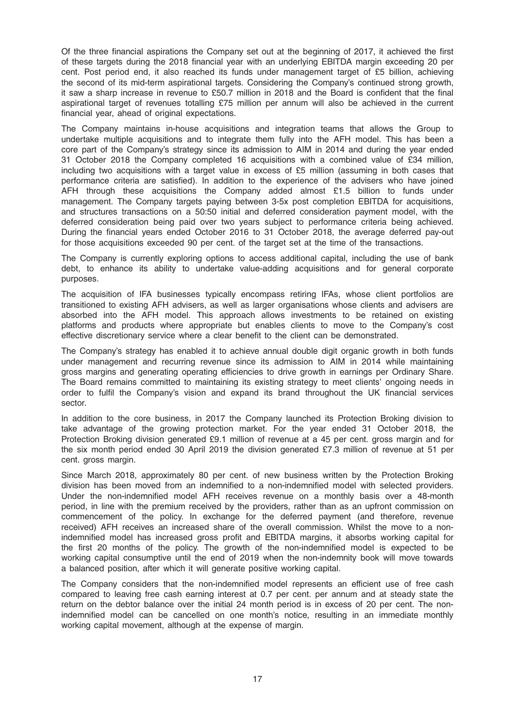Of the three financial aspirations the Company set out at the beginning of 2017, it achieved the first of these targets during the 2018 financial year with an underlying EBITDA margin exceeding 20 per cent. Post period end, it also reached its funds under management target of £5 billion, achieving the second of its mid-term aspirational targets. Considering the Company's continued strong growth, it saw a sharp increase in revenue to £50.7 million in 2018 and the Board is confident that the final aspirational target of revenues totalling £75 million per annum will also be achieved in the current financial year, ahead of original expectations.

The Company maintains in-house acquisitions and integration teams that allows the Group to undertake multiple acquisitions and to integrate them fully into the AFH model. This has been a core part of the Company's strategy since its admission to AIM in 2014 and during the year ended 31 October 2018 the Company completed 16 acquisitions with a combined value of £34 million, including two acquisitions with a target value in excess of £5 million (assuming in both cases that performance criteria are satisfied). In addition to the experience of the advisers who have joined AFH through these acquisitions the Company added almost £1.5 billion to funds under management. The Company targets paying between 3-5x post completion EBITDA for acquisitions, and structures transactions on a 50:50 initial and deferred consideration payment model, with the deferred consideration being paid over two years subject to performance criteria being achieved. During the financial years ended October 2016 to 31 October 2018, the average deferred pay-out for those acquisitions exceeded 90 per cent. of the target set at the time of the transactions.

The Company is currently exploring options to access additional capital, including the use of bank debt, to enhance its ability to undertake value-adding acquisitions and for general corporate purposes.

The acquisition of IFA businesses typically encompass retiring IFAs, whose client portfolios are transitioned to existing AFH advisers, as well as larger organisations whose clients and advisers are absorbed into the AFH model. This approach allows investments to be retained on existing platforms and products where appropriate but enables clients to move to the Company's cost effective discretionary service where a clear benefit to the client can be demonstrated.

The Company's strategy has enabled it to achieve annual double digit organic growth in both funds under management and recurring revenue since its admission to AIM in 2014 while maintaining gross margins and generating operating efficiencies to drive growth in earnings per Ordinary Share. The Board remains committed to maintaining its existing strategy to meet clients' ongoing needs in order to fulfil the Company's vision and expand its brand throughout the UK financial services sector.

In addition to the core business, in 2017 the Company launched its Protection Broking division to take advantage of the growing protection market. For the year ended 31 October 2018, the Protection Broking division generated £9.1 million of revenue at a 45 per cent. gross margin and for the six month period ended 30 April 2019 the division generated £7.3 million of revenue at 51 per cent. gross margin.

Since March 2018, approximately 80 per cent. of new business written by the Protection Broking division has been moved from an indemnified to a non-indemnified model with selected providers. Under the non-indemnified model AFH receives revenue on a monthly basis over a 48-month period, in line with the premium received by the providers, rather than as an upfront commission on commencement of the policy. In exchange for the deferred payment (and therefore, revenue received) AFH receives an increased share of the overall commission. Whilst the move to a nonindemnified model has increased gross profit and EBITDA margins, it absorbs working capital for the first 20 months of the policy. The growth of the non-indemnified model is expected to be working capital consumptive until the end of 2019 when the non-indemnity book will move towards a balanced position, after which it will generate positive working capital.

The Company considers that the non-indemnified model represents an efficient use of free cash compared to leaving free cash earning interest at 0.7 per cent. per annum and at steady state the return on the debtor balance over the initial 24 month period is in excess of 20 per cent. The nonindemnified model can be cancelled on one month's notice, resulting in an immediate monthly working capital movement, although at the expense of margin.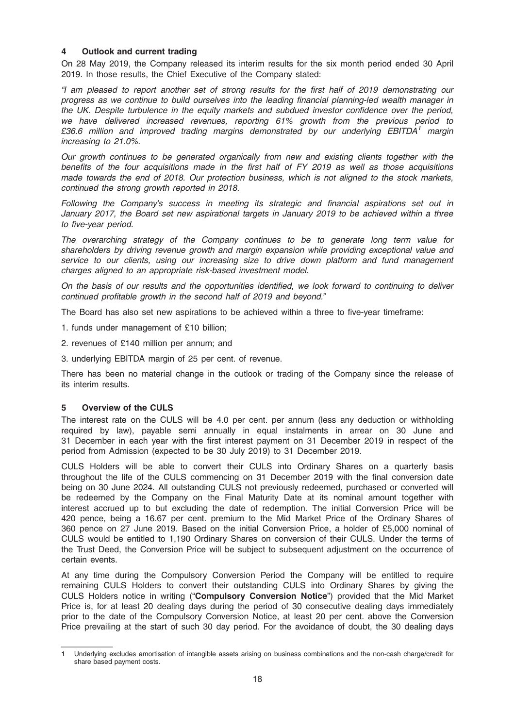#### 4 Outlook and current trading

On 28 May 2019, the Company released its interim results for the six month period ended 30 April 2019. In those results, the Chief Executive of the Company stated:

"I am pleased to report another set of strong results for the first half of 2019 demonstrating our progress as we continue to build ourselves into the leading financial planning-led wealth manager in the UK. Despite turbulence in the equity markets and subdued investor confidence over the period, we have delivered increased revenues, reporting 61% growth from the previous period to £36.6 million and improved trading margins demonstrated by our underlying  $EBITDA<sup>1</sup>$  margin increasing to 21.0%.

Our growth continues to be generated organically from new and existing clients together with the benefits of the four acquisitions made in the first half of FY 2019 as well as those acquisitions made towards the end of 2018. Our protection business, which is not aligned to the stock markets, continued the strong growth reported in 2018.

Following the Company's success in meeting its strategic and financial aspirations set out in January 2017, the Board set new aspirational targets in January 2019 to be achieved within a three to five-year period.

The overarching strategy of the Company continues to be to generate long term value for shareholders by driving revenue growth and margin expansion while providing exceptional value and service to our clients, using our increasing size to drive down platform and fund management charges aligned to an appropriate risk-based investment model.

On the basis of our results and the opportunities identified, we look forward to continuing to deliver continued profitable growth in the second half of 2019 and beyond."

The Board has also set new aspirations to be achieved within a three to five-year timeframe:

1. funds under management of £10 billion;

2. revenues of £140 million per annum; and

3. underlying EBITDA margin of 25 per cent. of revenue.

There has been no material change in the outlook or trading of the Company since the release of its interim results.

#### 5 Overview of the CULS

The interest rate on the CULS will be 4.0 per cent. per annum (less any deduction or withholding required by law), payable semi annually in equal instalments in arrear on 30 June and 31 December in each year with the first interest payment on 31 December 2019 in respect of the period from Admission (expected to be 30 July 2019) to 31 December 2019.

CULS Holders will be able to convert their CULS into Ordinary Shares on a quarterly basis throughout the life of the CULS commencing on 31 December 2019 with the final conversion date being on 30 June 2024. All outstanding CULS not previously redeemed, purchased or converted will be redeemed by the Company on the Final Maturity Date at its nominal amount together with interest accrued up to but excluding the date of redemption. The initial Conversion Price will be 420 pence, being a 16.67 per cent. premium to the Mid Market Price of the Ordinary Shares of 360 pence on 27 June 2019. Based on the initial Conversion Price, a holder of £5,000 nominal of CULS would be entitled to 1,190 Ordinary Shares on conversion of their CULS. Under the terms of the Trust Deed, the Conversion Price will be subject to subsequent adjustment on the occurrence of certain events.

At any time during the Compulsory Conversion Period the Company will be entitled to require remaining CULS Holders to convert their outstanding CULS into Ordinary Shares by giving the CULS Holders notice in writing ("Compulsory Conversion Notice") provided that the Mid Market Price is, for at least 20 dealing days during the period of 30 consecutive dealing days immediately prior to the date of the Compulsory Conversion Notice, at least 20 per cent. above the Conversion Price prevailing at the start of such 30 day period. For the avoidance of doubt, the 30 dealing days

<sup>1</sup> Underlying excludes amortisation of intangible assets arising on business combinations and the non-cash charge/credit for share based payment costs.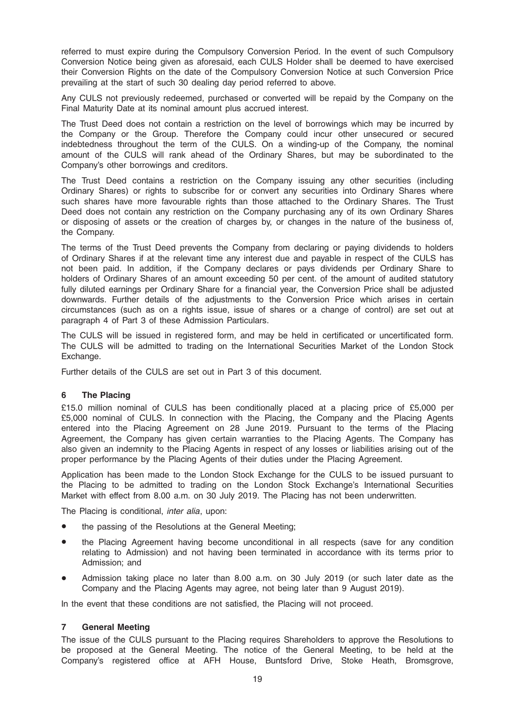referred to must expire during the Compulsory Conversion Period. In the event of such Compulsory Conversion Notice being given as aforesaid, each CULS Holder shall be deemed to have exercised their Conversion Rights on the date of the Compulsory Conversion Notice at such Conversion Price prevailing at the start of such 30 dealing day period referred to above.

Any CULS not previously redeemed, purchased or converted will be repaid by the Company on the Final Maturity Date at its nominal amount plus accrued interest.

The Trust Deed does not contain a restriction on the level of borrowings which may be incurred by the Company or the Group. Therefore the Company could incur other unsecured or secured indebtedness throughout the term of the CULS. On a winding-up of the Company, the nominal amount of the CULS will rank ahead of the Ordinary Shares, but may be subordinated to the Company's other borrowings and creditors.

The Trust Deed contains a restriction on the Company issuing any other securities (including Ordinary Shares) or rights to subscribe for or convert any securities into Ordinary Shares where such shares have more favourable rights than those attached to the Ordinary Shares. The Trust Deed does not contain any restriction on the Company purchasing any of its own Ordinary Shares or disposing of assets or the creation of charges by, or changes in the nature of the business of, the Company.

The terms of the Trust Deed prevents the Company from declaring or paying dividends to holders of Ordinary Shares if at the relevant time any interest due and payable in respect of the CULS has not been paid. In addition, if the Company declares or pays dividends per Ordinary Share to holders of Ordinary Shares of an amount exceeding 50 per cent. of the amount of audited statutory fully diluted earnings per Ordinary Share for a financial year, the Conversion Price shall be adjusted downwards. Further details of the adjustments to the Conversion Price which arises in certain circumstances (such as on a rights issue, issue of shares or a change of control) are set out at paragraph 4 of Part 3 of these Admission Particulars.

The CULS will be issued in registered form, and may be held in certificated or uncertificated form. The CULS will be admitted to trading on the International Securities Market of the London Stock Exchange.

Further details of the CULS are set out in Part 3 of this document.

#### 6 The Placing

£15.0 million nominal of CULS has been conditionally placed at a placing price of £5,000 per £5,000 nominal of CULS. In connection with the Placing, the Company and the Placing Agents entered into the Placing Agreement on 28 June 2019. Pursuant to the terms of the Placing Agreement, the Company has given certain warranties to the Placing Agents. The Company has also given an indemnity to the Placing Agents in respect of any losses or liabilities arising out of the proper performance by the Placing Agents of their duties under the Placing Agreement.

Application has been made to the London Stock Exchange for the CULS to be issued pursuant to the Placing to be admitted to trading on the London Stock Exchange's International Securities Market with effect from 8.00 a.m. on 30 July 2019. The Placing has not been underwritten.

The Placing is conditional, *inter alia*, upon:

- the passing of the Resolutions at the General Meeting;
- the Placing Agreement having become unconditional in all respects (save for any condition relating to Admission) and not having been terminated in accordance with its terms prior to Admission; and
- Admission taking place no later than 8.00 a.m. on 30 July 2019 (or such later date as the Company and the Placing Agents may agree, not being later than 9 August 2019).

In the event that these conditions are not satisfied, the Placing will not proceed.

# 7 General Meeting

The issue of the CULS pursuant to the Placing requires Shareholders to approve the Resolutions to be proposed at the General Meeting. The notice of the General Meeting, to be held at the Company's registered office at AFH House, Buntsford Drive, Stoke Heath, Bromsgrove,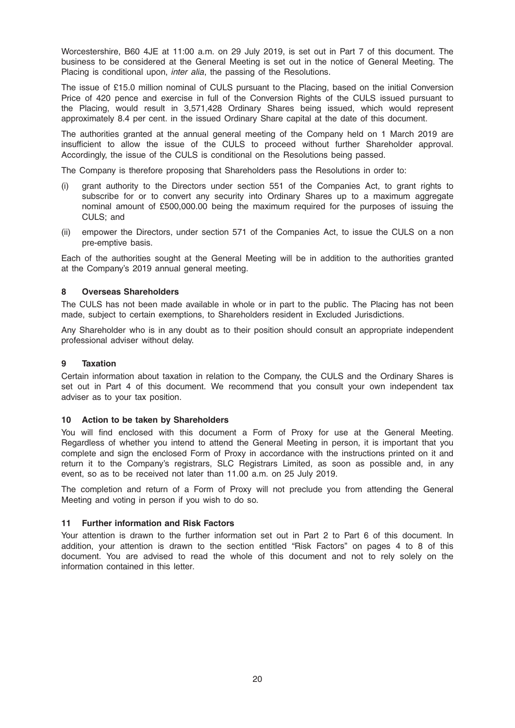Worcestershire, B60 4JE at 11:00 a.m. on 29 July 2019, is set out in Part 7 of this document. The business to be considered at the General Meeting is set out in the notice of General Meeting. The Placing is conditional upon, *inter alia*, the passing of the Resolutions.

The issue of £15.0 million nominal of CULS pursuant to the Placing, based on the initial Conversion Price of 420 pence and exercise in full of the Conversion Rights of the CULS issued pursuant to the Placing, would result in 3,571,428 Ordinary Shares being issued, which would represent approximately 8.4 per cent. in the issued Ordinary Share capital at the date of this document.

The authorities granted at the annual general meeting of the Company held on 1 March 2019 are insufficient to allow the issue of the CULS to proceed without further Shareholder approval. Accordingly, the issue of the CULS is conditional on the Resolutions being passed.

The Company is therefore proposing that Shareholders pass the Resolutions in order to:

- (i) grant authority to the Directors under section 551 of the Companies Act, to grant rights to subscribe for or to convert any security into Ordinary Shares up to a maximum aggregate nominal amount of £500,000.00 being the maximum required for the purposes of issuing the CULS; and
- (ii) empower the Directors, under section 571 of the Companies Act, to issue the CULS on a non pre-emptive basis.

Each of the authorities sought at the General Meeting will be in addition to the authorities granted at the Company's 2019 annual general meeting.

#### 8 Overseas Shareholders

The CULS has not been made available in whole or in part to the public. The Placing has not been made, subject to certain exemptions, to Shareholders resident in Excluded Jurisdictions.

Any Shareholder who is in any doubt as to their position should consult an appropriate independent professional adviser without delay.

#### 9 Taxation

Certain information about taxation in relation to the Company, the CULS and the Ordinary Shares is set out in Part 4 of this document. We recommend that you consult your own independent tax adviser as to your tax position.

#### 10 Action to be taken by Shareholders

You will find enclosed with this document a Form of Proxy for use at the General Meeting. Regardless of whether you intend to attend the General Meeting in person, it is important that you complete and sign the enclosed Form of Proxy in accordance with the instructions printed on it and return it to the Company's registrars, SLC Registrars Limited, as soon as possible and, in any event, so as to be received not later than 11.00 a.m. on 25 July 2019.

The completion and return of a Form of Proxy will not preclude you from attending the General Meeting and voting in person if you wish to do so.

#### 11 Further information and Risk Factors

Your attention is drawn to the further information set out in Part 2 to Part 6 of this document. In addition, your attention is drawn to the section entitled "Risk Factors" on pages 4 to 8 of this document. You are advised to read the whole of this document and not to rely solely on the information contained in this letter.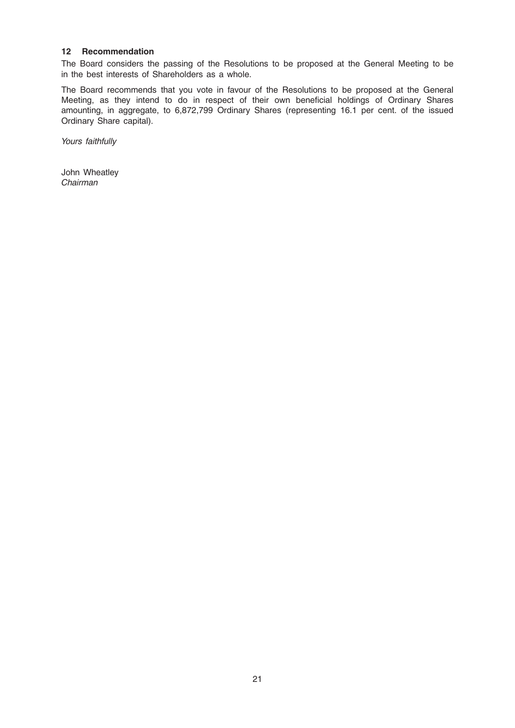#### 12 Recommendation

The Board considers the passing of the Resolutions to be proposed at the General Meeting to be in the best interests of Shareholders as a whole.

The Board recommends that you vote in favour of the Resolutions to be proposed at the General Meeting, as they intend to do in respect of their own beneficial holdings of Ordinary Shares amounting, in aggregate, to 6,872,799 Ordinary Shares (representing 16.1 per cent. of the issued Ordinary Share capital).

Yours faithfully

John Wheatley Chairman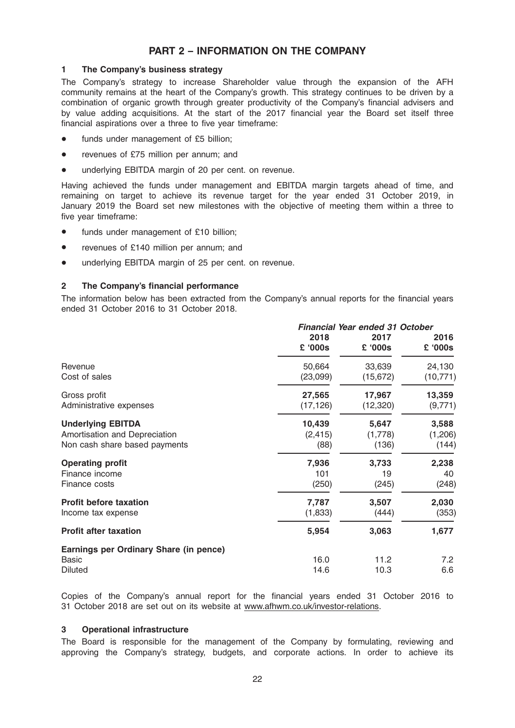# PART 2 – INFORMATION ON THE COMPANY

#### 1 The Company's business strategy

The Company's strategy to increase Shareholder value through the expansion of the AFH community remains at the heart of the Company's growth. This strategy continues to be driven by a combination of organic growth through greater productivity of the Company's financial advisers and by value adding acquisitions. At the start of the 2017 financial year the Board set itself three financial aspirations over a three to five year timeframe:

- funds under management of £5 billion;
- revenues of £75 million per annum; and
- underlying EBITDA margin of 20 per cent. on revenue.

Having achieved the funds under management and EBITDA margin targets ahead of time, and remaining on target to achieve its revenue target for the year ended 31 October 2019, in January 2019 the Board set new milestones with the objective of meeting them within a three to five year timeframe:

- funds under management of £10 billion;
- revenues of £140 million per annum; and
- underlying EBITDA margin of 25 per cent. on revenue.

#### 2 The Company's financial performance

The information below has been extracted from the Company's annual reports for the financial years ended 31 October 2016 to 31 October 2018.

|                                        | <b>Financial Year ended 31 October</b> |                 |                         |
|----------------------------------------|----------------------------------------|-----------------|-------------------------|
|                                        | 2018<br>£ '000s                        | 2017<br>£ '000s | 2016<br>$2000$ $\Omega$ |
| Revenue                                | 50,664                                 | 33,639          | 24,130                  |
| Cost of sales                          | (23,099)                               | (15, 672)       | (10, 771)               |
| Gross profit                           | 27,565                                 | 17,967          | 13,359                  |
| Administrative expenses                | (17, 126)                              | (12, 320)       | (9,771)                 |
| <b>Underlying EBITDA</b>               | 10,439                                 | 5,647           | 3,588                   |
| Amortisation and Depreciation          | (2, 415)                               | (1,778)         | (1,206)                 |
| Non cash share based payments          | (88)                                   | (136)           | (144)                   |
| <b>Operating profit</b>                | 7,936                                  | 3,733           | 2,238                   |
| Finance income                         | 101                                    | 19              | 40                      |
| Finance costs                          | (250)                                  | (245)           | (248)                   |
| <b>Profit before taxation</b>          | 7,787                                  | 3,507           | 2,030                   |
| Income tax expense                     | (1,833)                                | (444)           | (353)                   |
| <b>Profit after taxation</b>           | 5,954                                  | 3,063           | 1,677                   |
| Earnings per Ordinary Share (in pence) |                                        |                 |                         |
| <b>Basic</b>                           | 16.0                                   | 11.2            | 7.2                     |
| <b>Diluted</b>                         | 14.6                                   | 10.3            | 6.6                     |

Copies of the Company's annual report for the financial years ended 31 October 2016 to 31 October 2018 are set out on its website at www.afhwm.co.uk/investor-relations.

#### 3 Operational infrastructure

The Board is responsible for the management of the Company by formulating, reviewing and approving the Company's strategy, budgets, and corporate actions. In order to achieve its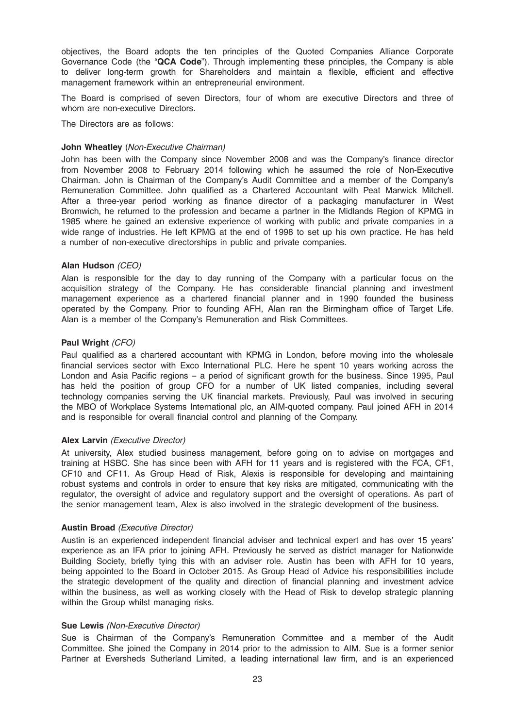objectives, the Board adopts the ten principles of the Quoted Companies Alliance Corporate Governance Code (the "QCA Code"). Through implementing these principles, the Company is able to deliver long-term growth for Shareholders and maintain a flexible, efficient and effective management framework within an entrepreneurial environment.

The Board is comprised of seven Directors, four of whom are executive Directors and three of whom are non-executive Directors.

The Directors are as follows:

#### John Wheatley (Non-Executive Chairman)

John has been with the Company since November 2008 and was the Company's finance director from November 2008 to February 2014 following which he assumed the role of Non-Executive Chairman. John is Chairman of the Company's Audit Committee and a member of the Company's Remuneration Committee. John qualified as a Chartered Accountant with Peat Marwick Mitchell. After a three-year period working as finance director of a packaging manufacturer in West Bromwich, he returned to the profession and became a partner in the Midlands Region of KPMG in 1985 where he gained an extensive experience of working with public and private companies in a wide range of industries. He left KPMG at the end of 1998 to set up his own practice. He has held a number of non-executive directorships in public and private companies.

#### Alan Hudson (CEO)

Alan is responsible for the day to day running of the Company with a particular focus on the acquisition strategy of the Company. He has considerable financial planning and investment management experience as a chartered financial planner and in 1990 founded the business operated by the Company. Prior to founding AFH, Alan ran the Birmingham office of Target Life. Alan is a member of the Company's Remuneration and Risk Committees.

#### Paul Wright (CFO)

Paul qualified as a chartered accountant with KPMG in London, before moving into the wholesale financial services sector with Exco International PLC. Here he spent 10 years working across the London and Asia Pacific regions – a period of significant growth for the business. Since 1995, Paul has held the position of group CFO for a number of UK listed companies, including several technology companies serving the UK financial markets. Previously, Paul was involved in securing the MBO of Workplace Systems International plc, an AIM-quoted company. Paul joined AFH in 2014 and is responsible for overall financial control and planning of the Company.

#### Alex Larvin (Executive Director)

At university, Alex studied business management, before going on to advise on mortgages and training at HSBC. She has since been with AFH for 11 years and is registered with the FCA, CF1, CF10 and CF11. As Group Head of Risk, Alexis is responsible for developing and maintaining robust systems and controls in order to ensure that key risks are mitigated, communicating with the regulator, the oversight of advice and regulatory support and the oversight of operations. As part of the senior management team, Alex is also involved in the strategic development of the business.

#### Austin Broad (Executive Director)

Austin is an experienced independent financial adviser and technical expert and has over 15 years' experience as an IFA prior to joining AFH. Previously he served as district manager for Nationwide Building Society, briefly tying this with an adviser role. Austin has been with AFH for 10 years, being appointed to the Board in October 2015. As Group Head of Advice his responsibilities include the strategic development of the quality and direction of financial planning and investment advice within the business, as well as working closely with the Head of Risk to develop strategic planning within the Group whilst managing risks.

#### Sue Lewis (Non-Executive Director)

Sue is Chairman of the Company's Remuneration Committee and a member of the Audit Committee. She joined the Company in 2014 prior to the admission to AIM. Sue is a former senior Partner at Eversheds Sutherland Limited, a leading international law firm, and is an experienced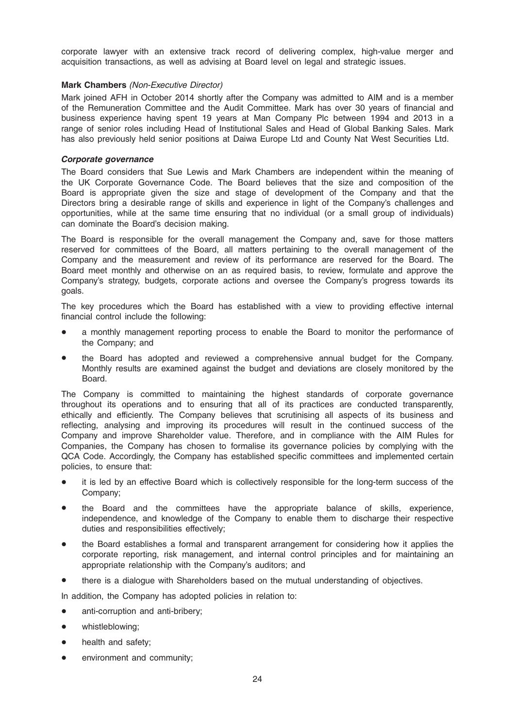corporate lawyer with an extensive track record of delivering complex, high-value merger and acquisition transactions, as well as advising at Board level on legal and strategic issues.

#### Mark Chambers (Non-Executive Director)

Mark joined AFH in October 2014 shortly after the Company was admitted to AIM and is a member of the Remuneration Committee and the Audit Committee. Mark has over 30 years of financial and business experience having spent 19 years at Man Company Plc between 1994 and 2013 in a range of senior roles including Head of Institutional Sales and Head of Global Banking Sales. Mark has also previously held senior positions at Daiwa Europe Ltd and County Nat West Securities Ltd.

#### Corporate governance

The Board considers that Sue Lewis and Mark Chambers are independent within the meaning of the UK Corporate Governance Code. The Board believes that the size and composition of the Board is appropriate given the size and stage of development of the Company and that the Directors bring a desirable range of skills and experience in light of the Company's challenges and opportunities, while at the same time ensuring that no individual (or a small group of individuals) can dominate the Board's decision making.

The Board is responsible for the overall management the Company and, save for those matters reserved for committees of the Board, all matters pertaining to the overall management of the Company and the measurement and review of its performance are reserved for the Board. The Board meet monthly and otherwise on an as required basis, to review, formulate and approve the Company's strategy, budgets, corporate actions and oversee the Company's progress towards its goals.

The key procedures which the Board has established with a view to providing effective internal financial control include the following:

- a monthly management reporting process to enable the Board to monitor the performance of the Company; and
- the Board has adopted and reviewed a comprehensive annual budget for the Company. Monthly results are examined against the budget and deviations are closely monitored by the Board.

The Company is committed to maintaining the highest standards of corporate governance throughout its operations and to ensuring that all of its practices are conducted transparently, ethically and efficiently. The Company believes that scrutinising all aspects of its business and reflecting, analysing and improving its procedures will result in the continued success of the Company and improve Shareholder value. Therefore, and in compliance with the AIM Rules for Companies, the Company has chosen to formalise its governance policies by complying with the QCA Code. Accordingly, the Company has established specific committees and implemented certain policies, to ensure that:

- it is led by an effective Board which is collectively responsible for the long-term success of the Company;
- the Board and the committees have the appropriate balance of skills, experience, independence, and knowledge of the Company to enable them to discharge their respective duties and responsibilities effectively;
- the Board establishes a formal and transparent arrangement for considering how it applies the corporate reporting, risk management, and internal control principles and for maintaining an appropriate relationship with the Company's auditors; and
- there is a dialogue with Shareholders based on the mutual understanding of objectives.

In addition, the Company has adopted policies in relation to:

- anti-corruption and anti-bribery;
- whistleblowing;
- health and safety;
- environment and community;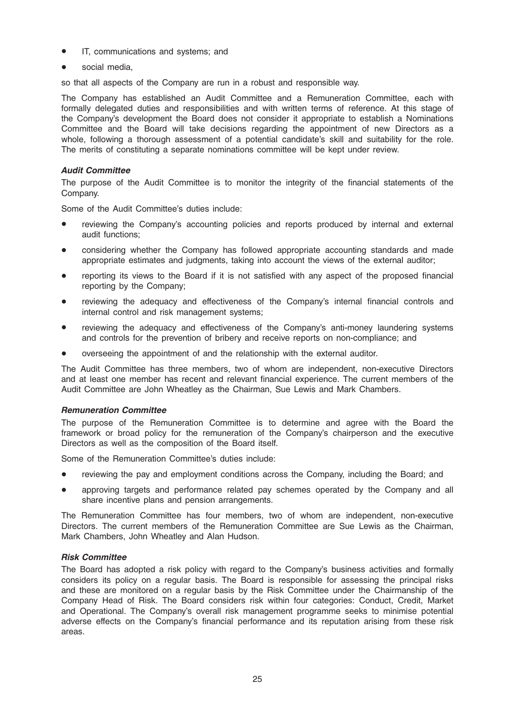- IT, communications and systems; and
- social media.

so that all aspects of the Company are run in a robust and responsible way.

The Company has established an Audit Committee and a Remuneration Committee, each with formally delegated duties and responsibilities and with written terms of reference. At this stage of the Company's development the Board does not consider it appropriate to establish a Nominations Committee and the Board will take decisions regarding the appointment of new Directors as a whole, following a thorough assessment of a potential candidate's skill and suitability for the role. The merits of constituting a separate nominations committee will be kept under review.

#### Audit Committee

The purpose of the Audit Committee is to monitor the integrity of the financial statements of the Company.

Some of the Audit Committee's duties include:

- reviewing the Company's accounting policies and reports produced by internal and external audit functions;
- \* considering whether the Company has followed appropriate accounting standards and made appropriate estimates and judgments, taking into account the views of the external auditor;
- reporting its views to the Board if it is not satisfied with any aspect of the proposed financial reporting by the Company;
- reviewing the adequacy and effectiveness of the Company's internal financial controls and internal control and risk management systems;
- reviewing the adequacy and effectiveness of the Company's anti-money laundering systems and controls for the prevention of bribery and receive reports on non-compliance; and
- overseeing the appointment of and the relationship with the external auditor.

The Audit Committee has three members, two of whom are independent, non-executive Directors and at least one member has recent and relevant financial experience. The current members of the Audit Committee are John Wheatley as the Chairman, Sue Lewis and Mark Chambers.

#### Remuneration Committee

The purpose of the Remuneration Committee is to determine and agree with the Board the framework or broad policy for the remuneration of the Company's chairperson and the executive Directors as well as the composition of the Board itself.

Some of the Remuneration Committee's duties include:

- reviewing the pay and employment conditions across the Company, including the Board; and
- approving targets and performance related pay schemes operated by the Company and all share incentive plans and pension arrangements.

The Remuneration Committee has four members, two of whom are independent, non-executive Directors. The current members of the Remuneration Committee are Sue Lewis as the Chairman, Mark Chambers, John Wheatley and Alan Hudson.

#### Risk Committee

The Board has adopted a risk policy with regard to the Company's business activities and formally considers its policy on a regular basis. The Board is responsible for assessing the principal risks and these are monitored on a regular basis by the Risk Committee under the Chairmanship of the Company Head of Risk. The Board considers risk within four categories: Conduct, Credit, Market and Operational. The Company's overall risk management programme seeks to minimise potential adverse effects on the Company's financial performance and its reputation arising from these risk areas.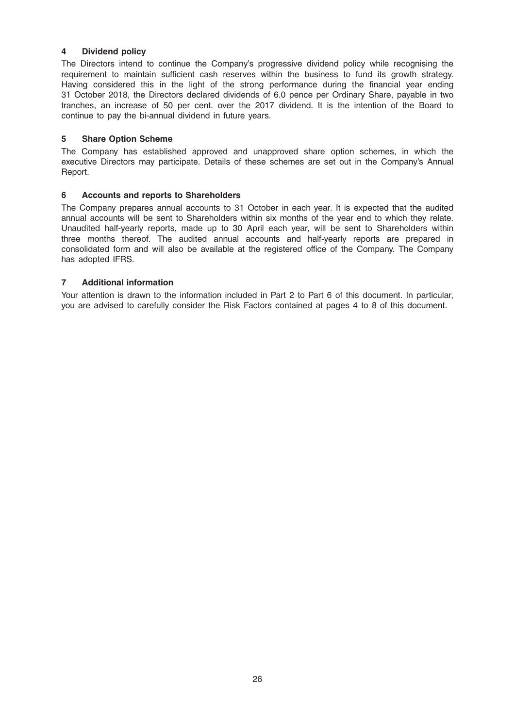# 4 Dividend policy

The Directors intend to continue the Company's progressive dividend policy while recognising the requirement to maintain sufficient cash reserves within the business to fund its growth strategy. Having considered this in the light of the strong performance during the financial year ending 31 October 2018, the Directors declared dividends of 6.0 pence per Ordinary Share, payable in two tranches, an increase of 50 per cent. over the 2017 dividend. It is the intention of the Board to continue to pay the bi-annual dividend in future years.

# 5 Share Option Scheme

The Company has established approved and unapproved share option schemes, in which the executive Directors may participate. Details of these schemes are set out in the Company's Annual Report.

# 6 Accounts and reports to Shareholders

The Company prepares annual accounts to 31 October in each year. It is expected that the audited annual accounts will be sent to Shareholders within six months of the year end to which they relate. Unaudited half-yearly reports, made up to 30 April each year, will be sent to Shareholders within three months thereof. The audited annual accounts and half-yearly reports are prepared in consolidated form and will also be available at the registered office of the Company. The Company has adopted IFRS.

# 7 Additional information

Your attention is drawn to the information included in Part 2 to Part 6 of this document. In particular, you are advised to carefully consider the Risk Factors contained at pages 4 to 8 of this document.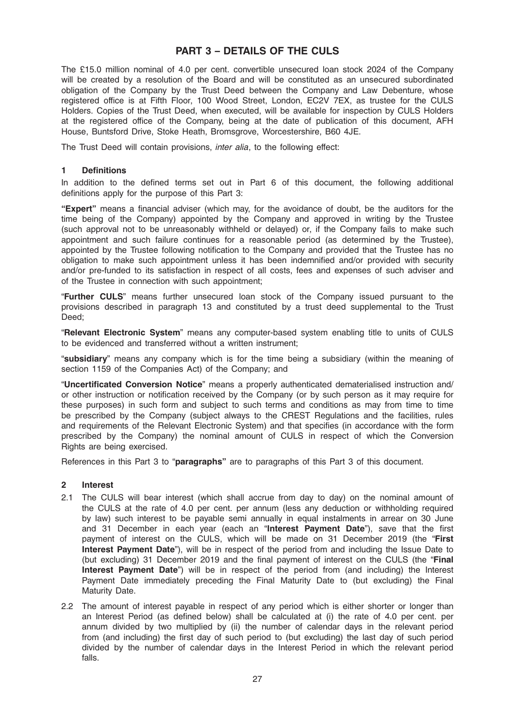# PART 3 – DETAILS OF THE CULS

The £15.0 million nominal of 4.0 per cent. convertible unsecured loan stock 2024 of the Company will be created by a resolution of the Board and will be constituted as an unsecured subordinated obligation of the Company by the Trust Deed between the Company and Law Debenture, whose registered office is at Fifth Floor, 100 Wood Street, London, EC2V 7EX, as trustee for the CULS Holders. Copies of the Trust Deed, when executed, will be available for inspection by CULS Holders at the registered office of the Company, being at the date of publication of this document, AFH House, Buntsford Drive, Stoke Heath, Bromsgrove, Worcestershire, B60 4JE.

The Trust Deed will contain provisions, inter alia, to the following effect:

#### 1 Definitions

In addition to the defined terms set out in Part 6 of this document, the following additional definitions apply for the purpose of this Part 3:

"Expert" means a financial adviser (which may, for the avoidance of doubt, be the auditors for the time being of the Company) appointed by the Company and approved in writing by the Trustee (such approval not to be unreasonably withheld or delayed) or, if the Company fails to make such appointment and such failure continues for a reasonable period (as determined by the Trustee), appointed by the Trustee following notification to the Company and provided that the Trustee has no obligation to make such appointment unless it has been indemnified and/or provided with security and/or pre-funded to its satisfaction in respect of all costs, fees and expenses of such adviser and of the Trustee in connection with such appointment;

"Further CULS" means further unsecured loan stock of the Company issued pursuant to the provisions described in paragraph 13 and constituted by a trust deed supplemental to the Trust Deed;

"Relevant Electronic System" means any computer-based system enabling title to units of CULS to be evidenced and transferred without a written instrument;

"subsidiary" means any company which is for the time being a subsidiary (within the meaning of section 1159 of the Companies Act) of the Company; and

"Uncertificated Conversion Notice" means a properly authenticated dematerialised instruction and/ or other instruction or notification received by the Company (or by such person as it may require for these purposes) in such form and subject to such terms and conditions as may from time to time be prescribed by the Company (subject always to the CREST Regulations and the facilities, rules and requirements of the Relevant Electronic System) and that specifies (in accordance with the form prescribed by the Company) the nominal amount of CULS in respect of which the Conversion Rights are being exercised.

References in this Part 3 to "paragraphs" are to paragraphs of this Part 3 of this document.

#### 2 Interest

- 2.1 The CULS will bear interest (which shall accrue from day to day) on the nominal amount of the CULS at the rate of 4.0 per cent. per annum (less any deduction or withholding required by law) such interest to be payable semi annually in equal instalments in arrear on 30 June and 31 December in each year (each an "Interest Payment Date"), save that the first payment of interest on the CULS, which will be made on 31 December 2019 (the "First Interest Payment Date"), will be in respect of the period from and including the Issue Date to (but excluding) 31 December 2019 and the final payment of interest on the CULS (the "Final Interest Payment Date") will be in respect of the period from (and including) the Interest Payment Date immediately preceding the Final Maturity Date to (but excluding) the Final Maturity Date.
- 2.2 The amount of interest payable in respect of any period which is either shorter or longer than an Interest Period (as defined below) shall be calculated at (i) the rate of 4.0 per cent. per annum divided by two multiplied by (ii) the number of calendar days in the relevant period from (and including) the first day of such period to (but excluding) the last day of such period divided by the number of calendar days in the Interest Period in which the relevant period falls.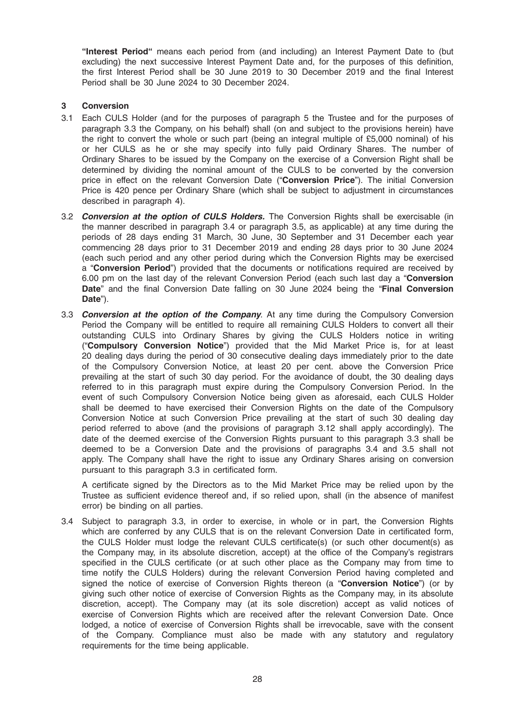"Interest Period" means each period from (and including) an Interest Payment Date to (but excluding) the next successive Interest Payment Date and, for the purposes of this definition, the first Interest Period shall be 30 June 2019 to 30 December 2019 and the final Interest Period shall be 30 June 2024 to 30 December 2024.

# 3 Conversion

- 3.1 Each CULS Holder (and for the purposes of paragraph 5 the Trustee and for the purposes of paragraph 3.3 the Company, on his behalf) shall (on and subject to the provisions herein) have the right to convert the whole or such part (being an integral multiple of £5,000 nominal) of his or her CULS as he or she may specify into fully paid Ordinary Shares. The number of Ordinary Shares to be issued by the Company on the exercise of a Conversion Right shall be determined by dividing the nominal amount of the CULS to be converted by the conversion price in effect on the relevant Conversion Date ("Conversion Price"). The initial Conversion Price is 420 pence per Ordinary Share (which shall be subject to adjustment in circumstances described in paragraph 4).
- 3.2 **Conversion at the option of CULS Holders**. The Conversion Rights shall be exercisable (in the manner described in paragraph 3.4 or paragraph 3.5, as applicable) at any time during the periods of 28 days ending 31 March, 30 June, 30 September and 31 December each year commencing 28 days prior to 31 December 2019 and ending 28 days prior to 30 June 2024 (each such period and any other period during which the Conversion Rights may be exercised a "Conversion Period") provided that the documents or notifications required are received by 6.00 pm on the last day of the relevant Conversion Period (each such last day a "Conversion Date" and the final Conversion Date falling on 30 June 2024 being the "Final Conversion Date").
- 3.3 Conversion at the option of the Company. At any time during the Compulsory Conversion Period the Company will be entitled to require all remaining CULS Holders to convert all their outstanding CULS into Ordinary Shares by giving the CULS Holders notice in writing ("Compulsory Conversion Notice") provided that the Mid Market Price is, for at least 20 dealing days during the period of 30 consecutive dealing days immediately prior to the date of the Compulsory Conversion Notice, at least 20 per cent. above the Conversion Price prevailing at the start of such 30 day period. For the avoidance of doubt, the 30 dealing days referred to in this paragraph must expire during the Compulsory Conversion Period. In the event of such Compulsory Conversion Notice being given as aforesaid, each CULS Holder shall be deemed to have exercised their Conversion Rights on the date of the Compulsory Conversion Notice at such Conversion Price prevailing at the start of such 30 dealing day period referred to above (and the provisions of paragraph 3.12 shall apply accordingly). The date of the deemed exercise of the Conversion Rights pursuant to this paragraph 3.3 shall be deemed to be a Conversion Date and the provisions of paragraphs 3.4 and 3.5 shall not apply. The Company shall have the right to issue any Ordinary Shares arising on conversion pursuant to this paragraph 3.3 in certificated form.

A certificate signed by the Directors as to the Mid Market Price may be relied upon by the Trustee as sufficient evidence thereof and, if so relied upon, shall (in the absence of manifest error) be binding on all parties.

3.4 Subject to paragraph 3.3, in order to exercise, in whole or in part, the Conversion Rights which are conferred by any CULS that is on the relevant Conversion Date in certificated form, the CULS Holder must lodge the relevant CULS certificate(s) (or such other document(s) as the Company may, in its absolute discretion, accept) at the office of the Company's registrars specified in the CULS certificate (or at such other place as the Company may from time to time notify the CULS Holders) during the relevant Conversion Period having completed and signed the notice of exercise of Conversion Rights thereon (a "Conversion Notice") (or by giving such other notice of exercise of Conversion Rights as the Company may, in its absolute discretion, accept). The Company may (at its sole discretion) accept as valid notices of exercise of Conversion Rights which are received after the relevant Conversion Date. Once lodged, a notice of exercise of Conversion Rights shall be irrevocable, save with the consent of the Company. Compliance must also be made with any statutory and regulatory requirements for the time being applicable.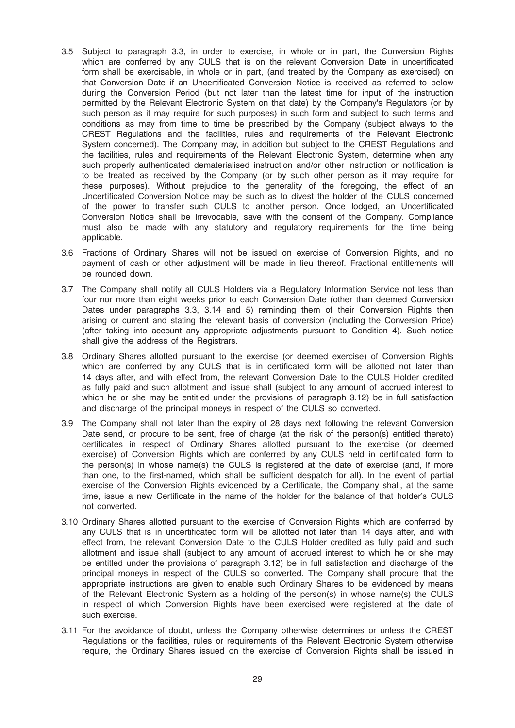- 3.5 Subject to paragraph 3.3, in order to exercise, in whole or in part, the Conversion Rights which are conferred by any CULS that is on the relevant Conversion Date in uncertificated form shall be exercisable, in whole or in part, (and treated by the Company as exercised) on that Conversion Date if an Uncertificated Conversion Notice is received as referred to below during the Conversion Period (but not later than the latest time for input of the instruction permitted by the Relevant Electronic System on that date) by the Company's Regulators (or by such person as it may require for such purposes) in such form and subject to such terms and conditions as may from time to time be prescribed by the Company (subject always to the CREST Regulations and the facilities, rules and requirements of the Relevant Electronic System concerned). The Company may, in addition but subject to the CREST Regulations and the facilities, rules and requirements of the Relevant Electronic System, determine when any such properly authenticated dematerialised instruction and/or other instruction or notification is to be treated as received by the Company (or by such other person as it may require for these purposes). Without prejudice to the generality of the foregoing, the effect of an Uncertificated Conversion Notice may be such as to divest the holder of the CULS concerned of the power to transfer such CULS to another person. Once lodged, an Uncertificated Conversion Notice shall be irrevocable, save with the consent of the Company. Compliance must also be made with any statutory and regulatory requirements for the time being applicable.
- 3.6 Fractions of Ordinary Shares will not be issued on exercise of Conversion Rights, and no payment of cash or other adjustment will be made in lieu thereof. Fractional entitlements will be rounded down.
- 3.7 The Company shall notify all CULS Holders via a Regulatory Information Service not less than four nor more than eight weeks prior to each Conversion Date (other than deemed Conversion Dates under paragraphs 3.3, 3.14 and 5) reminding them of their Conversion Rights then arising or current and stating the relevant basis of conversion (including the Conversion Price) (after taking into account any appropriate adjustments pursuant to Condition 4). Such notice shall give the address of the Registrars.
- 3.8 Ordinary Shares allotted pursuant to the exercise (or deemed exercise) of Conversion Rights which are conferred by any CULS that is in certificated form will be allotted not later than 14 days after, and with effect from, the relevant Conversion Date to the CULS Holder credited as fully paid and such allotment and issue shall (subject to any amount of accrued interest to which he or she may be entitled under the provisions of paragraph 3.12) be in full satisfaction and discharge of the principal moneys in respect of the CULS so converted.
- 3.9 The Company shall not later than the expiry of 28 days next following the relevant Conversion Date send, or procure to be sent, free of charge (at the risk of the person(s) entitled thereto) certificates in respect of Ordinary Shares allotted pursuant to the exercise (or deemed exercise) of Conversion Rights which are conferred by any CULS held in certificated form to the person(s) in whose name(s) the CULS is registered at the date of exercise (and, if more than one, to the first-named, which shall be sufficient despatch for all). In the event of partial exercise of the Conversion Rights evidenced by a Certificate, the Company shall, at the same time, issue a new Certificate in the name of the holder for the balance of that holder's CULS not converted.
- 3.10 Ordinary Shares allotted pursuant to the exercise of Conversion Rights which are conferred by any CULS that is in uncertificated form will be allotted not later than 14 days after, and with effect from, the relevant Conversion Date to the CULS Holder credited as fully paid and such allotment and issue shall (subject to any amount of accrued interest to which he or she may be entitled under the provisions of paragraph 3.12) be in full satisfaction and discharge of the principal moneys in respect of the CULS so converted. The Company shall procure that the appropriate instructions are given to enable such Ordinary Shares to be evidenced by means of the Relevant Electronic System as a holding of the person(s) in whose name(s) the CULS in respect of which Conversion Rights have been exercised were registered at the date of such exercise.
- 3.11 For the avoidance of doubt, unless the Company otherwise determines or unless the CREST Regulations or the facilities, rules or requirements of the Relevant Electronic System otherwise require, the Ordinary Shares issued on the exercise of Conversion Rights shall be issued in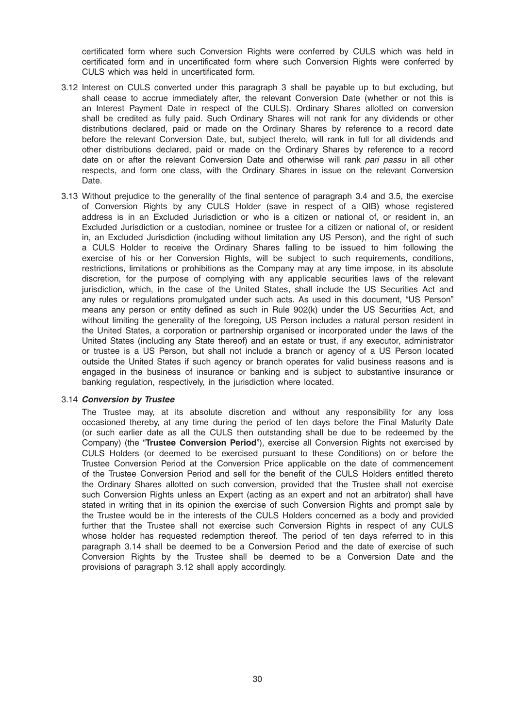certificated form where such Conversion Rights were conferred by CULS which was held in certificated form and in uncertificated form where such Conversion Rights were conferred by CULS which was held in uncertificated form.

- 3.12 Interest on CULS converted under this paragraph 3 shall be payable up to but excluding, but shall cease to accrue immediately after, the relevant Conversion Date (whether or not this is an Interest Payment Date in respect of the CULS). Ordinary Shares allotted on conversion shall be credited as fully paid. Such Ordinary Shares will not rank for any dividends or other distributions declared, paid or made on the Ordinary Shares by reference to a record date before the relevant Conversion Date, but, subject thereto, will rank in full for all dividends and other distributions declared, paid or made on the Ordinary Shares by reference to a record date on or after the relevant Conversion Date and otherwise will rank pari passu in all other respects, and form one class, with the Ordinary Shares in issue on the relevant Conversion Date.
- 3.13 Without prejudice to the generality of the final sentence of paragraph 3.4 and 3.5, the exercise of Conversion Rights by any CULS Holder (save in respect of a QIB) whose registered address is in an Excluded Jurisdiction or who is a citizen or national of, or resident in, an Excluded Jurisdiction or a custodian, nominee or trustee for a citizen or national of, or resident in, an Excluded Jurisdiction (including without limitation any US Person), and the right of such a CULS Holder to receive the Ordinary Shares falling to be issued to him following the exercise of his or her Conversion Rights, will be subject to such requirements, conditions, restrictions, limitations or prohibitions as the Company may at any time impose, in its absolute discretion, for the purpose of complying with any applicable securities laws of the relevant jurisdiction, which, in the case of the United States, shall include the US Securities Act and any rules or regulations promulgated under such acts. As used in this document, "US Person" means any person or entity defined as such in Rule 902(k) under the US Securities Act, and without limiting the generality of the foregoing, US Person includes a natural person resident in the United States, a corporation or partnership organised or incorporated under the laws of the United States (including any State thereof) and an estate or trust, if any executor, administrator or trustee is a US Person, but shall not include a branch or agency of a US Person located outside the United States if such agency or branch operates for valid business reasons and is engaged in the business of insurance or banking and is subject to substantive insurance or banking regulation, respectively, in the jurisdiction where located.

#### 3.14 Conversion by Trustee

The Trustee may, at its absolute discretion and without any responsibility for any loss occasioned thereby, at any time during the period of ten days before the Final Maturity Date (or such earlier date as all the CULS then outstanding shall be due to be redeemed by the Company) (the "Trustee Conversion Period"), exercise all Conversion Rights not exercised by CULS Holders (or deemed to be exercised pursuant to these Conditions) on or before the Trustee Conversion Period at the Conversion Price applicable on the date of commencement of the Trustee Conversion Period and sell for the benefit of the CULS Holders entitled thereto the Ordinary Shares allotted on such conversion, provided that the Trustee shall not exercise such Conversion Rights unless an Expert (acting as an expert and not an arbitrator) shall have stated in writing that in its opinion the exercise of such Conversion Rights and prompt sale by the Trustee would be in the interests of the CULS Holders concerned as a body and provided further that the Trustee shall not exercise such Conversion Rights in respect of any CULS whose holder has requested redemption thereof. The period of ten days referred to in this paragraph 3.14 shall be deemed to be a Conversion Period and the date of exercise of such Conversion Rights by the Trustee shall be deemed to be a Conversion Date and the provisions of paragraph 3.12 shall apply accordingly.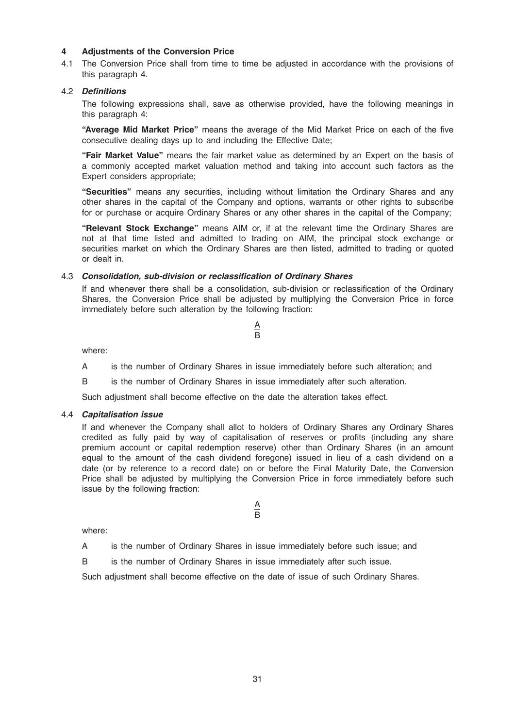### 4 Adjustments of the Conversion Price

4.1 The Conversion Price shall from time to time be adjusted in accordance with the provisions of this paragraph 4.

#### 4.2 Definitions

The following expressions shall, save as otherwise provided, have the following meanings in this paragraph 4:

"Average Mid Market Price" means the average of the Mid Market Price on each of the five consecutive dealing days up to and including the Effective Date;

"Fair Market Value" means the fair market value as determined by an Expert on the basis of a commonly accepted market valuation method and taking into account such factors as the Expert considers appropriate;

"Securities" means any securities, including without limitation the Ordinary Shares and any other shares in the capital of the Company and options, warrants or other rights to subscribe for or purchase or acquire Ordinary Shares or any other shares in the capital of the Company;

"Relevant Stock Exchange" means AIM or, if at the relevant time the Ordinary Shares are not at that time listed and admitted to trading on AIM, the principal stock exchange or securities market on which the Ordinary Shares are then listed, admitted to trading or quoted or dealt in.

#### 4.3 Consolidation, sub-division or reclassification of Ordinary Shares

If and whenever there shall be a consolidation, sub-division or reclassification of the Ordinary Shares, the Conversion Price shall be adjusted by multiplying the Conversion Price in force immediately before such alteration by the following fraction:

where:

A is the number of Ordinary Shares in issue immediately before such alteration; and

 $\underline{\mathsf{A}}$ B

B is the number of Ordinary Shares in issue immediately after such alteration.

Such adjustment shall become effective on the date the alteration takes effect.

#### 4.4 Capitalisation issue

If and whenever the Company shall allot to holders of Ordinary Shares any Ordinary Shares credited as fully paid by way of capitalisation of reserves or profits (including any share premium account or capital redemption reserve) other than Ordinary Shares (in an amount equal to the amount of the cash dividend foregone) issued in lieu of a cash dividend on a date (or by reference to a record date) on or before the Final Maturity Date, the Conversion Price shall be adjusted by multiplying the Conversion Price in force immediately before such issue by the following fraction:

where:

A is the number of Ordinary Shares in issue immediately before such issue; and

 $\underline{\mathsf{A}}$ B

B is the number of Ordinary Shares in issue immediately after such issue.

Such adjustment shall become effective on the date of issue of such Ordinary Shares.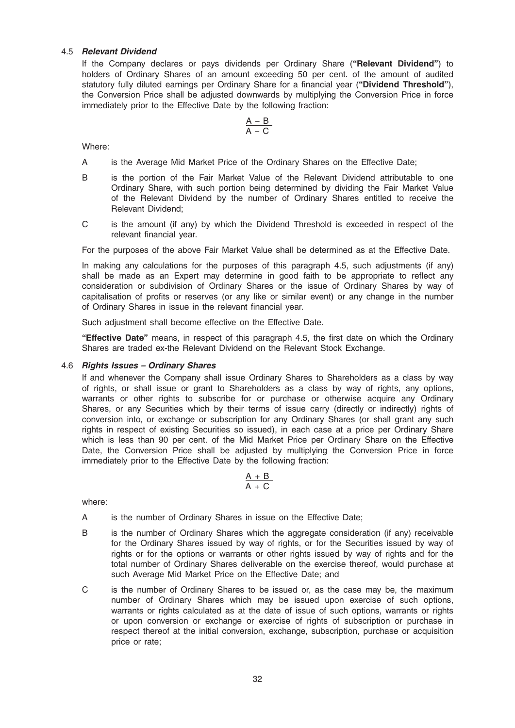#### 4.5 Relevant Dividend

If the Company declares or pays dividends per Ordinary Share ("Relevant Dividend") to holders of Ordinary Shares of an amount exceeding 50 per cent. of the amount of audited statutory fully diluted earnings per Ordinary Share for a financial year ("Dividend Threshold"), the Conversion Price shall be adjusted downwards by multiplying the Conversion Price in force immediately prior to the Effective Date by the following fraction:

$$
\frac{A\,B}{A\,-\,C}
$$

Where:

- A is the Average Mid Market Price of the Ordinary Shares on the Effective Date;
- B is the portion of the Fair Market Value of the Relevant Dividend attributable to one Ordinary Share, with such portion being determined by dividing the Fair Market Value of the Relevant Dividend by the number of Ordinary Shares entitled to receive the Relevant Dividend;
- C is the amount (if any) by which the Dividend Threshold is exceeded in respect of the relevant financial year.

For the purposes of the above Fair Market Value shall be determined as at the Effective Date.

In making any calculations for the purposes of this paragraph 4.5, such adjustments (if any) shall be made as an Expert may determine in good faith to be appropriate to reflect any consideration or subdivision of Ordinary Shares or the issue of Ordinary Shares by way of capitalisation of profits or reserves (or any like or similar event) or any change in the number of Ordinary Shares in issue in the relevant financial year.

Such adjustment shall become effective on the Effective Date.

"Effective Date" means, in respect of this paragraph 4.5, the first date on which the Ordinary Shares are traded ex-the Relevant Dividend on the Relevant Stock Exchange.

#### 4.6 Rights Issues – Ordinary Shares

If and whenever the Company shall issue Ordinary Shares to Shareholders as a class by way of rights, or shall issue or grant to Shareholders as a class by way of rights, any options, warrants or other rights to subscribe for or purchase or otherwise acquire any Ordinary Shares, or any Securities which by their terms of issue carry (directly or indirectly) rights of conversion into, or exchange or subscription for any Ordinary Shares (or shall grant any such rights in respect of existing Securities so issued), in each case at a price per Ordinary Share which is less than 90 per cent. of the Mid Market Price per Ordinary Share on the Effective Date, the Conversion Price shall be adjusted by multiplying the Conversion Price in force immediately prior to the Effective Date by the following fraction:

$$
\frac{A\,+\,B}{A\,+\,C}
$$

where:

- A is the number of Ordinary Shares in issue on the Effective Date;
- B is the number of Ordinary Shares which the aggregate consideration (if any) receivable for the Ordinary Shares issued by way of rights, or for the Securities issued by way of rights or for the options or warrants or other rights issued by way of rights and for the total number of Ordinary Shares deliverable on the exercise thereof, would purchase at such Average Mid Market Price on the Effective Date; and
- C is the number of Ordinary Shares to be issued or, as the case may be, the maximum number of Ordinary Shares which may be issued upon exercise of such options, warrants or rights calculated as at the date of issue of such options, warrants or rights or upon conversion or exchange or exercise of rights of subscription or purchase in respect thereof at the initial conversion, exchange, subscription, purchase or acquisition price or rate;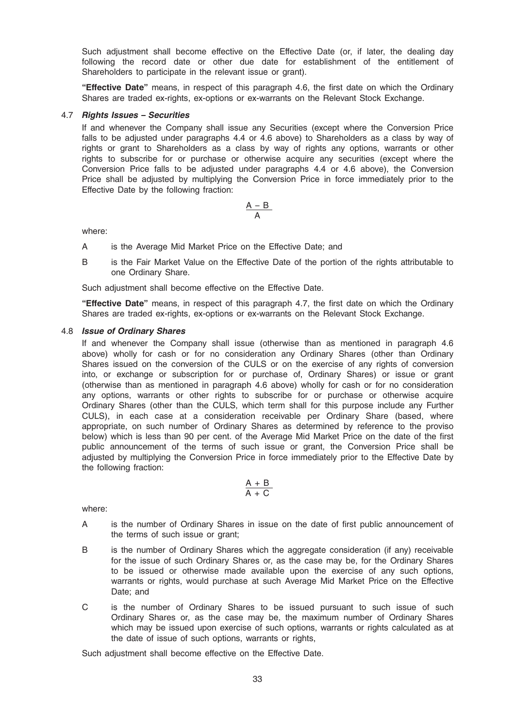Such adjustment shall become effective on the Effective Date (or, if later, the dealing day following the record date or other due date for establishment of the entitlement of Shareholders to participate in the relevant issue or grant).

"Effective Date" means, in respect of this paragraph 4.6, the first date on which the Ordinary Shares are traded ex-rights, ex-options or ex-warrants on the Relevant Stock Exchange.

#### 4.7 Rights Issues – Securities

If and whenever the Company shall issue any Securities (except where the Conversion Price falls to be adjusted under paragraphs 4.4 or 4.6 above) to Shareholders as a class by way of rights or grant to Shareholders as a class by way of rights any options, warrants or other rights to subscribe for or purchase or otherwise acquire any securities (except where the Conversion Price falls to be adjusted under paragraphs 4.4 or 4.6 above), the Conversion Price shall be adjusted by multiplying the Conversion Price in force immediately prior to the Effective Date by the following fraction:

$$
\frac{A-B}{A}
$$

where:

A is the Average Mid Market Price on the Effective Date; and

B is the Fair Market Value on the Effective Date of the portion of the rights attributable to one Ordinary Share.

Such adjustment shall become effective on the Effective Date.

"Effective Date" means, in respect of this paragraph 4.7, the first date on which the Ordinary Shares are traded ex-rights, ex-options or ex-warrants on the Relevant Stock Exchange.

#### 4.8 Issue of Ordinary Shares

If and whenever the Company shall issue (otherwise than as mentioned in paragraph 4.6 above) wholly for cash or for no consideration any Ordinary Shares (other than Ordinary Shares issued on the conversion of the CULS or on the exercise of any rights of conversion into, or exchange or subscription for or purchase of, Ordinary Shares) or issue or grant (otherwise than as mentioned in paragraph 4.6 above) wholly for cash or for no consideration any options, warrants or other rights to subscribe for or purchase or otherwise acquire Ordinary Shares (other than the CULS, which term shall for this purpose include any Further CULS), in each case at a consideration receivable per Ordinary Share (based, where appropriate, on such number of Ordinary Shares as determined by reference to the proviso below) which is less than 90 per cent. of the Average Mid Market Price on the date of the first public announcement of the terms of such issue or grant, the Conversion Price shall be adjusted by multiplying the Conversion Price in force immediately prior to the Effective Date by the following fraction:

$$
\frac{A\,+\,B}{A\,+\,C}
$$

where:

- A is the number of Ordinary Shares in issue on the date of first public announcement of the terms of such issue or grant;
- B is the number of Ordinary Shares which the aggregate consideration (if any) receivable for the issue of such Ordinary Shares or, as the case may be, for the Ordinary Shares to be issued or otherwise made available upon the exercise of any such options, warrants or rights, would purchase at such Average Mid Market Price on the Effective Date; and
- C is the number of Ordinary Shares to be issued pursuant to such issue of such Ordinary Shares or, as the case may be, the maximum number of Ordinary Shares which may be issued upon exercise of such options, warrants or rights calculated as at the date of issue of such options, warrants or rights,

Such adjustment shall become effective on the Effective Date.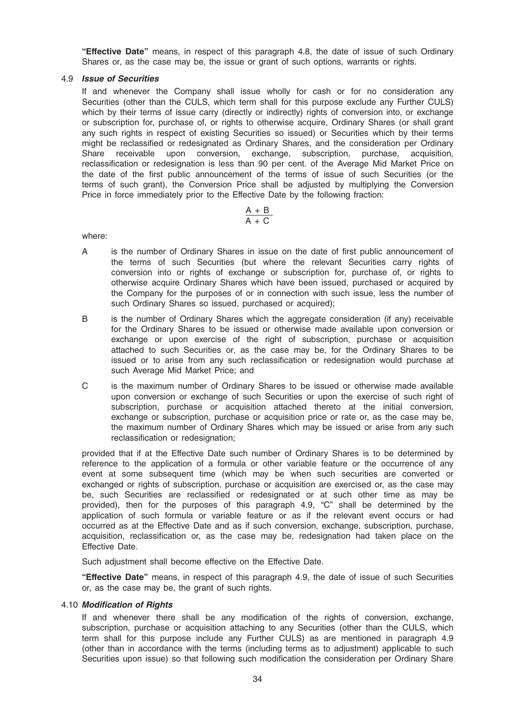"Effective Date" means, in respect of this paragraph 4.8, the date of issue of such Ordinary Shares or, as the case may be, the issue or grant of such options, warrants or rights.

#### 4.9 Issue of Securities

If and whenever the Company shall issue wholly for cash or for no consideration any Securities (other than the CULS, which term shall for this purpose exclude any Further CULS) which by their terms of issue carry (directly or indirectly) rights of conversion into, or exchange or subscription for, purchase of, or rights to otherwise acquire, Ordinary Shares (or shall grant any such rights in respect of existing Securities so issued) or Securities which by their terms might be reclassified or redesignated as Ordinary Shares, and the consideration per Ordinary Share receivable upon conversion, exchange, subscription, purchase, acquisition, reclassification or redesignation is less than 90 per cent. of the Average Mid Market Price on the date of the first public announcement of the terms of issue of such Securities (or the terms of such grant), the Conversion Price shall be adjusted by multiplying the Conversion Price in force immediately prior to the Effective Date by the following fraction:

$$
\frac{A + B}{A + C}
$$

where:

- A is the number of Ordinary Shares in issue on the date of first public announcement of the terms of such Securities (but where the relevant Securities carry rights of conversion into or rights of exchange or subscription for, purchase of, or rights to otherwise acquire Ordinary Shares which have been issued, purchased or acquired by the Company for the purposes of or in connection with such issue, less the number of such Ordinary Shares so issued, purchased or acquired);
- B is the number of Ordinary Shares which the aggregate consideration (if any) receivable for the Ordinary Shares to be issued or otherwise made available upon conversion or exchange or upon exercise of the right of subscription, purchase or acquisition attached to such Securities or, as the case may be, for the Ordinary Shares to be issued or to arise from any such reclassification or redesignation would purchase at such Average Mid Market Price; and
- C is the maximum number of Ordinary Shares to be issued or otherwise made available upon conversion or exchange of such Securities or upon the exercise of such right of subscription, purchase or acquisition attached thereto at the initial conversion, exchange or subscription, purchase or acquisition price or rate or, as the case may be, the maximum number of Ordinary Shares which may be issued or arise from any such reclassification or redesignation;

provided that if at the Effective Date such number of Ordinary Shares is to be determined by reference to the application of a formula or other variable feature or the occurrence of any event at some subsequent time (which may be when such securities are converted or exchanged or rights of subscription, purchase or acquisition are exercised or, as the case may be, such Securities are reclassified or redesignated or at such other time as may be provided), then for the purposes of this paragraph 4.9, "C" shall be determined by the application of such formula or variable feature or as if the relevant event occurs or had occurred as at the Effective Date and as if such conversion, exchange, subscription, purchase, acquisition, reclassification or, as the case may be, redesignation had taken place on the Effective Date.

Such adjustment shall become effective on the Effective Date.

"Effective Date" means, in respect of this paragraph 4.9, the date of issue of such Securities or, as the case may be, the grant of such rights.

#### 4.10 Modification of Rights

If and whenever there shall be any modification of the rights of conversion, exchange, subscription, purchase or acquisition attaching to any Securities (other than the CULS, which term shall for this purpose include any Further CULS) as are mentioned in paragraph 4.9 (other than in accordance with the terms (including terms as to adjustment) applicable to such Securities upon issue) so that following such modification the consideration per Ordinary Share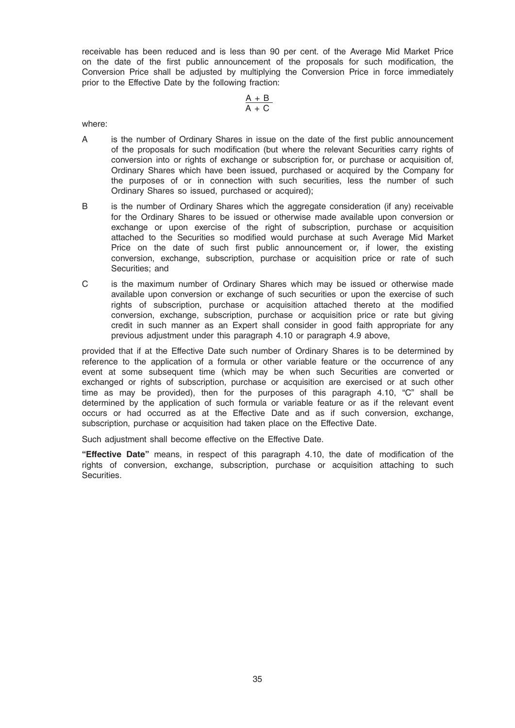receivable has been reduced and is less than 90 per cent. of the Average Mid Market Price on the date of the first public announcement of the proposals for such modification, the Conversion Price shall be adjusted by multiplying the Conversion Price in force immediately prior to the Effective Date by the following fraction:

$$
\frac{A\,+\,B}{A\,+\,C}
$$

where:

- A is the number of Ordinary Shares in issue on the date of the first public announcement of the proposals for such modification (but where the relevant Securities carry rights of conversion into or rights of exchange or subscription for, or purchase or acquisition of, Ordinary Shares which have been issued, purchased or acquired by the Company for the purposes of or in connection with such securities, less the number of such Ordinary Shares so issued, purchased or acquired);
- B is the number of Ordinary Shares which the aggregate consideration (if any) receivable for the Ordinary Shares to be issued or otherwise made available upon conversion or exchange or upon exercise of the right of subscription, purchase or acquisition attached to the Securities so modified would purchase at such Average Mid Market Price on the date of such first public announcement or, if lower, the existing conversion, exchange, subscription, purchase or acquisition price or rate of such Securities; and
- C is the maximum number of Ordinary Shares which may be issued or otherwise made available upon conversion or exchange of such securities or upon the exercise of such rights of subscription, purchase or acquisition attached thereto at the modified conversion, exchange, subscription, purchase or acquisition price or rate but giving credit in such manner as an Expert shall consider in good faith appropriate for any previous adjustment under this paragraph 4.10 or paragraph 4.9 above,

provided that if at the Effective Date such number of Ordinary Shares is to be determined by reference to the application of a formula or other variable feature or the occurrence of any event at some subsequent time (which may be when such Securities are converted or exchanged or rights of subscription, purchase or acquisition are exercised or at such other time as may be provided), then for the purposes of this paragraph 4.10, "C" shall be determined by the application of such formula or variable feature or as if the relevant event occurs or had occurred as at the Effective Date and as if such conversion, exchange, subscription, purchase or acquisition had taken place on the Effective Date.

Such adjustment shall become effective on the Effective Date.

"Effective Date" means, in respect of this paragraph 4.10, the date of modification of the rights of conversion, exchange, subscription, purchase or acquisition attaching to such Securities.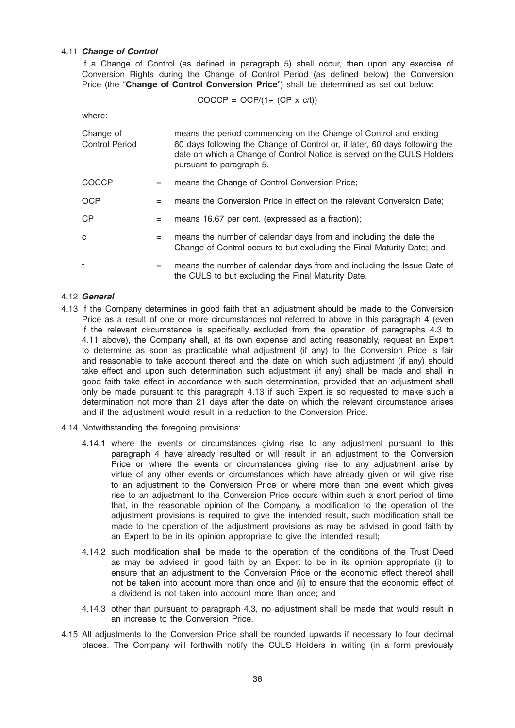### 4.11 Change of Control

If a Change of Control (as defined in paragraph 5) shall occur, then upon any exercise of Conversion Rights during the Change of Control Period (as defined below) the Conversion Price (the "Change of Control Conversion Price") shall be determined as set out below:

$$
COCCP = OCP/(1 + (CP \times c/t))
$$

where:

| Change of<br><b>Control Period</b> |     | means the period commencing on the Change of Control and ending<br>60 days following the Change of Control or, if later, 60 days following the<br>date on which a Change of Control Notice is served on the CULS Holders<br>pursuant to paragraph 5. |
|------------------------------------|-----|------------------------------------------------------------------------------------------------------------------------------------------------------------------------------------------------------------------------------------------------------|
| <b>COCCP</b>                       | $=$ | means the Change of Control Conversion Price;                                                                                                                                                                                                        |
| <b>OCP</b>                         | $=$ | means the Conversion Price in effect on the relevant Conversion Date;                                                                                                                                                                                |
| <b>CP</b>                          | $=$ | means 16.67 per cent. (expressed as a fraction);                                                                                                                                                                                                     |
| C                                  | $=$ | means the number of calendar days from and including the date the<br>Change of Control occurs to but excluding the Final Maturity Date; and                                                                                                          |
| t                                  | $=$ | means the number of calendar days from and including the Issue Date of<br>the CULS to but excluding the Final Maturity Date.                                                                                                                         |

#### 4.12 General

- 4.13 If the Company determines in good faith that an adjustment should be made to the Conversion Price as a result of one or more circumstances not referred to above in this paragraph 4 (even if the relevant circumstance is specifically excluded from the operation of paragraphs 4.3 to 4.11 above), the Company shall, at its own expense and acting reasonably, request an Expert to determine as soon as practicable what adjustment (if any) to the Conversion Price is fair and reasonable to take account thereof and the date on which such adjustment (if any) should take effect and upon such determination such adjustment (if any) shall be made and shall in good faith take effect in accordance with such determination, provided that an adjustment shall only be made pursuant to this paragraph 4.13 if such Expert is so requested to make such a determination not more than 21 days after the date on which the relevant circumstance arises and if the adjustment would result in a reduction to the Conversion Price.
- 4.14 Notwithstanding the foregoing provisions:
	- 4.14.1 where the events or circumstances giving rise to any adjustment pursuant to this paragraph 4 have already resulted or will result in an adjustment to the Conversion Price or where the events or circumstances giving rise to any adjustment arise by virtue of any other events or circumstances which have already given or will give rise to an adjustment to the Conversion Price or where more than one event which gives rise to an adjustment to the Conversion Price occurs within such a short period of time that, in the reasonable opinion of the Company, a modification to the operation of the adjustment provisions is required to give the intended result, such modification shall be made to the operation of the adjustment provisions as may be advised in good faith by an Expert to be in its opinion appropriate to give the intended result;
	- 4.14.2 such modification shall be made to the operation of the conditions of the Trust Deed as may be advised in good faith by an Expert to be in its opinion appropriate (i) to ensure that an adjustment to the Conversion Price or the economic effect thereof shall not be taken into account more than once and (ii) to ensure that the economic effect of a dividend is not taken into account more than once; and
	- 4.14.3 other than pursuant to paragraph 4.3, no adjustment shall be made that would result in an increase to the Conversion Price.
- 4.15 All adjustments to the Conversion Price shall be rounded upwards if necessary to four decimal places. The Company will forthwith notify the CULS Holders in writing (in a form previously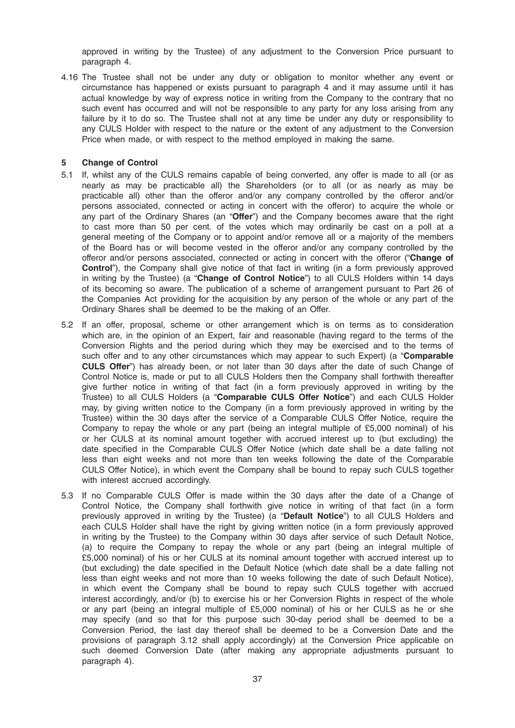approved in writing by the Trustee) of any adjustment to the Conversion Price pursuant to paragraph 4.

4.16 The Trustee shall not be under any duty or obligation to monitor whether any event or circumstance has happened or exists pursuant to paragraph 4 and it may assume until it has actual knowledge by way of express notice in writing from the Company to the contrary that no such event has occurred and will not be responsible to any party for any loss arising from any failure by it to do so. The Trustee shall not at any time be under any duty or responsibility to any CULS Holder with respect to the nature or the extent of any adjustment to the Conversion Price when made, or with respect to the method employed in making the same.

#### 5 Change of Control

- 5.1 If, whilst any of the CULS remains capable of being converted, any offer is made to all (or as nearly as may be practicable all) the Shareholders (or to all (or as nearly as may be practicable all) other than the offeror and/or any company controlled by the offeror and/or persons associated, connected or acting in concert with the offeror) to acquire the whole or any part of the Ordinary Shares (an "Offer") and the Company becomes aware that the right to cast more than 50 per cent. of the votes which may ordinarily be cast on a poll at a general meeting of the Company or to appoint and/or remove all or a majority of the members of the Board has or will become vested in the offeror and/or any company controlled by the offeror and/or persons associated, connected or acting in concert with the offeror ("Change of Control"), the Company shall give notice of that fact in writing (in a form previously approved in writing by the Trustee) (a "Change of Control Notice") to all CULS Holders within 14 days of its becoming so aware. The publication of a scheme of arrangement pursuant to Part 26 of the Companies Act providing for the acquisition by any person of the whole or any part of the Ordinary Shares shall be deemed to be the making of an Offer.
- 5.2 If an offer, proposal, scheme or other arrangement which is on terms as to consideration which are, in the opinion of an Expert, fair and reasonable (having regard to the terms of the Conversion Rights and the period during which they may be exercised and to the terms of such offer and to any other circumstances which may appear to such Expert) (a "Comparable CULS Offer") has already been, or not later than 30 days after the date of such Change of Control Notice is, made or put to all CULS Holders then the Company shall forthwith thereafter give further notice in writing of that fact (in a form previously approved in writing by the Trustee) to all CULS Holders (a "Comparable CULS Offer Notice") and each CULS Holder may, by giving written notice to the Company (in a form previously approved in writing by the Trustee) within the 30 days after the service of a Comparable CULS Offer Notice, require the Company to repay the whole or any part (being an integral multiple of £5,000 nominal) of his or her CULS at its nominal amount together with accrued interest up to (but excluding) the date specified in the Comparable CULS Offer Notice (which date shall be a date falling not less than eight weeks and not more than ten weeks following the date of the Comparable CULS Offer Notice), in which event the Company shall be bound to repay such CULS together with interest accrued accordingly.
- 5.3 If no Comparable CULS Offer is made within the 30 days after the date of a Change of Control Notice, the Company shall forthwith give notice in writing of that fact (in a form previously approved in writing by the Trustee) (a "Default Notice") to all CULS Holders and each CULS Holder shall have the right by giving written notice (in a form previously approved in writing by the Trustee) to the Company within 30 days after service of such Default Notice, (a) to require the Company to repay the whole or any part (being an integral multiple of £5,000 nominal) of his or her CULS at its nominal amount together with accrued interest up to (but excluding) the date specified in the Default Notice (which date shall be a date falling not less than eight weeks and not more than 10 weeks following the date of such Default Notice), in which event the Company shall be bound to repay such CULS together with accrued interest accordingly, and/or (b) to exercise his or her Conversion Rights in respect of the whole or any part (being an integral multiple of £5,000 nominal) of his or her CULS as he or she may specify (and so that for this purpose such 30-day period shall be deemed to be a Conversion Period, the last day thereof shall be deemed to be a Conversion Date and the provisions of paragraph 3.12 shall apply accordingly) at the Conversion Price applicable on such deemed Conversion Date (after making any appropriate adjustments pursuant to paragraph 4).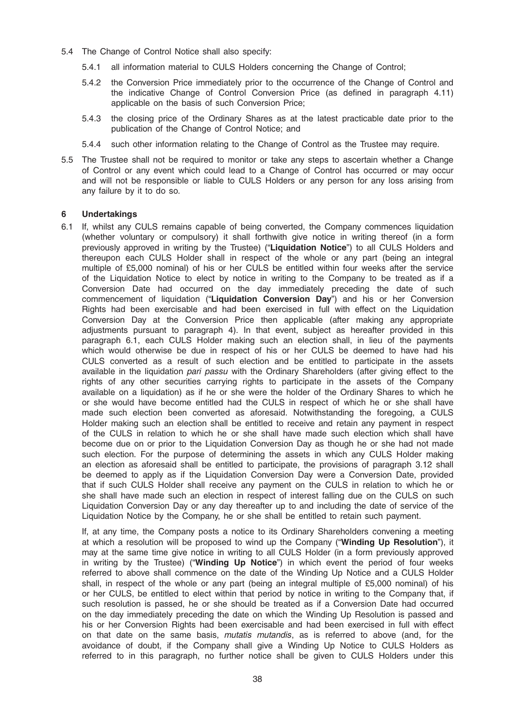- 5.4 The Change of Control Notice shall also specify:
	- 5.4.1 all information material to CULS Holders concerning the Change of Control;
	- 5.4.2 the Conversion Price immediately prior to the occurrence of the Change of Control and the indicative Change of Control Conversion Price (as defined in paragraph 4.11) applicable on the basis of such Conversion Price;
	- 5.4.3 the closing price of the Ordinary Shares as at the latest practicable date prior to the publication of the Change of Control Notice; and
	- 5.4.4 such other information relating to the Change of Control as the Trustee may require.
- 5.5 The Trustee shall not be required to monitor or take any steps to ascertain whether a Change of Control or any event which could lead to a Change of Control has occurred or may occur and will not be responsible or liable to CULS Holders or any person for any loss arising from any failure by it to do so.

#### 6 Undertakings

6.1 If, whilst any CULS remains capable of being converted, the Company commences liquidation (whether voluntary or compulsory) it shall forthwith give notice in writing thereof (in a form previously approved in writing by the Trustee) ("Liquidation Notice") to all CULS Holders and thereupon each CULS Holder shall in respect of the whole or any part (being an integral multiple of £5,000 nominal) of his or her CULS be entitled within four weeks after the service of the Liquidation Notice to elect by notice in writing to the Company to be treated as if a Conversion Date had occurred on the day immediately preceding the date of such commencement of liquidation ("Liquidation Conversion Day") and his or her Conversion Rights had been exercisable and had been exercised in full with effect on the Liquidation Conversion Day at the Conversion Price then applicable (after making any appropriate adjustments pursuant to paragraph 4). In that event, subject as hereafter provided in this paragraph 6.1, each CULS Holder making such an election shall, in lieu of the payments which would otherwise be due in respect of his or her CULS be deemed to have had his CULS converted as a result of such election and be entitled to participate in the assets available in the liquidation pari passu with the Ordinary Shareholders (after giving effect to the rights of any other securities carrying rights to participate in the assets of the Company available on a liquidation) as if he or she were the holder of the Ordinary Shares to which he or she would have become entitled had the CULS in respect of which he or she shall have made such election been converted as aforesaid. Notwithstanding the foregoing, a CULS Holder making such an election shall be entitled to receive and retain any payment in respect of the CULS in relation to which he or she shall have made such election which shall have become due on or prior to the Liquidation Conversion Day as though he or she had not made such election. For the purpose of determining the assets in which any CULS Holder making an election as aforesaid shall be entitled to participate, the provisions of paragraph 3.12 shall be deemed to apply as if the Liquidation Conversion Day were a Conversion Date, provided that if such CULS Holder shall receive any payment on the CULS in relation to which he or she shall have made such an election in respect of interest falling due on the CULS on such Liquidation Conversion Day or any day thereafter up to and including the date of service of the Liquidation Notice by the Company, he or she shall be entitled to retain such payment.

If, at any time, the Company posts a notice to its Ordinary Shareholders convening a meeting at which a resolution will be proposed to wind up the Company ("Winding Up Resolution"), it may at the same time give notice in writing to all CULS Holder (in a form previously approved in writing by the Trustee) ("Winding Up Notice") in which event the period of four weeks referred to above shall commence on the date of the Winding Up Notice and a CULS Holder shall, in respect of the whole or any part (being an integral multiple of £5,000 nominal) of his or her CULS, be entitled to elect within that period by notice in writing to the Company that, if such resolution is passed, he or she should be treated as if a Conversion Date had occurred on the day immediately preceding the date on which the Winding Up Resolution is passed and his or her Conversion Rights had been exercisable and had been exercised in full with effect on that date on the same basis, mutatis mutandis, as is referred to above (and, for the avoidance of doubt, if the Company shall give a Winding Up Notice to CULS Holders as referred to in this paragraph, no further notice shall be given to CULS Holders under this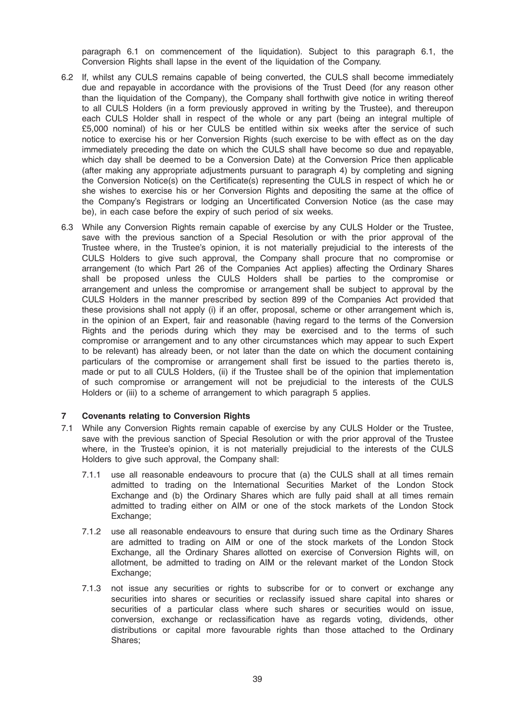paragraph 6.1 on commencement of the liquidation). Subject to this paragraph 6.1, the Conversion Rights shall lapse in the event of the liquidation of the Company.

- 6.2 If, whilst any CULS remains capable of being converted, the CULS shall become immediately due and repayable in accordance with the provisions of the Trust Deed (for any reason other than the liquidation of the Company), the Company shall forthwith give notice in writing thereof to all CULS Holders (in a form previously approved in writing by the Trustee), and thereupon each CULS Holder shall in respect of the whole or any part (being an integral multiple of £5,000 nominal) of his or her CULS be entitled within six weeks after the service of such notice to exercise his or her Conversion Rights (such exercise to be with effect as on the day immediately preceding the date on which the CULS shall have become so due and repayable, which day shall be deemed to be a Conversion Date) at the Conversion Price then applicable (after making any appropriate adjustments pursuant to paragraph 4) by completing and signing the Conversion Notice(s) on the Certificate(s) representing the CULS in respect of which he or she wishes to exercise his or her Conversion Rights and depositing the same at the office of the Company's Registrars or lodging an Uncertificated Conversion Notice (as the case may be), in each case before the expiry of such period of six weeks.
- 6.3 While any Conversion Rights remain capable of exercise by any CULS Holder or the Trustee, save with the previous sanction of a Special Resolution or with the prior approval of the Trustee where, in the Trustee's opinion, it is not materially prejudicial to the interests of the CULS Holders to give such approval, the Company shall procure that no compromise or arrangement (to which Part 26 of the Companies Act applies) affecting the Ordinary Shares shall be proposed unless the CULS Holders shall be parties to the compromise or arrangement and unless the compromise or arrangement shall be subject to approval by the CULS Holders in the manner prescribed by section 899 of the Companies Act provided that these provisions shall not apply (i) if an offer, proposal, scheme or other arrangement which is, in the opinion of an Expert, fair and reasonable (having regard to the terms of the Conversion Rights and the periods during which they may be exercised and to the terms of such compromise or arrangement and to any other circumstances which may appear to such Expert to be relevant) has already been, or not later than the date on which the document containing particulars of the compromise or arrangement shall first be issued to the parties thereto is, made or put to all CULS Holders, (ii) if the Trustee shall be of the opinion that implementation of such compromise or arrangement will not be prejudicial to the interests of the CULS Holders or (iii) to a scheme of arrangement to which paragraph 5 applies.

#### 7 Covenants relating to Conversion Rights

- 7.1 While any Conversion Rights remain capable of exercise by any CULS Holder or the Trustee, save with the previous sanction of Special Resolution or with the prior approval of the Trustee where, in the Trustee's opinion, it is not materially prejudicial to the interests of the CULS Holders to give such approval, the Company shall:
	- 7.1.1 use all reasonable endeavours to procure that (a) the CULS shall at all times remain admitted to trading on the International Securities Market of the London Stock Exchange and (b) the Ordinary Shares which are fully paid shall at all times remain admitted to trading either on AIM or one of the stock markets of the London Stock Exchange;
	- 7.1.2 use all reasonable endeavours to ensure that during such time as the Ordinary Shares are admitted to trading on AIM or one of the stock markets of the London Stock Exchange, all the Ordinary Shares allotted on exercise of Conversion Rights will, on allotment, be admitted to trading on AIM or the relevant market of the London Stock Exchange:
	- 7.1.3 not issue any securities or rights to subscribe for or to convert or exchange any securities into shares or securities or reclassify issued share capital into shares or securities of a particular class where such shares or securities would on issue, conversion, exchange or reclassification have as regards voting, dividends, other distributions or capital more favourable rights than those attached to the Ordinary Shares;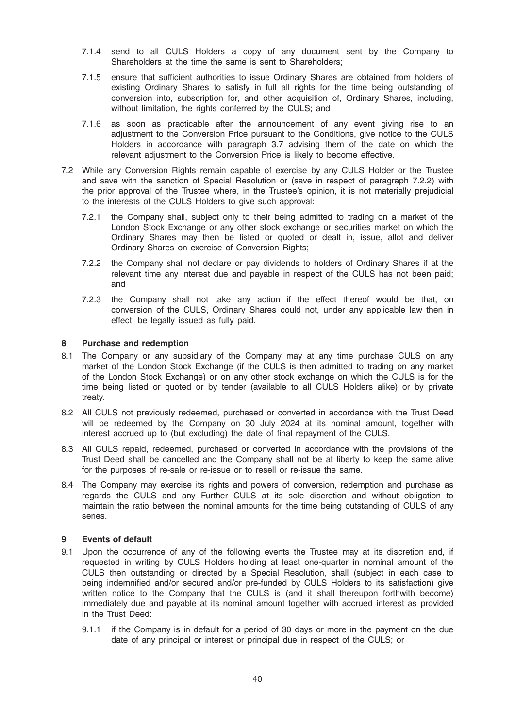- 7.1.4 send to all CULS Holders a copy of any document sent by the Company to Shareholders at the time the same is sent to Shareholders;
- 7.1.5 ensure that sufficient authorities to issue Ordinary Shares are obtained from holders of existing Ordinary Shares to satisfy in full all rights for the time being outstanding of conversion into, subscription for, and other acquisition of, Ordinary Shares, including, without limitation, the rights conferred by the CULS; and
- 7.1.6 as soon as practicable after the announcement of any event giving rise to an adjustment to the Conversion Price pursuant to the Conditions, give notice to the CULS Holders in accordance with paragraph 3.7 advising them of the date on which the relevant adjustment to the Conversion Price is likely to become effective.
- 7.2 While any Conversion Rights remain capable of exercise by any CULS Holder or the Trustee and save with the sanction of Special Resolution or (save in respect of paragraph 7.2.2) with the prior approval of the Trustee where, in the Trustee's opinion, it is not materially prejudicial to the interests of the CULS Holders to give such approval:
	- 7.2.1 the Company shall, subject only to their being admitted to trading on a market of the London Stock Exchange or any other stock exchange or securities market on which the Ordinary Shares may then be listed or quoted or dealt in, issue, allot and deliver Ordinary Shares on exercise of Conversion Rights;
	- 7.2.2 the Company shall not declare or pay dividends to holders of Ordinary Shares if at the relevant time any interest due and payable in respect of the CULS has not been paid; and
	- 7.2.3 the Company shall not take any action if the effect thereof would be that, on conversion of the CULS, Ordinary Shares could not, under any applicable law then in effect, be legally issued as fully paid.

#### 8 Purchase and redemption

- 8.1 The Company or any subsidiary of the Company may at any time purchase CULS on any market of the London Stock Exchange (if the CULS is then admitted to trading on any market of the London Stock Exchange) or on any other stock exchange on which the CULS is for the time being listed or quoted or by tender (available to all CULS Holders alike) or by private treaty.
- 8.2 All CULS not previously redeemed, purchased or converted in accordance with the Trust Deed will be redeemed by the Company on 30 July 2024 at its nominal amount, together with interest accrued up to (but excluding) the date of final repayment of the CULS.
- 8.3 All CULS repaid, redeemed, purchased or converted in accordance with the provisions of the Trust Deed shall be cancelled and the Company shall not be at liberty to keep the same alive for the purposes of re-sale or re-issue or to resell or re-issue the same.
- 8.4 The Company may exercise its rights and powers of conversion, redemption and purchase as regards the CULS and any Further CULS at its sole discretion and without obligation to maintain the ratio between the nominal amounts for the time being outstanding of CULS of any series.

#### 9 Events of default

- 9.1 Upon the occurrence of any of the following events the Trustee may at its discretion and, if requested in writing by CULS Holders holding at least one-quarter in nominal amount of the CULS then outstanding or directed by a Special Resolution, shall (subject in each case to being indemnified and/or secured and/or pre-funded by CULS Holders to its satisfaction) give written notice to the Company that the CULS is (and it shall thereupon forthwith become) immediately due and payable at its nominal amount together with accrued interest as provided in the Trust Deed:
	- 9.1.1 if the Company is in default for a period of 30 days or more in the payment on the due date of any principal or interest or principal due in respect of the CULS; or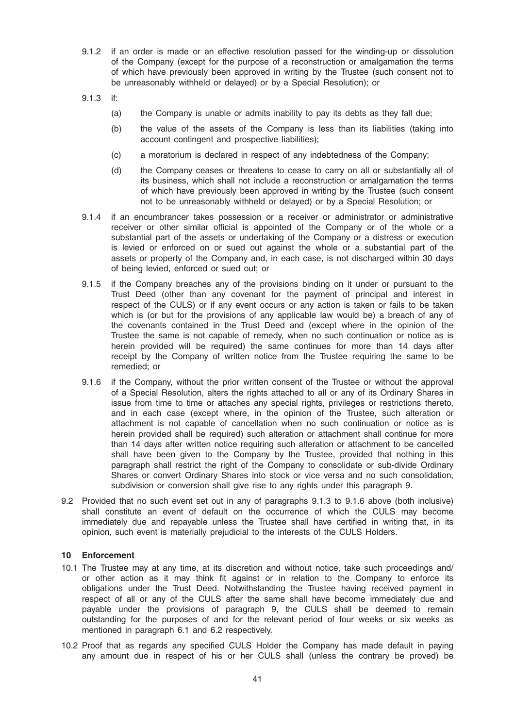- 9.1.2 if an order is made or an effective resolution passed for the winding-up or dissolution of the Company (except for the purpose of a reconstruction or amalgamation the terms of which have previously been approved in writing by the Trustee (such consent not to be unreasonably withheld or delayed) or by a Special Resolution); or
- 9.1.3 if:
	- (a) the Company is unable or admits inability to pay its debts as they fall due;
	- (b) the value of the assets of the Company is less than its liabilities (taking into account contingent and prospective liabilities);
	- (c) a moratorium is declared in respect of any indebtedness of the Company;
	- (d) the Company ceases or threatens to cease to carry on all or substantially all of its business, which shall not include a reconstruction or amalgamation the terms of which have previously been approved in writing by the Trustee (such consent not to be unreasonably withheld or delayed) or by a Special Resolution; or
- 9.1.4 if an encumbrancer takes possession or a receiver or administrator or administrative receiver or other similar official is appointed of the Company or of the whole or a substantial part of the assets or undertaking of the Company or a distress or execution is levied or enforced on or sued out against the whole or a substantial part of the assets or property of the Company and, in each case, is not discharged within 30 days of being levied, enforced or sued out; or
- 9.1.5 if the Company breaches any of the provisions binding on it under or pursuant to the Trust Deed (other than any covenant for the payment of principal and interest in respect of the CULS) or if any event occurs or any action is taken or fails to be taken which is (or but for the provisions of any applicable law would be) a breach of any of the covenants contained in the Trust Deed and (except where in the opinion of the Trustee the same is not capable of remedy, when no such continuation or notice as is herein provided will be required) the same continues for more than 14 days after receipt by the Company of written notice from the Trustee requiring the same to be remedied; or
- 9.1.6 if the Company, without the prior written consent of the Trustee or without the approval of a Special Resolution, alters the rights attached to all or any of its Ordinary Shares in issue from time to time or attaches any special rights, privileges or restrictions thereto, and in each case (except where, in the opinion of the Trustee, such alteration or attachment is not capable of cancellation when no such continuation or notice as is herein provided shall be required) such alteration or attachment shall continue for more than 14 days after written notice requiring such alteration or attachment to be cancelled shall have been given to the Company by the Trustee, provided that nothing in this paragraph shall restrict the right of the Company to consolidate or sub-divide Ordinary Shares or convert Ordinary Shares into stock or vice versa and no such consolidation, subdivision or conversion shall give rise to any rights under this paragraph 9.
- 9.2 Provided that no such event set out in any of paragraphs 9.1.3 to 9.1.6 above (both inclusive) shall constitute an event of default on the occurrence of which the CULS may become immediately due and repayable unless the Trustee shall have certified in writing that, in its opinion, such event is materially prejudicial to the interests of the CULS Holders.

#### 10 Enforcement

- 10.1 The Trustee may at any time, at its discretion and without notice, take such proceedings and/ or other action as it may think fit against or in relation to the Company to enforce its obligations under the Trust Deed. Notwithstanding the Trustee having received payment in respect of all or any of the CULS after the same shall have become immediately due and payable under the provisions of paragraph 9, the CULS shall be deemed to remain outstanding for the purposes of and for the relevant period of four weeks or six weeks as mentioned in paragraph 6.1 and 6.2 respectively.
- 10.2 Proof that as regards any specified CULS Holder the Company has made default in paying any amount due in respect of his or her CULS shall (unless the contrary be proved) be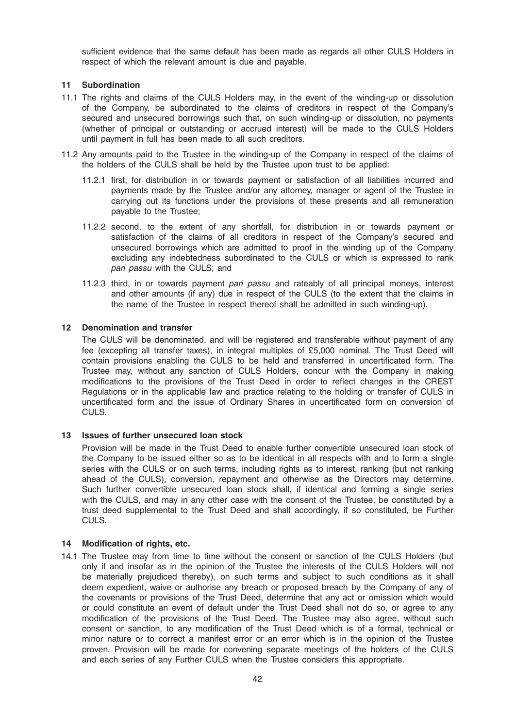sufficient evidence that the same default has been made as regards all other CULS Holders in respect of which the relevant amount is due and payable.

### 11 Subordination

- 11.1 The rights and claims of the CULS Holders may, in the event of the winding-up or dissolution of the Company, be subordinated to the claims of creditors in respect of the Company's secured and unsecured borrowings such that, on such winding-up or dissolution, no payments (whether of principal or outstanding or accrued interest) will be made to the CULS Holders until payment in full has been made to all such creditors.
- 11.2 Any amounts paid to the Trustee in the winding-up of the Company in respect of the claims of the holders of the CULS shall be held by the Trustee upon trust to be applied:
	- 11.2.1 first, for distribution in or towards payment or satisfaction of all liabilities incurred and payments made by the Trustee and/or any attorney, manager or agent of the Trustee in carrying out its functions under the provisions of these presents and all remuneration payable to the Trustee;
	- 11.2.2 second, to the extent of any shortfall, for distribution in or towards payment or satisfaction of the claims of all creditors in respect of the Company's secured and unsecured borrowings which are admitted to proof in the winding up of the Company excluding any indebtedness subordinated to the CULS or which is expressed to rank pari passu with the CULS; and
	- 11.2.3 third, in or towards payment pari passu and rateably of all principal moneys, interest and other amounts (if any) due in respect of the CULS (to the extent that the claims in the name of the Trustee in respect thereof shall be admitted in such winding-up).

#### 12 Denomination and transfer

The CULS will be denominated, and will be registered and transferable without payment of any fee (excepting all transfer taxes), in integral multiples of £5,000 nominal. The Trust Deed will contain provisions enabling the CULS to be held and transferred in uncertificated form. The Trustee may, without any sanction of CULS Holders, concur with the Company in making modifications to the provisions of the Trust Deed in order to reflect changes in the CREST Regulations or in the applicable law and practice relating to the holding or transfer of CULS in uncertificated form and the issue of Ordinary Shares in uncertificated form on conversion of CULS.

# 13 Issues of further unsecured loan stock

Provision will be made in the Trust Deed to enable further convertible unsecured loan stock of the Company to be issued either so as to be identical in all respects with and to form a single series with the CULS or on such terms, including rights as to interest, ranking (but not ranking ahead of the CULS), conversion, repayment and otherwise as the Directors may determine. Such further convertible unsecured loan stock shall, if identical and forming a single series with the CULS, and may in any other case with the consent of the Trustee, be constituted by a trust deed supplemental to the Trust Deed and shall accordingly, if so constituted, be Further CULS.

#### 14 Modification of rights, etc.

14.1 The Trustee may from time to time without the consent or sanction of the CULS Holders (but only if and insofar as in the opinion of the Trustee the interests of the CULS Holders will not be materially prejudiced thereby), on such terms and subject to such conditions as it shall deem expedient, waive or authorise any breach or proposed breach by the Company of any of the covenants or provisions of the Trust Deed, determine that any act or omission which would or could constitute an event of default under the Trust Deed shall not do so, or agree to any modification of the provisions of the Trust Deed. The Trustee may also agree, without such consent or sanction, to any modification of the Trust Deed which is of a formal, technical or minor nature or to correct a manifest error or an error which is in the opinion of the Trustee proven. Provision will be made for convening separate meetings of the holders of the CULS and each series of any Further CULS when the Trustee considers this appropriate.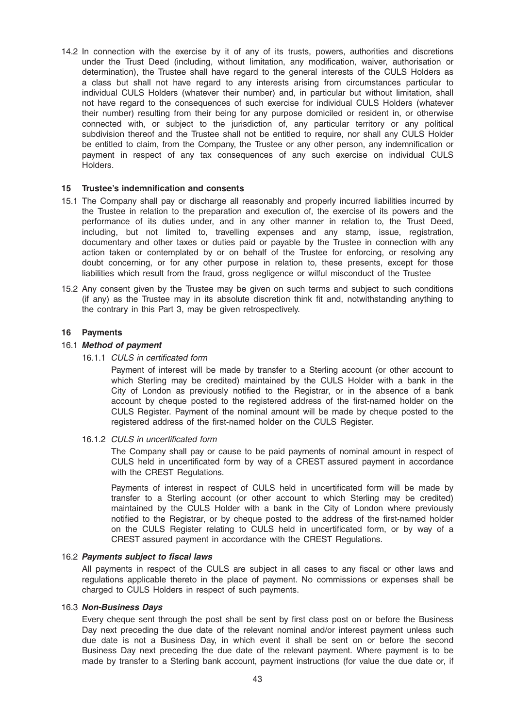14.2 In connection with the exercise by it of any of its trusts, powers, authorities and discretions under the Trust Deed (including, without limitation, any modification, waiver, authorisation or determination), the Trustee shall have regard to the general interests of the CULS Holders as a class but shall not have regard to any interests arising from circumstances particular to individual CULS Holders (whatever their number) and, in particular but without limitation, shall not have regard to the consequences of such exercise for individual CULS Holders (whatever their number) resulting from their being for any purpose domiciled or resident in, or otherwise connected with, or subject to the jurisdiction of, any particular territory or any political subdivision thereof and the Trustee shall not be entitled to require, nor shall any CULS Holder be entitled to claim, from the Company, the Trustee or any other person, any indemnification or payment in respect of any tax consequences of any such exercise on individual CULS Holders.

#### 15 Trustee's indemnification and consents

- 15.1 The Company shall pay or discharge all reasonably and properly incurred liabilities incurred by the Trustee in relation to the preparation and execution of, the exercise of its powers and the performance of its duties under, and in any other manner in relation to, the Trust Deed, including, but not limited to, travelling expenses and any stamp, issue, registration, documentary and other taxes or duties paid or payable by the Trustee in connection with any action taken or contemplated by or on behalf of the Trustee for enforcing, or resolving any doubt concerning, or for any other purpose in relation to, these presents, except for those liabilities which result from the fraud, gross negligence or wilful misconduct of the Trustee
- 15.2 Any consent given by the Trustee may be given on such terms and subject to such conditions (if any) as the Trustee may in its absolute discretion think fit and, notwithstanding anything to the contrary in this Part 3, may be given retrospectively.

#### 16 Payments

#### 16.1 Method of payment

16.1.1 CULS in certificated form

Payment of interest will be made by transfer to a Sterling account (or other account to which Sterling may be credited) maintained by the CULS Holder with a bank in the City of London as previously notified to the Registrar, or in the absence of a bank account by cheque posted to the registered address of the first-named holder on the CULS Register. Payment of the nominal amount will be made by cheque posted to the registered address of the first-named holder on the CULS Register.

16.1.2 CULS in uncertificated form

The Company shall pay or cause to be paid payments of nominal amount in respect of CULS held in uncertificated form by way of a CREST assured payment in accordance with the CREST Regulations.

Payments of interest in respect of CULS held in uncertificated form will be made by transfer to a Sterling account (or other account to which Sterling may be credited) maintained by the CULS Holder with a bank in the City of London where previously notified to the Registrar, or by cheque posted to the address of the first-named holder on the CULS Register relating to CULS held in uncertificated form, or by way of a CREST assured payment in accordance with the CREST Regulations.

#### 16.2 Payments subject to fiscal laws

All payments in respect of the CULS are subject in all cases to any fiscal or other laws and regulations applicable thereto in the place of payment. No commissions or expenses shall be charged to CULS Holders in respect of such payments.

#### 16.3 Non-Business Days

Every cheque sent through the post shall be sent by first class post on or before the Business Day next preceding the due date of the relevant nominal and/or interest payment unless such due date is not a Business Day, in which event it shall be sent on or before the second Business Day next preceding the due date of the relevant payment. Where payment is to be made by transfer to a Sterling bank account, payment instructions (for value the due date or, if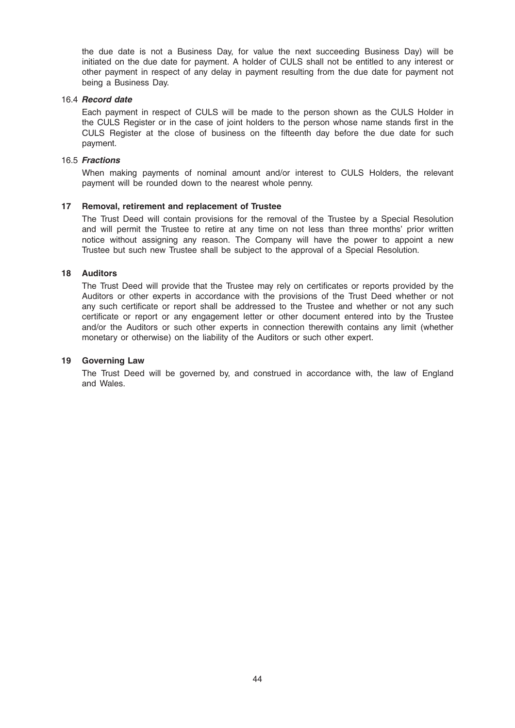the due date is not a Business Day, for value the next succeeding Business Day) will be initiated on the due date for payment. A holder of CULS shall not be entitled to any interest or other payment in respect of any delay in payment resulting from the due date for payment not being a Business Day.

#### 16.4 Record date

Each payment in respect of CULS will be made to the person shown as the CULS Holder in the CULS Register or in the case of joint holders to the person whose name stands first in the CULS Register at the close of business on the fifteenth day before the due date for such payment.

#### 16.5 Fractions

When making payments of nominal amount and/or interest to CULS Holders, the relevant payment will be rounded down to the nearest whole penny.

#### 17 Removal, retirement and replacement of Trustee

The Trust Deed will contain provisions for the removal of the Trustee by a Special Resolution and will permit the Trustee to retire at any time on not less than three months' prior written notice without assigning any reason. The Company will have the power to appoint a new Trustee but such new Trustee shall be subject to the approval of a Special Resolution.

#### 18 Auditors

The Trust Deed will provide that the Trustee may rely on certificates or reports provided by the Auditors or other experts in accordance with the provisions of the Trust Deed whether or not any such certificate or report shall be addressed to the Trustee and whether or not any such certificate or report or any engagement letter or other document entered into by the Trustee and/or the Auditors or such other experts in connection therewith contains any limit (whether monetary or otherwise) on the liability of the Auditors or such other expert.

#### 19 Governing Law

The Trust Deed will be governed by, and construed in accordance with, the law of England and Wales.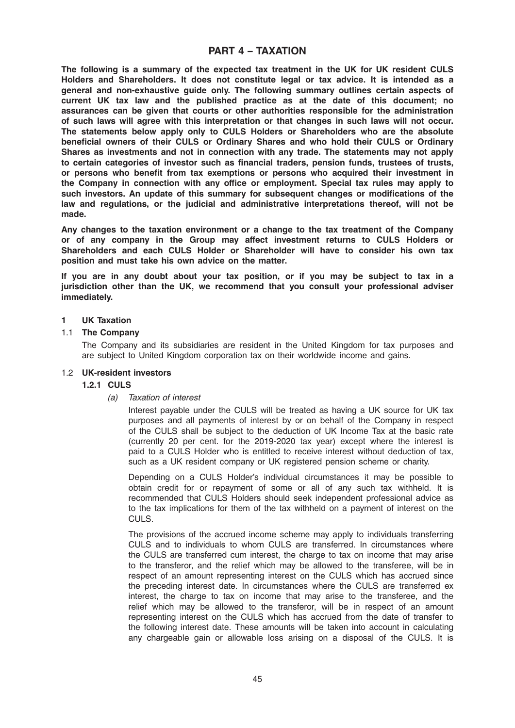# PART 4 – TAXATION

The following is a summary of the expected tax treatment in the UK for UK resident CULS Holders and Shareholders. It does not constitute legal or tax advice. It is intended as a general and non-exhaustive guide only. The following summary outlines certain aspects of current UK tax law and the published practice as at the date of this document; no assurances can be given that courts or other authorities responsible for the administration of such laws will agree with this interpretation or that changes in such laws will not occur. The statements below apply only to CULS Holders or Shareholders who are the absolute beneficial owners of their CULS or Ordinary Shares and who hold their CULS or Ordinary Shares as investments and not in connection with any trade. The statements may not apply to certain categories of investor such as financial traders, pension funds, trustees of trusts, or persons who benefit from tax exemptions or persons who acquired their investment in the Company in connection with any office or employment. Special tax rules may apply to such investors. An update of this summary for subsequent changes or modifications of the law and regulations, or the judicial and administrative interpretations thereof, will not be made.

Any changes to the taxation environment or a change to the tax treatment of the Company or of any company in the Group may affect investment returns to CULS Holders or Shareholders and each CULS Holder or Shareholder will have to consider his own tax position and must take his own advice on the matter.

If you are in any doubt about your tax position, or if you may be subject to tax in a jurisdiction other than the UK, we recommend that you consult your professional adviser immediately.

#### 1 UK Taxation

#### 1.1 The Company

The Company and its subsidiaries are resident in the United Kingdom for tax purposes and are subject to United Kingdom corporation tax on their worldwide income and gains.

#### 1.2 UK-resident investors

### 1.2.1 CULS

#### (a) Taxation of interest

Interest payable under the CULS will be treated as having a UK source for UK tax purposes and all payments of interest by or on behalf of the Company in respect of the CULS shall be subject to the deduction of UK Income Tax at the basic rate (currently 20 per cent. for the 2019-2020 tax year) except where the interest is paid to a CULS Holder who is entitled to receive interest without deduction of tax, such as a UK resident company or UK registered pension scheme or charity.

Depending on a CULS Holder's individual circumstances it may be possible to obtain credit for or repayment of some or all of any such tax withheld. It is recommended that CULS Holders should seek independent professional advice as to the tax implications for them of the tax withheld on a payment of interest on the CULS.

The provisions of the accrued income scheme may apply to individuals transferring CULS and to individuals to whom CULS are transferred. In circumstances where the CULS are transferred cum interest, the charge to tax on income that may arise to the transferor, and the relief which may be allowed to the transferee, will be in respect of an amount representing interest on the CULS which has accrued since the preceding interest date. In circumstances where the CULS are transferred ex interest, the charge to tax on income that may arise to the transferee, and the relief which may be allowed to the transferor, will be in respect of an amount representing interest on the CULS which has accrued from the date of transfer to the following interest date. These amounts will be taken into account in calculating any chargeable gain or allowable loss arising on a disposal of the CULS. It is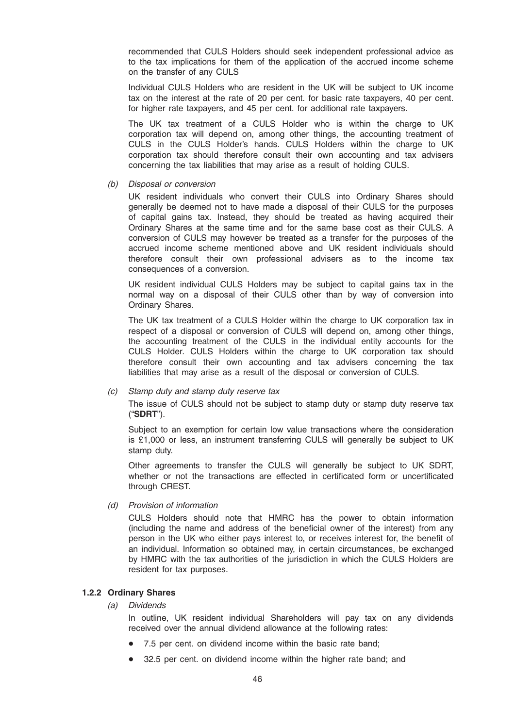recommended that CULS Holders should seek independent professional advice as to the tax implications for them of the application of the accrued income scheme on the transfer of any CULS

Individual CULS Holders who are resident in the UK will be subject to UK income tax on the interest at the rate of 20 per cent. for basic rate taxpayers, 40 per cent. for higher rate taxpayers, and 45 per cent. for additional rate taxpayers.

The UK tax treatment of a CULS Holder who is within the charge to UK corporation tax will depend on, among other things, the accounting treatment of CULS in the CULS Holder's hands. CULS Holders within the charge to UK corporation tax should therefore consult their own accounting and tax advisers concerning the tax liabilities that may arise as a result of holding CULS.

(b) Disposal or conversion

UK resident individuals who convert their CULS into Ordinary Shares should generally be deemed not to have made a disposal of their CULS for the purposes of capital gains tax. Instead, they should be treated as having acquired their Ordinary Shares at the same time and for the same base cost as their CULS. A conversion of CULS may however be treated as a transfer for the purposes of the accrued income scheme mentioned above and UK resident individuals should therefore consult their own professional advisers as to the income tax consequences of a conversion.

UK resident individual CULS Holders may be subject to capital gains tax in the normal way on a disposal of their CULS other than by way of conversion into Ordinary Shares.

The UK tax treatment of a CULS Holder within the charge to UK corporation tax in respect of a disposal or conversion of CULS will depend on, among other things, the accounting treatment of the CULS in the individual entity accounts for the CULS Holder. CULS Holders within the charge to UK corporation tax should therefore consult their own accounting and tax advisers concerning the tax liabilities that may arise as a result of the disposal or conversion of CULS.

#### (c) Stamp duty and stamp duty reserve tax

The issue of CULS should not be subject to stamp duty or stamp duty reserve tax ("SDRT").

Subject to an exemption for certain low value transactions where the consideration is £1,000 or less, an instrument transferring CULS will generally be subject to UK stamp duty.

Other agreements to transfer the CULS will generally be subject to UK SDRT, whether or not the transactions are effected in certificated form or uncertificated through CREST.

(d) Provision of information

CULS Holders should note that HMRC has the power to obtain information (including the name and address of the beneficial owner of the interest) from any person in the UK who either pays interest to, or receives interest for, the benefit of an individual. Information so obtained may, in certain circumstances, be exchanged by HMRC with the tax authorities of the jurisdiction in which the CULS Holders are resident for tax purposes.

# 1.2.2 Ordinary Shares

(a) Dividends

In outline, UK resident individual Shareholders will pay tax on any dividends received over the annual dividend allowance at the following rates:

- 7.5 per cent. on dividend income within the basic rate band;
- 32.5 per cent. on dividend income within the higher rate band; and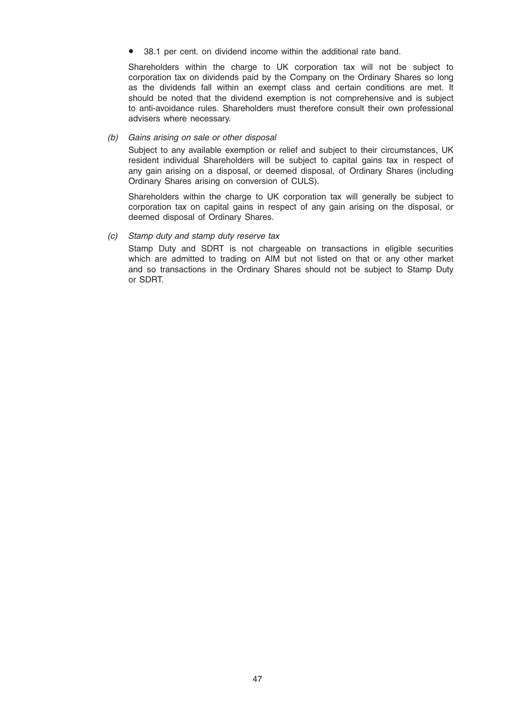• 38.1 per cent. on dividend income within the additional rate band.

Shareholders within the charge to UK corporation tax will not be subject to corporation tax on dividends paid by the Company on the Ordinary Shares so long as the dividends fall within an exempt class and certain conditions are met. It should be noted that the dividend exemption is not comprehensive and is subject to anti-avoidance rules. Shareholders must therefore consult their own professional advisers where necessary.

#### (b) Gains arising on sale or other disposal

Subject to any available exemption or relief and subject to their circumstances, UK resident individual Shareholders will be subject to capital gains tax in respect of any gain arising on a disposal, or deemed disposal, of Ordinary Shares (including Ordinary Shares arising on conversion of CULS).

Shareholders within the charge to UK corporation tax will generally be subject to corporation tax on capital gains in respect of any gain arising on the disposal, or deemed disposal of Ordinary Shares.

#### (c) Stamp duty and stamp duty reserve tax

Stamp Duty and SDRT is not chargeable on transactions in eligible securities which are admitted to trading on AIM but not listed on that or any other market and so transactions in the Ordinary Shares should not be subject to Stamp Duty or SDRT.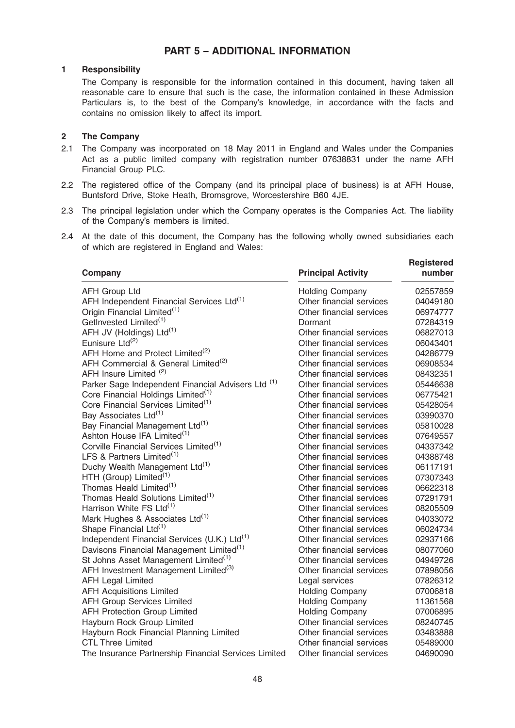# PART 5 – ADDITIONAL INFORMATION

#### 1 Responsibility

The Company is responsible for the information contained in this document, having taken all reasonable care to ensure that such is the case, the information contained in these Admission Particulars is, to the best of the Company's knowledge, in accordance with the facts and contains no omission likely to affect its import.

### 2 The Company

- 2.1 The Company was incorporated on 18 May 2011 in England and Wales under the Companies Act as a public limited company with registration number 07638831 under the name AFH Financial Group PLC.
- 2.2 The registered office of the Company (and its principal place of business) is at AFH House, Buntsford Drive, Stoke Heath, Bromsgrove, Worcestershire B60 4JE.
- 2.3 The principal legislation under which the Company operates is the Companies Act. The liability of the Company's members is limited.
- 2.4 At the date of this document, the Company has the following wholly owned subsidiaries each of which are registered in England and Wales:

| Company                                                  | <b>Principal Activity</b> | <b>Registered</b><br>number |
|----------------------------------------------------------|---------------------------|-----------------------------|
| <b>AFH Group Ltd</b>                                     | <b>Holding Company</b>    | 02557859                    |
| AFH Independent Financial Services Ltd <sup>(1)</sup>    | Other financial services  | 04049180                    |
| Origin Financial Limited <sup>(1)</sup>                  | Other financial services  | 06974777                    |
| GetInvested Limited <sup>(1)</sup>                       | Dormant                   | 07284319                    |
| AFH JV (Holdings) Ltd <sup>(1)</sup>                     | Other financial services  | 06827013                    |
| Eunisure Ltd <sup>(2)</sup>                              | Other financial services  | 06043401                    |
| AFH Home and Protect Limited <sup>(2)</sup>              | Other financial services  | 04286779                    |
| AFH Commercial & General Limited <sup>(2)</sup>          | Other financial services  | 06908534                    |
| AFH Insure Limited <sup>(2)</sup>                        | Other financial services  | 08432351                    |
| Parker Sage Independent Financial Advisers Ltd (1)       | Other financial services  | 05446638                    |
| Core Financial Holdings Limited <sup>(1)</sup>           | Other financial services  | 06775421                    |
| Core Financial Services Limited <sup>(1)</sup>           | Other financial services  | 05428054                    |
| Bay Associates Ltd <sup>(1)</sup>                        | Other financial services  | 03990370                    |
| Bay Financial Management Ltd <sup>(1)</sup>              | Other financial services  | 05810028                    |
| Ashton House IFA Limited <sup>(1)</sup>                  | Other financial services  | 07649557                    |
| Corville Financial Services Limited <sup>(1)</sup>       | Other financial services  | 04337342                    |
| LFS & Partners Limited <sup>(1)</sup>                    | Other financial services  | 04388748                    |
| Duchy Wealth Management Ltd <sup>(1)</sup>               | Other financial services  | 06117191                    |
| HTH (Group) Limited <sup>(1)</sup>                       | Other financial services  | 07307343                    |
| Thomas Heald Limited <sup>(1)</sup>                      | Other financial services  | 06622318                    |
| Thomas Heald Solutions Limited <sup>(1)</sup>            | Other financial services  | 07291791                    |
| Harrison White FS Ltd <sup>(1)</sup>                     | Other financial services  | 08205509                    |
| Mark Hughes & Associates Ltd <sup>(1)</sup>              | Other financial services  | 04033072                    |
| Shape Financial Ltd <sup>(1)</sup>                       | Other financial services  | 06024734                    |
| Independent Financial Services (U.K.) Ltd <sup>(1)</sup> | Other financial services  | 02937166                    |
| Davisons Financial Management Limited <sup>(1)</sup>     | Other financial services  | 08077060                    |
| St Johns Asset Management Limited <sup>(1)</sup>         | Other financial services  | 04949726                    |
| AFH Investment Management Limited <sup>(3)</sup>         | Other financial services  | 07898056                    |
| <b>AFH Legal Limited</b>                                 | Legal services            | 07826312                    |
| <b>AFH Acquisitions Limited</b>                          | <b>Holding Company</b>    | 07006818                    |
| <b>AFH Group Services Limited</b>                        | <b>Holding Company</b>    | 11361568                    |
| <b>AFH Protection Group Limited</b>                      | <b>Holding Company</b>    | 07006895                    |
| Hayburn Rock Group Limited                               | Other financial services  | 08240745                    |
| Hayburn Rock Financial Planning Limited                  | Other financial services  | 03483888                    |
| <b>CTL Three Limited</b>                                 | Other financial services  | 05489000                    |
| The Insurance Partnership Financial Services Limited     | Other financial services  | 04690090                    |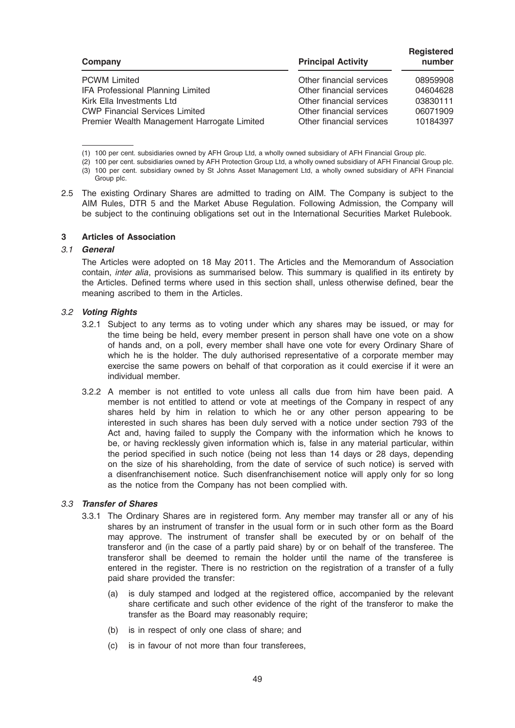| Company                                     | <b>Principal Activity</b> | <b>Registered</b><br>number |
|---------------------------------------------|---------------------------|-----------------------------|
| <b>PCWM Limited</b>                         | Other financial services  | 08959908                    |
| IFA Professional Planning Limited           | Other financial services  | 04604628                    |
| Kirk Ella Investments Ltd                   | Other financial services  | 03830111                    |
| <b>CWP Financial Services Limited</b>       | Other financial services  | 06071909                    |
| Premier Wealth Management Harrogate Limited | Other financial services  | 10184397                    |

(1) 100 per cent. subsidiaries owned by AFH Group Ltd, a wholly owned subsidiary of AFH Financial Group plc.

- (2) 100 per cent. subsidiaries owned by AFH Protection Group Ltd, a wholly owned subsidiary of AFH Financial Group plc. (3) 100 per cent. subsidiary owned by St Johns Asset Management Ltd, a wholly owned subsidiary of AFH Financial Group plc.
- 2.5 The existing Ordinary Shares are admitted to trading on AIM. The Company is subject to the AIM Rules, DTR 5 and the Market Abuse Regulation. Following Admission, the Company will be subject to the continuing obligations set out in the International Securities Market Rulebook.

#### 3 Articles of Association

#### 3.1 General

The Articles were adopted on 18 May 2011. The Articles and the Memorandum of Association contain, inter alia, provisions as summarised below. This summary is qualified in its entirety by the Articles. Defined terms where used in this section shall, unless otherwise defined, bear the meaning ascribed to them in the Articles.

#### 3.2 Voting Rights

- 3.2.1 Subject to any terms as to voting under which any shares may be issued, or may for the time being be held, every member present in person shall have one vote on a show of hands and, on a poll, every member shall have one vote for every Ordinary Share of which he is the holder. The duly authorised representative of a corporate member may exercise the same powers on behalf of that corporation as it could exercise if it were an individual member.
- 3.2.2 A member is not entitled to vote unless all calls due from him have been paid. A member is not entitled to attend or vote at meetings of the Company in respect of any shares held by him in relation to which he or any other person appearing to be interested in such shares has been duly served with a notice under section 793 of the Act and, having failed to supply the Company with the information which he knows to be, or having recklessly given information which is, false in any material particular, within the period specified in such notice (being not less than 14 days or 28 days, depending on the size of his shareholding, from the date of service of such notice) is served with a disenfranchisement notice. Such disenfranchisement notice will apply only for so long as the notice from the Company has not been complied with.

#### 3.3 Transfer of Shares

- 3.3.1 The Ordinary Shares are in registered form. Any member may transfer all or any of his shares by an instrument of transfer in the usual form or in such other form as the Board may approve. The instrument of transfer shall be executed by or on behalf of the transferor and (in the case of a partly paid share) by or on behalf of the transferee. The transferor shall be deemed to remain the holder until the name of the transferee is entered in the register. There is no restriction on the registration of a transfer of a fully paid share provided the transfer:
	- (a) is duly stamped and lodged at the registered office, accompanied by the relevant share certificate and such other evidence of the right of the transferor to make the transfer as the Board may reasonably require;
	- (b) is in respect of only one class of share; and
	- (c) is in favour of not more than four transferees,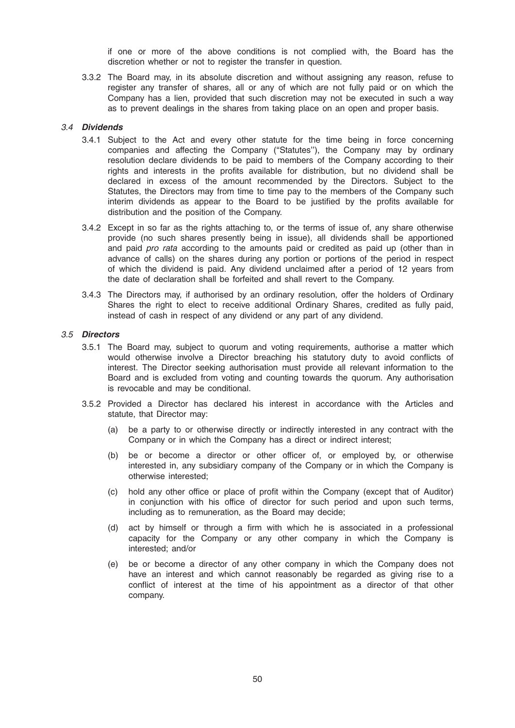if one or more of the above conditions is not complied with, the Board has the discretion whether or not to register the transfer in question.

3.3.2 The Board may, in its absolute discretion and without assigning any reason, refuse to register any transfer of shares, all or any of which are not fully paid or on which the Company has a lien, provided that such discretion may not be executed in such a way as to prevent dealings in the shares from taking place on an open and proper basis.

#### 3.4 Dividends

- 3.4.1 Subject to the Act and every other statute for the time being in force concerning companies and affecting the Company (''Statutes''), the Company may by ordinary resolution declare dividends to be paid to members of the Company according to their rights and interests in the profits available for distribution, but no dividend shall be declared in excess of the amount recommended by the Directors. Subject to the Statutes, the Directors may from time to time pay to the members of the Company such interim dividends as appear to the Board to be justified by the profits available for distribution and the position of the Company.
- 3.4.2 Except in so far as the rights attaching to, or the terms of issue of, any share otherwise provide (no such shares presently being in issue), all dividends shall be apportioned and paid pro rata according to the amounts paid or credited as paid up (other than in advance of calls) on the shares during any portion or portions of the period in respect of which the dividend is paid. Any dividend unclaimed after a period of 12 years from the date of declaration shall be forfeited and shall revert to the Company.
- 3.4.3 The Directors may, if authorised by an ordinary resolution, offer the holders of Ordinary Shares the right to elect to receive additional Ordinary Shares, credited as fully paid, instead of cash in respect of any dividend or any part of any dividend.

#### 3.5 Directors

- 3.5.1 The Board may, subject to quorum and voting requirements, authorise a matter which would otherwise involve a Director breaching his statutory duty to avoid conflicts of interest. The Director seeking authorisation must provide all relevant information to the Board and is excluded from voting and counting towards the quorum. Any authorisation is revocable and may be conditional.
- 3.5.2 Provided a Director has declared his interest in accordance with the Articles and statute, that Director may:
	- (a) be a party to or otherwise directly or indirectly interested in any contract with the Company or in which the Company has a direct or indirect interest;
	- (b) be or become a director or other officer of, or employed by, or otherwise interested in, any subsidiary company of the Company or in which the Company is otherwise interested;
	- (c) hold any other office or place of profit within the Company (except that of Auditor) in conjunction with his office of director for such period and upon such terms, including as to remuneration, as the Board may decide;
	- (d) act by himself or through a firm with which he is associated in a professional capacity for the Company or any other company in which the Company is interested; and/or
	- (e) be or become a director of any other company in which the Company does not have an interest and which cannot reasonably be regarded as giving rise to a conflict of interest at the time of his appointment as a director of that other company.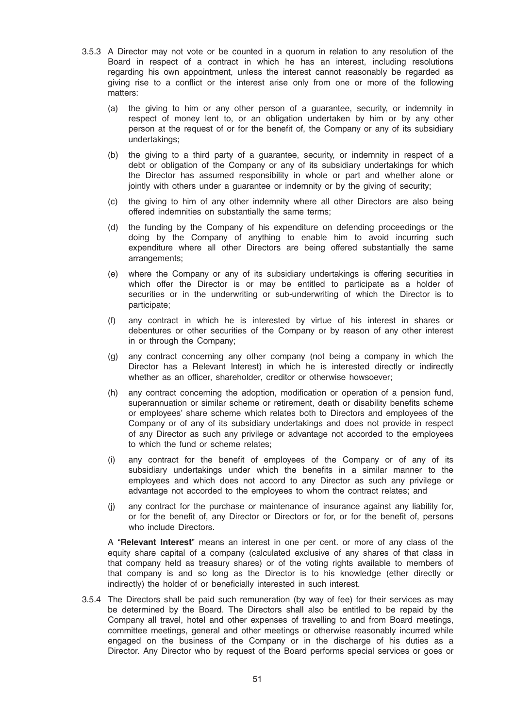- 3.5.3 A Director may not vote or be counted in a quorum in relation to any resolution of the Board in respect of a contract in which he has an interest, including resolutions regarding his own appointment, unless the interest cannot reasonably be regarded as giving rise to a conflict or the interest arise only from one or more of the following matters:
	- (a) the giving to him or any other person of a guarantee, security, or indemnity in respect of money lent to, or an obligation undertaken by him or by any other person at the request of or for the benefit of, the Company or any of its subsidiary undertakings;
	- (b) the giving to a third party of a guarantee, security, or indemnity in respect of a debt or obligation of the Company or any of its subsidiary undertakings for which the Director has assumed responsibility in whole or part and whether alone or jointly with others under a quarantee or indemnity or by the giving of security;
	- (c) the giving to him of any other indemnity where all other Directors are also being offered indemnities on substantially the same terms;
	- (d) the funding by the Company of his expenditure on defending proceedings or the doing by the Company of anything to enable him to avoid incurring such expenditure where all other Directors are being offered substantially the same arrangements;
	- (e) where the Company or any of its subsidiary undertakings is offering securities in which offer the Director is or may be entitled to participate as a holder of securities or in the underwriting or sub-underwriting of which the Director is to participate;
	- (f) any contract in which he is interested by virtue of his interest in shares or debentures or other securities of the Company or by reason of any other interest in or through the Company;
	- (g) any contract concerning any other company (not being a company in which the Director has a Relevant Interest) in which he is interested directly or indirectly whether as an officer, shareholder, creditor or otherwise howsoever;
	- (h) any contract concerning the adoption, modification or operation of a pension fund, superannuation or similar scheme or retirement, death or disability benefits scheme or employees' share scheme which relates both to Directors and employees of the Company or of any of its subsidiary undertakings and does not provide in respect of any Director as such any privilege or advantage not accorded to the employees to which the fund or scheme relates;
	- (i) any contract for the benefit of employees of the Company or of any of its subsidiary undertakings under which the benefits in a similar manner to the employees and which does not accord to any Director as such any privilege or advantage not accorded to the employees to whom the contract relates; and
	- (j) any contract for the purchase or maintenance of insurance against any liability for, or for the benefit of, any Director or Directors or for, or for the benefit of, persons who include Directors.

A "Relevant Interest" means an interest in one per cent. or more of any class of the equity share capital of a company (calculated exclusive of any shares of that class in that company held as treasury shares) or of the voting rights available to members of that company is and so long as the Director is to his knowledge (ether directly or indirectly) the holder of or beneficially interested in such interest.

3.5.4 The Directors shall be paid such remuneration (by way of fee) for their services as may be determined by the Board. The Directors shall also be entitled to be repaid by the Company all travel, hotel and other expenses of travelling to and from Board meetings, committee meetings, general and other meetings or otherwise reasonably incurred while engaged on the business of the Company or in the discharge of his duties as a Director. Any Director who by request of the Board performs special services or goes or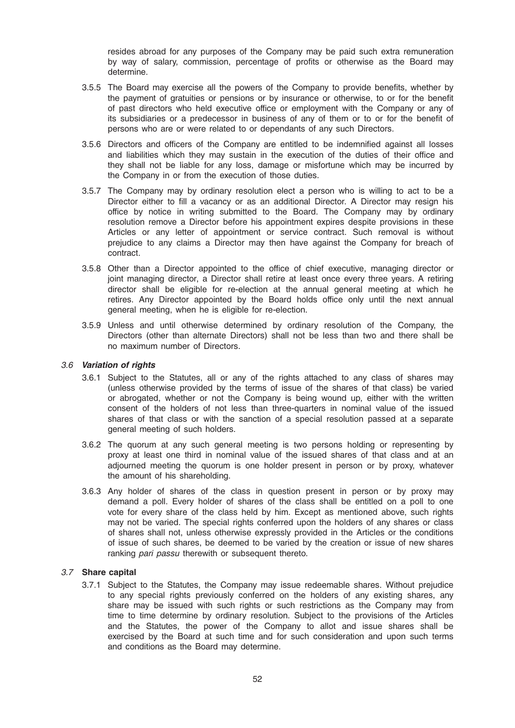resides abroad for any purposes of the Company may be paid such extra remuneration by way of salary, commission, percentage of profits or otherwise as the Board may determine.

- 3.5.5 The Board may exercise all the powers of the Company to provide benefits, whether by the payment of gratuities or pensions or by insurance or otherwise, to or for the benefit of past directors who held executive office or employment with the Company or any of its subsidiaries or a predecessor in business of any of them or to or for the benefit of persons who are or were related to or dependants of any such Directors.
- 3.5.6 Directors and officers of the Company are entitled to be indemnified against all losses and liabilities which they may sustain in the execution of the duties of their office and they shall not be liable for any loss, damage or misfortune which may be incurred by the Company in or from the execution of those duties.
- 3.5.7 The Company may by ordinary resolution elect a person who is willing to act to be a Director either to fill a vacancy or as an additional Director. A Director may resign his office by notice in writing submitted to the Board. The Company may by ordinary resolution remove a Director before his appointment expires despite provisions in these Articles or any letter of appointment or service contract. Such removal is without prejudice to any claims a Director may then have against the Company for breach of contract.
- 3.5.8 Other than a Director appointed to the office of chief executive, managing director or joint managing director, a Director shall retire at least once every three years. A retiring director shall be eligible for re-election at the annual general meeting at which he retires. Any Director appointed by the Board holds office only until the next annual general meeting, when he is eligible for re-election.
- 3.5.9 Unless and until otherwise determined by ordinary resolution of the Company, the Directors (other than alternate Directors) shall not be less than two and there shall be no maximum number of Directors.

# 3.6 Variation of rights

- 3.6.1 Subject to the Statutes, all or any of the rights attached to any class of shares may (unless otherwise provided by the terms of issue of the shares of that class) be varied or abrogated, whether or not the Company is being wound up, either with the written consent of the holders of not less than three-quarters in nominal value of the issued shares of that class or with the sanction of a special resolution passed at a separate general meeting of such holders.
- 3.6.2 The quorum at any such general meeting is two persons holding or representing by proxy at least one third in nominal value of the issued shares of that class and at an adjourned meeting the quorum is one holder present in person or by proxy, whatever the amount of his shareholding.
- 3.6.3 Any holder of shares of the class in question present in person or by proxy may demand a poll. Every holder of shares of the class shall be entitled on a poll to one vote for every share of the class held by him. Except as mentioned above, such rights may not be varied. The special rights conferred upon the holders of any shares or class of shares shall not, unless otherwise expressly provided in the Articles or the conditions of issue of such shares, be deemed to be varied by the creation or issue of new shares ranking pari passu therewith or subsequent thereto.

# 3.7 Share capital

3.7.1 Subject to the Statutes, the Company may issue redeemable shares. Without prejudice to any special rights previously conferred on the holders of any existing shares, any share may be issued with such rights or such restrictions as the Company may from time to time determine by ordinary resolution. Subject to the provisions of the Articles and the Statutes, the power of the Company to allot and issue shares shall be exercised by the Board at such time and for such consideration and upon such terms and conditions as the Board may determine.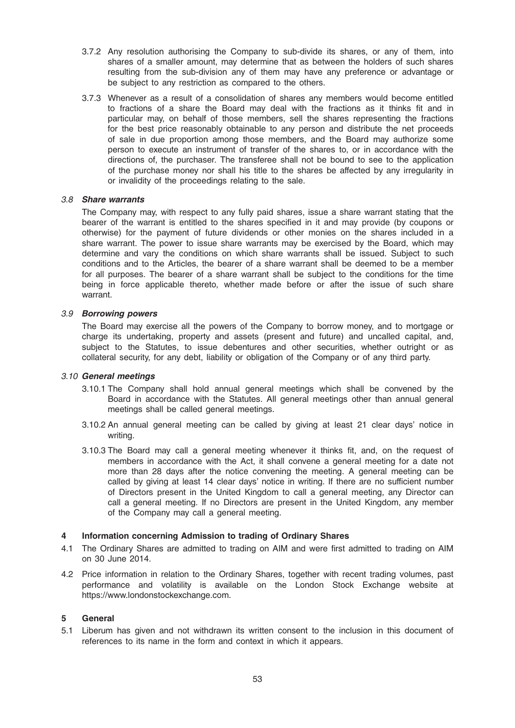- 3.7.2 Any resolution authorising the Company to sub-divide its shares, or any of them, into shares of a smaller amount, may determine that as between the holders of such shares resulting from the sub-division any of them may have any preference or advantage or be subject to any restriction as compared to the others.
- 3.7.3 Whenever as a result of a consolidation of shares any members would become entitled to fractions of a share the Board may deal with the fractions as it thinks fit and in particular may, on behalf of those members, sell the shares representing the fractions for the best price reasonably obtainable to any person and distribute the net proceeds of sale in due proportion among those members, and the Board may authorize some person to execute an instrument of transfer of the shares to, or in accordance with the directions of, the purchaser. The transferee shall not be bound to see to the application of the purchase money nor shall his title to the shares be affected by any irregularity in or invalidity of the proceedings relating to the sale.

#### 3.8 Share warrants

The Company may, with respect to any fully paid shares, issue a share warrant stating that the bearer of the warrant is entitled to the shares specified in it and may provide (by coupons or otherwise) for the payment of future dividends or other monies on the shares included in a share warrant. The power to issue share warrants may be exercised by the Board, which may determine and vary the conditions on which share warrants shall be issued. Subject to such conditions and to the Articles, the bearer of a share warrant shall be deemed to be a member for all purposes. The bearer of a share warrant shall be subject to the conditions for the time being in force applicable thereto, whether made before or after the issue of such share warrant.

#### 3.9 Borrowing powers

The Board may exercise all the powers of the Company to borrow money, and to mortgage or charge its undertaking, property and assets (present and future) and uncalled capital, and, subject to the Statutes, to issue debentures and other securities, whether outright or as collateral security, for any debt, liability or obligation of the Company or of any third party.

#### 3.10 General meetings

- 3.10.1 The Company shall hold annual general meetings which shall be convened by the Board in accordance with the Statutes. All general meetings other than annual general meetings shall be called general meetings.
- 3.10.2 An annual general meeting can be called by giving at least 21 clear days' notice in writing.
- 3.10.3 The Board may call a general meeting whenever it thinks fit, and, on the request of members in accordance with the Act, it shall convene a general meeting for a date not more than 28 days after the notice convening the meeting. A general meeting can be called by giving at least 14 clear days' notice in writing. If there are no sufficient number of Directors present in the United Kingdom to call a general meeting, any Director can call a general meeting. If no Directors are present in the United Kingdom, any member of the Company may call a general meeting.

#### 4 Information concerning Admission to trading of Ordinary Shares

- 4.1 The Ordinary Shares are admitted to trading on AIM and were first admitted to trading on AIM on 30 June 2014.
- 4.2 Price information in relation to the Ordinary Shares, together with recent trading volumes, past performance and volatility is available on the London Stock Exchange website at https://www.londonstockexchange.com.

#### 5 General

5.1 Liberum has given and not withdrawn its written consent to the inclusion in this document of references to its name in the form and context in which it appears.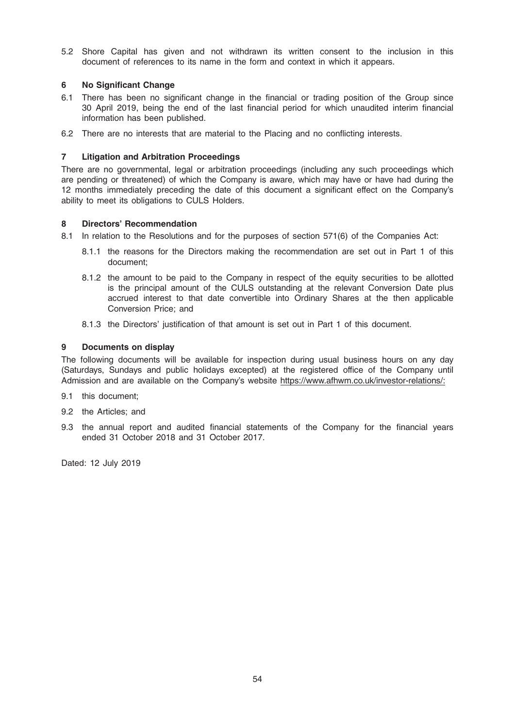5.2 Shore Capital has given and not withdrawn its written consent to the inclusion in this document of references to its name in the form and context in which it appears.

# 6 No Significant Change

- 6.1 There has been no significant change in the financial or trading position of the Group since 30 April 2019, being the end of the last financial period for which unaudited interim financial information has been published.
- 6.2 There are no interests that are material to the Placing and no conflicting interests.

# 7 Litigation and Arbitration Proceedings

There are no governmental, legal or arbitration proceedings (including any such proceedings which are pending or threatened) of which the Company is aware, which may have or have had during the 12 months immediately preceding the date of this document a significant effect on the Company's ability to meet its obligations to CULS Holders.

# 8 Directors' Recommendation

- 8.1 In relation to the Resolutions and for the purposes of section 571(6) of the Companies Act:
	- 8.1.1 the reasons for the Directors making the recommendation are set out in Part 1 of this document;
	- 8.1.2 the amount to be paid to the Company in respect of the equity securities to be allotted is the principal amount of the CULS outstanding at the relevant Conversion Date plus accrued interest to that date convertible into Ordinary Shares at the then applicable Conversion Price; and
	- 8.1.3 the Directors' justification of that amount is set out in Part 1 of this document.

# 9 Documents on display

The following documents will be available for inspection during usual business hours on any day (Saturdays, Sundays and public holidays excepted) at the registered office of the Company until Admission and are available on the Company's website https://www.afhwm.co.uk/investor-relations/:

- 9.1 this document;
- 9.2 the Articles; and
- 9.3 the annual report and audited financial statements of the Company for the financial years ended 31 October 2018 and 31 October 2017.

Dated: 12 July 2019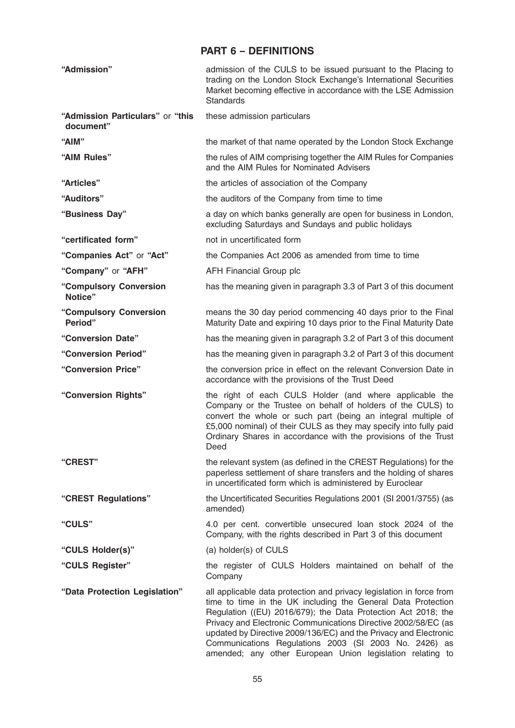# PART 6 – DEFINITIONS

| "Admission"                                   | admission of the CULS to be issued pursuant to the Placing to<br>trading on the London Stock Exchange's International Securities<br>Market becoming effective in accordance with the LSE Admission<br><b>Standards</b>                                                                                                                                                                                                                                            |
|-----------------------------------------------|-------------------------------------------------------------------------------------------------------------------------------------------------------------------------------------------------------------------------------------------------------------------------------------------------------------------------------------------------------------------------------------------------------------------------------------------------------------------|
| "Admission Particulars" or "this<br>document" | these admission particulars                                                                                                                                                                                                                                                                                                                                                                                                                                       |
| "AIM"                                         | the market of that name operated by the London Stock Exchange                                                                                                                                                                                                                                                                                                                                                                                                     |
| "AIM Rules"                                   | the rules of AIM comprising together the AIM Rules for Companies<br>and the AIM Rules for Nominated Advisers                                                                                                                                                                                                                                                                                                                                                      |
| "Articles"                                    | the articles of association of the Company                                                                                                                                                                                                                                                                                                                                                                                                                        |
| "Auditors"                                    | the auditors of the Company from time to time                                                                                                                                                                                                                                                                                                                                                                                                                     |
| "Business Day"                                | a day on which banks generally are open for business in London,<br>excluding Saturdays and Sundays and public holidays                                                                                                                                                                                                                                                                                                                                            |
| "certificated form"                           | not in uncertificated form                                                                                                                                                                                                                                                                                                                                                                                                                                        |
| "Companies Act" or "Act"                      | the Companies Act 2006 as amended from time to time                                                                                                                                                                                                                                                                                                                                                                                                               |
| "Company" or "AFH"                            | <b>AFH Financial Group plc</b>                                                                                                                                                                                                                                                                                                                                                                                                                                    |
| "Compulsory Conversion<br>Notice"             | has the meaning given in paragraph 3.3 of Part 3 of this document                                                                                                                                                                                                                                                                                                                                                                                                 |
| "Compulsory Conversion<br>Period"             | means the 30 day period commencing 40 days prior to the Final<br>Maturity Date and expiring 10 days prior to the Final Maturity Date                                                                                                                                                                                                                                                                                                                              |
| "Conversion Date"                             | has the meaning given in paragraph 3.2 of Part 3 of this document                                                                                                                                                                                                                                                                                                                                                                                                 |
| "Conversion Period"                           | has the meaning given in paragraph 3.2 of Part 3 of this document                                                                                                                                                                                                                                                                                                                                                                                                 |
| "Conversion Price"                            | the conversion price in effect on the relevant Conversion Date in<br>accordance with the provisions of the Trust Deed                                                                                                                                                                                                                                                                                                                                             |
| "Conversion Rights"                           | the right of each CULS Holder (and where applicable the<br>Company or the Trustee on behalf of holders of the CULS) to<br>convert the whole or such part (being an integral multiple of<br>£5,000 nominal) of their CULS as they may specify into fully paid<br>Ordinary Shares in accordance with the provisions of the Trust<br>Deed                                                                                                                            |
| "CREST"                                       | the relevant system (as defined in the CREST Regulations) for the<br>paperless settlement of share transfers and the holding of shares<br>in uncertificated form which is administered by Euroclear                                                                                                                                                                                                                                                               |
| "CREST Regulations"                           | the Uncertificated Securities Regulations 2001 (SI 2001/3755) (as<br>amended)                                                                                                                                                                                                                                                                                                                                                                                     |
| "CULS"                                        | 4.0 per cent. convertible unsecured loan stock 2024 of the<br>Company, with the rights described in Part 3 of this document                                                                                                                                                                                                                                                                                                                                       |
| "CULS Holder(s)"                              | (a) holder(s) of CULS                                                                                                                                                                                                                                                                                                                                                                                                                                             |
| "CULS Register"                               | the register of CULS Holders maintained on behalf of the<br>Company                                                                                                                                                                                                                                                                                                                                                                                               |
| "Data Protection Legislation"                 | all applicable data protection and privacy legislation in force from<br>time to time in the UK including the General Data Protection<br>Regulation ((EU) 2016/679); the Data Protection Act 2018; the<br>Privacy and Electronic Communications Directive 2002/58/EC (as<br>updated by Directive 2009/136/EC) and the Privacy and Electronic<br>Communications Regulations 2003 (SI 2003 No. 2426) as<br>amended; any other European Union legislation relating to |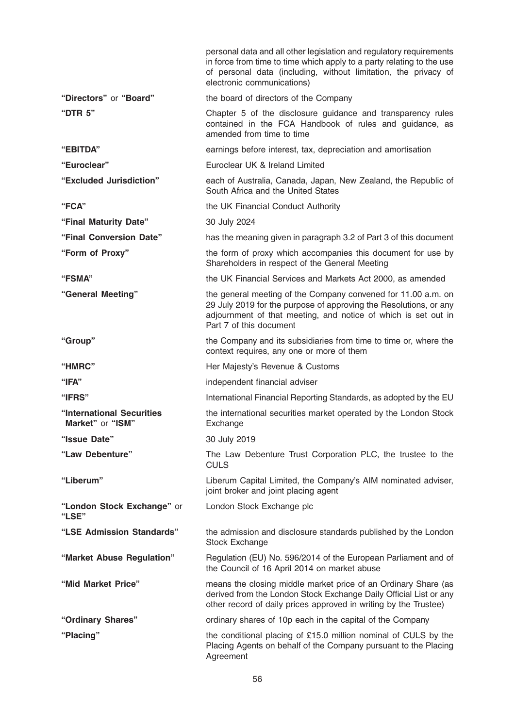|                                               | personal data and all other legislation and regulatory requirements<br>in force from time to time which apply to a party relating to the use<br>of personal data (including, without limitation, the privacy of<br>electronic communications) |
|-----------------------------------------------|-----------------------------------------------------------------------------------------------------------------------------------------------------------------------------------------------------------------------------------------------|
| "Directors" or "Board"                        | the board of directors of the Company                                                                                                                                                                                                         |
| "DTR 5"                                       | Chapter 5 of the disclosure guidance and transparency rules<br>contained in the FCA Handbook of rules and guidance, as<br>amended from time to time                                                                                           |
| "EBITDA"                                      | earnings before interest, tax, depreciation and amortisation                                                                                                                                                                                  |
| "Euroclear"                                   | Euroclear UK & Ireland Limited                                                                                                                                                                                                                |
| "Excluded Jurisdiction"                       | each of Australia, Canada, Japan, New Zealand, the Republic of<br>South Africa and the United States                                                                                                                                          |
| "FCA"                                         | the UK Financial Conduct Authority                                                                                                                                                                                                            |
| "Final Maturity Date"                         | 30 July 2024                                                                                                                                                                                                                                  |
| "Final Conversion Date"                       | has the meaning given in paragraph 3.2 of Part 3 of this document                                                                                                                                                                             |
| "Form of Proxy"                               | the form of proxy which accompanies this document for use by<br>Shareholders in respect of the General Meeting                                                                                                                                |
| <b>"FSMA"</b>                                 | the UK Financial Services and Markets Act 2000, as amended                                                                                                                                                                                    |
| "General Meeting"                             | the general meeting of the Company convened for 11.00 a.m. on<br>29 July 2019 for the purpose of approving the Resolutions, or any<br>adjournment of that meeting, and notice of which is set out in<br>Part 7 of this document               |
| "Group"                                       | the Company and its subsidiaries from time to time or, where the<br>context requires, any one or more of them                                                                                                                                 |
| "HMRC"                                        | Her Majesty's Revenue & Customs                                                                                                                                                                                                               |
| "IFA"                                         | independent financial adviser                                                                                                                                                                                                                 |
| "IFRS"                                        | International Financial Reporting Standards, as adopted by the EU                                                                                                                                                                             |
| "International Securities<br>Market" or "ISM" | the international securities market operated by the London Stock<br>Exchange                                                                                                                                                                  |
| "Issue Date"                                  | 30 July 2019                                                                                                                                                                                                                                  |
| "Law Debenture"                               | The Law Debenture Trust Corporation PLC, the trustee to the<br><b>CULS</b>                                                                                                                                                                    |
| "Liberum"                                     | Liberum Capital Limited, the Company's AIM nominated adviser,<br>joint broker and joint placing agent                                                                                                                                         |
| "London Stock Exchange" or<br>"LSE"           | London Stock Exchange plc                                                                                                                                                                                                                     |
| "LSE Admission Standards"                     | the admission and disclosure standards published by the London<br>Stock Exchange                                                                                                                                                              |
| "Market Abuse Regulation"                     | Regulation (EU) No. 596/2014 of the European Parliament and of<br>the Council of 16 April 2014 on market abuse                                                                                                                                |
| "Mid Market Price"                            | means the closing middle market price of an Ordinary Share (as<br>derived from the London Stock Exchange Daily Official List or any<br>other record of daily prices approved in writing by the Trustee)                                       |
| "Ordinary Shares"                             | ordinary shares of 10p each in the capital of the Company                                                                                                                                                                                     |
| "Placing"                                     | the conditional placing of £15.0 million nominal of CULS by the<br>Placing Agents on behalf of the Company pursuant to the Placing<br>Agreement                                                                                               |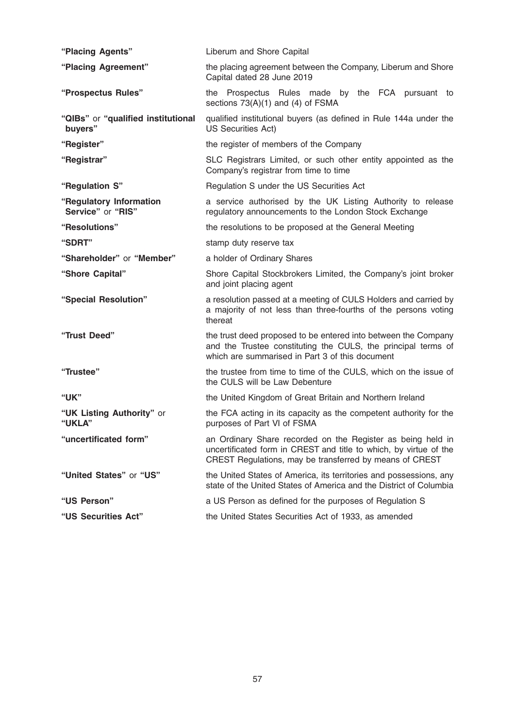| "Placing Agents"                              | Liberum and Shore Capital                                                                                                                                                                   |
|-----------------------------------------------|---------------------------------------------------------------------------------------------------------------------------------------------------------------------------------------------|
| "Placing Agreement"                           | the placing agreement between the Company, Liberum and Shore<br>Capital dated 28 June 2019                                                                                                  |
| "Prospectus Rules"                            | the Prospectus Rules made by the FCA pursuant to<br>sections $73(A)(1)$ and (4) of FSMA                                                                                                     |
| "QIBs" or "qualified institutional<br>buyers" | qualified institutional buyers (as defined in Rule 144a under the<br><b>US Securities Act)</b>                                                                                              |
| "Register"                                    | the register of members of the Company                                                                                                                                                      |
| "Registrar"                                   | SLC Registrars Limited, or such other entity appointed as the<br>Company's registrar from time to time                                                                                      |
| "Regulation S"                                | Regulation S under the US Securities Act                                                                                                                                                    |
| "Regulatory Information<br>Service" or "RIS"  | a service authorised by the UK Listing Authority to release<br>regulatory announcements to the London Stock Exchange                                                                        |
| "Resolutions"                                 | the resolutions to be proposed at the General Meeting                                                                                                                                       |
| "SDRT"                                        | stamp duty reserve tax                                                                                                                                                                      |
| "Shareholder" or "Member"                     | a holder of Ordinary Shares                                                                                                                                                                 |
| "Shore Capital"                               | Shore Capital Stockbrokers Limited, the Company's joint broker<br>and joint placing agent                                                                                                   |
| "Special Resolution"                          | a resolution passed at a meeting of CULS Holders and carried by<br>a majority of not less than three-fourths of the persons voting<br>thereat                                               |
| "Trust Deed"                                  | the trust deed proposed to be entered into between the Company<br>and the Trustee constituting the CULS, the principal terms of<br>which are summarised in Part 3 of this document          |
| "Trustee"                                     | the trustee from time to time of the CULS, which on the issue of<br>the CULS will be Law Debenture                                                                                          |
| "UK"                                          | the United Kingdom of Great Britain and Northern Ireland                                                                                                                                    |
| "UK Listing Authority" or<br>"UKLA"           | the FCA acting in its capacity as the competent authority for the<br>purposes of Part VI of FSMA                                                                                            |
| "uncertificated form"                         | an Ordinary Share recorded on the Register as being held in<br>uncertificated form in CREST and title to which, by virtue of the<br>CREST Regulations, may be transferred by means of CREST |
| "United States" or "US"                       | the United States of America, its territories and possessions, any<br>state of the United States of America and the District of Columbia                                                    |
| "US Person"                                   | a US Person as defined for the purposes of Regulation S                                                                                                                                     |
| "US Securities Act"                           | the United States Securities Act of 1933, as amended                                                                                                                                        |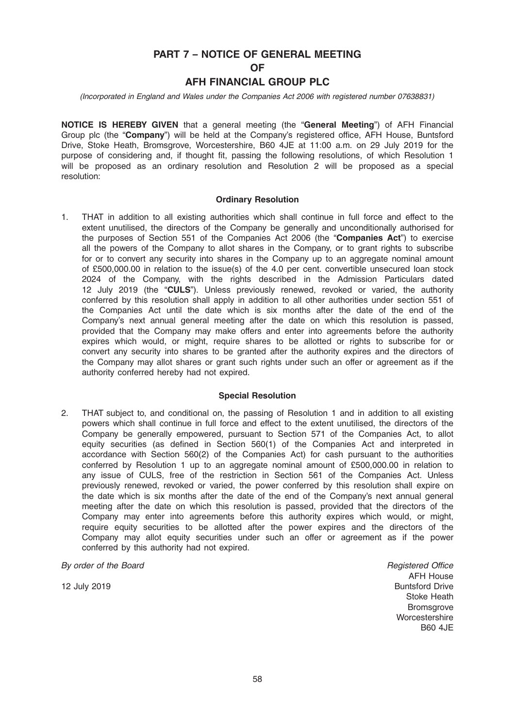# PART 7 – NOTICE OF GENERAL MEETING

OF

# AFH FINANCIAL GROUP PLC

(Incorporated in England and Wales under the Companies Act 2006 with registered number 07638831)

NOTICE IS HEREBY GIVEN that a general meeting (the "General Meeting") of AFH Financial Group plc (the "Company") will be held at the Company's registered office, AFH House, Buntsford Drive, Stoke Heath, Bromsgrove, Worcestershire, B60 4JE at 11:00 a.m. on 29 July 2019 for the purpose of considering and, if thought fit, passing the following resolutions, of which Resolution 1 will be proposed as an ordinary resolution and Resolution 2 will be proposed as a special resolution:

#### Ordinary Resolution

1. THAT in addition to all existing authorities which shall continue in full force and effect to the extent unutilised, the directors of the Company be generally and unconditionally authorised for the purposes of Section 551 of the Companies Act 2006 (the "Companies Act") to exercise all the powers of the Company to allot shares in the Company, or to grant rights to subscribe for or to convert any security into shares in the Company up to an aggregate nominal amount of £500,000.00 in relation to the issue(s) of the 4.0 per cent. convertible unsecured loan stock 2024 of the Company, with the rights described in the Admission Particulars dated 12 July 2019 (the "CULS"). Unless previously renewed, revoked or varied, the authority conferred by this resolution shall apply in addition to all other authorities under section 551 of the Companies Act until the date which is six months after the date of the end of the Company's next annual general meeting after the date on which this resolution is passed, provided that the Company may make offers and enter into agreements before the authority expires which would, or might, require shares to be allotted or rights to subscribe for or convert any security into shares to be granted after the authority expires and the directors of the Company may allot shares or grant such rights under such an offer or agreement as if the authority conferred hereby had not expired.

#### Special Resolution

2. THAT subject to, and conditional on, the passing of Resolution 1 and in addition to all existing powers which shall continue in full force and effect to the extent unutilised, the directors of the Company be generally empowered, pursuant to Section 571 of the Companies Act, to allot equity securities (as defined in Section 560(1) of the Companies Act and interpreted in accordance with Section 560(2) of the Companies Act) for cash pursuant to the authorities conferred by Resolution 1 up to an aggregate nominal amount of £500,000.00 in relation to any issue of CULS, free of the restriction in Section 561 of the Companies Act. Unless previously renewed, revoked or varied, the power conferred by this resolution shall expire on the date which is six months after the date of the end of the Company's next annual general meeting after the date on which this resolution is passed, provided that the directors of the Company may enter into agreements before this authority expires which would, or might, require equity securities to be allotted after the power expires and the directors of the Company may allot equity securities under such an offer or agreement as if the power conferred by this authority had not expired.

By order of the Board

12 July 2019

Registered Office AFH House Buntsford Drive Stoke Heath **Bromsgrove Worcestershire** B60 4JE